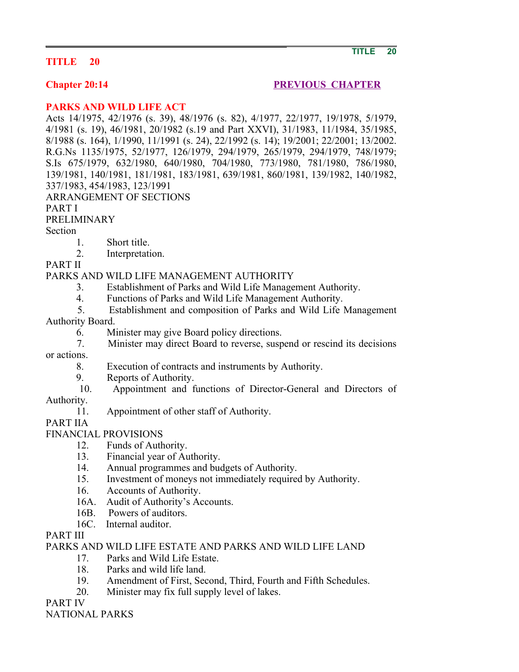#### **TITLE 20**

#### **Chapter 20:14** PREVIOUS CHAPTER

## **PARKS AND WILD LIFE ACT**

Acts 14/1975, 42/1976 (s. 39), 48/1976 (s. 82), 4/1977, 22/1977, 19/1978, 5/1979, 4/1981 (s. 19), 46/1981, 20/1982 (s.19 and Part XXVI), 31/1983, 11/1984, 35/1985, 8/1988 (s. 164), 1/1990, 11/1991 (s. 24), 22/1992 (s. 14); 19/2001; 22/2001; 13/2002. R.G.Ns 1135/1975, 52/1977, 126/1979, 294/1979, 265/1979, 294/1979, 748/1979; S.Is 675/1979, 632/1980, 640/1980, 704/1980, 773/1980, 781/1980, 786/1980, 139/1981, 140/1981, 181/1981, 183/1981, 639/1981, 860/1981, 139/1982, 140/1982, 337/1983, 454/1983, 123/1991 ARRANGEMENT OF SECTIONS

PART I

PRELIMINARY

Section

- 1. Short title.
- 2. Interpretation.

PART II

### PARKS AND WILD LIFE MANAGEMENT AUTHORITY

- 3. Establishment of Parks and Wild Life Management Authority.
- 4. Functions of Parks and Wild Life Management Authority.
- 5. Establishment and composition of Parks and Wild Life Management

Authority Board.

- 6. Minister may give Board policy directions.
- 7. Minister may direct Board to reverse, suspend or rescind its decisions or actions.
	- 8. Execution of contracts and instruments by Authority.
	- 9. Reports of Authority.
	- 10. Appointment and functions of Director-General and Directors of

#### Authority.

11. Appointment of other staff of Authority.

PART IIA

# FINANCIAL PROVISIONS

- 12. Funds of Authority.
- 13. Financial year of Authority.
- 14. Annual programmes and budgets of Authority.
- 15. Investment of moneys not immediately required by Authority.
- 16. Accounts of Authority.
- 16A. Audit of Authority's Accounts.
- 16B. Powers of auditors.
- 16C. Internal auditor.

#### PART III

## PARKS AND WILD LIFE ESTATE AND PARKS AND WILD LIFE LAND

- 17 Parks and Wild Life Estate.
- 18. Parks and wild life land.
- 19. Amendment of First, Second, Third, Fourth and Fifth Schedules.
- 20. Minister may fix full supply level of lakes.

PART IV

NATIONAL PARKS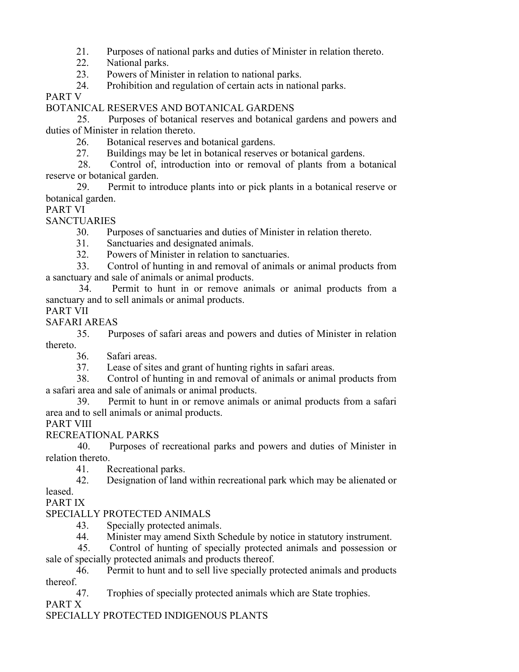21. Purposes of national parks and duties of Minister in relation thereto.

22. National parks.

23. Powers of Minister in relation to national parks.

24. Prohibition and regulation of certain acts in national parks.

PART V

# BOTANICAL RESERVES AND BOTANICAL GARDENS

 25. Purposes of botanical reserves and botanical gardens and powers and duties of Minister in relation thereto.

26. Botanical reserves and botanical gardens.

27. Buildings may be let in botanical reserves or botanical gardens.

 28. Control of, introduction into or removal of plants from a botanical reserve or botanical garden.

 29. Permit to introduce plants into or pick plants in a botanical reserve or botanical garden.

PART VI

SANCTUARIES

30. Purposes of sanctuaries and duties of Minister in relation thereto.

31. Sanctuaries and designated animals.

32. Powers of Minister in relation to sanctuaries.

 33. Control of hunting in and removal of animals or animal products from a sanctuary and sale of animals or animal products.

 34. Permit to hunt in or remove animals or animal products from a sanctuary and to sell animals or animal products.

PART VII

# SAFARI AREAS

 35. Purposes of safari areas and powers and duties of Minister in relation thereto.

36. Safari areas.

37. Lease of sites and grant of hunting rights in safari areas.

 38. Control of hunting in and removal of animals or animal products from a safari area and sale of animals or animal products.

 39. Permit to hunt in or remove animals or animal products from a safari area and to sell animals or animal products.

PART VIII

# RECREATIONAL PARKS

 40. Purposes of recreational parks and powers and duties of Minister in relation thereto.

41. Recreational parks.

 42. Designation of land within recreational park which may be alienated or leased.

PART IX

# SPECIALLY PROTECTED ANIMALS

43. Specially protected animals.

44. Minister may amend Sixth Schedule by notice in statutory instrument.

 45. Control of hunting of specially protected animals and possession or sale of specially protected animals and products thereof.

 46. Permit to hunt and to sell live specially protected animals and products thereof.

47. Trophies of specially protected animals which are State trophies.

PART X

SPECIALLY PROTECTED INDIGENOUS PLANTS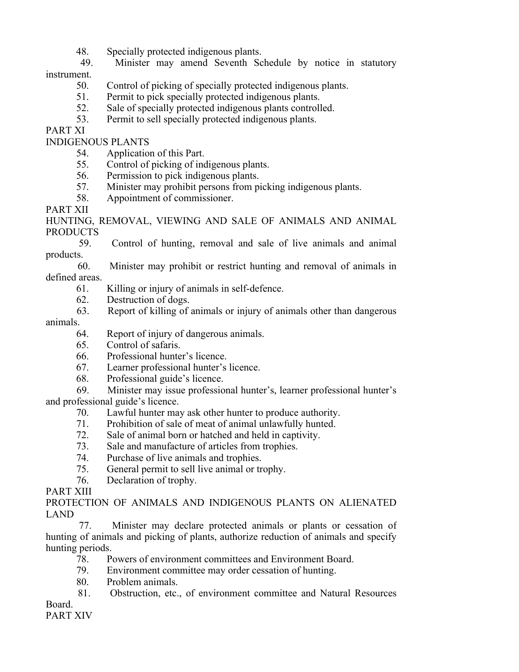48. Specially protected indigenous plants.

 49. Minister may amend Seventh Schedule by notice in statutory instrument.

- 50. Control of picking of specially protected indigenous plants.
- 51. Permit to pick specially protected indigenous plants.
- 52. Sale of specially protected indigenous plants controlled.
- 53. Permit to sell specially protected indigenous plants.

PART XI

INDIGENOUS PLANTS

- 54. Application of this Part.
- 55. Control of picking of indigenous plants.
- 56. Permission to pick indigenous plants.
- 57. Minister may prohibit persons from picking indigenous plants.
- 58. Appointment of commissioner.

PART XII

#### HUNTING, REMOVAL, VIEWING AND SALE OF ANIMALS AND ANIMAL PRODUCTS

 59. Control of hunting, removal and sale of live animals and animal products.

 60. Minister may prohibit or restrict hunting and removal of animals in defined areas.

- 61. Killing or injury of animals in self-defence.
- 62. Destruction of dogs.
- 63. Report of killing of animals or injury of animals other than dangerous

## animals.

- 64. Report of injury of dangerous animals.
- 65. Control of safaris.
- 66. Professional hunter's licence.
- 67. Learner professional hunter's licence.
- 68. Professional guide's licence.
- 69. Minister may issue professional hunter's, learner professional hunter's

and professional guide's licence.

- 70. Lawful hunter may ask other hunter to produce authority.
- 71. Prohibition of sale of meat of animal unlawfully hunted.
- 72. Sale of animal born or hatched and held in captivity.
- 73. Sale and manufacture of articles from trophies.
- 74. Purchase of live animals and trophies.
- 75. General permit to sell live animal or trophy.
- 76. Declaration of trophy.

#### PART XIII

PROTECTION OF ANIMALS AND INDIGENOUS PLANTS ON ALIENATED LAND

 77. Minister may declare protected animals or plants or cessation of hunting of animals and picking of plants, authorize reduction of animals and specify hunting periods.

- 78. Powers of environment committees and Environment Board.
- 79. Environment committee may order cessation of hunting.
- 80. Problem animals.
- 81. Obstruction, etc., of environment committee and Natural Resources
- Board.

PART XIV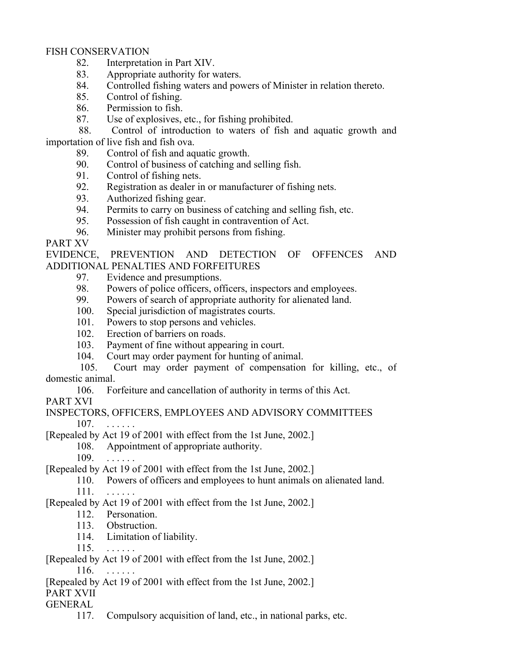#### FISH CONSERVATION

- 82. Interpretation in Part XIV.
- 83. Appropriate authority for waters.
- 84. Controlled fishing waters and powers of Minister in relation thereto.
- 85. Control of fishing.
- 86. Permission to fish.
- 87. Use of explosives, etc., for fishing prohibited.

 88. Control of introduction to waters of fish and aquatic growth and importation of live fish and fish ova.

- 89. Control of fish and aquatic growth.
- 90. Control of business of catching and selling fish.
- 91. Control of fishing nets.
- 92. Registration as dealer in or manufacturer of fishing nets.
- 93. Authorized fishing gear.
- 94. Permits to carry on business of catching and selling fish, etc.
- 95. Possession of fish caught in contravention of Act.
- 96. Minister may prohibit persons from fishing.

PART XV

EVIDENCE, PREVENTION AND DETECTION OF OFFENCES AND ADDITIONAL PENALTIES AND FORFEITURES

- 97. Evidence and presumptions.
- 98. Powers of police officers, officers, inspectors and employees.
- 99. Powers of search of appropriate authority for alienated land.
- 100. Special jurisdiction of magistrates courts.
- 101. Powers to stop persons and vehicles.
- 102. Erection of barriers on roads.
- 103. Payment of fine without appearing in court.
- 104. Court may order payment for hunting of animal.
- 105. Court may order payment of compensation for killing, etc., of domestic animal.
	- 106. Forfeiture and cancellation of authority in terms of this Act.

PART XVI

# INSPECTORS, OFFICERS, EMPLOYEES AND ADVISORY COMMITTEES

 $107.$  . . . . . .

[Repealed by Act 19 of 2001 with effect from the 1st June, 2002.]

108. Appointment of appropriate authority.

 $109.$  . . . . . .

[Repealed by Act 19 of 2001 with effect from the 1st June, 2002.]

 110. Powers of officers and employees to hunt animals on alienated land. 111. . . . . . .

[Repealed by Act 19 of 2001 with effect from the 1st June, 2002.]

- 112. Personation.
- 113. Obstruction.
- 114. Limitation of liability.

115. . . . . . .

[Repealed by Act 19 of 2001 with effect from the 1st June, 2002.]

116. . . . . . .

[Repealed by Act 19 of 2001 with effect from the 1st June, 2002.]

PART XVII

GENERAL

117. Compulsory acquisition of land, etc., in national parks, etc.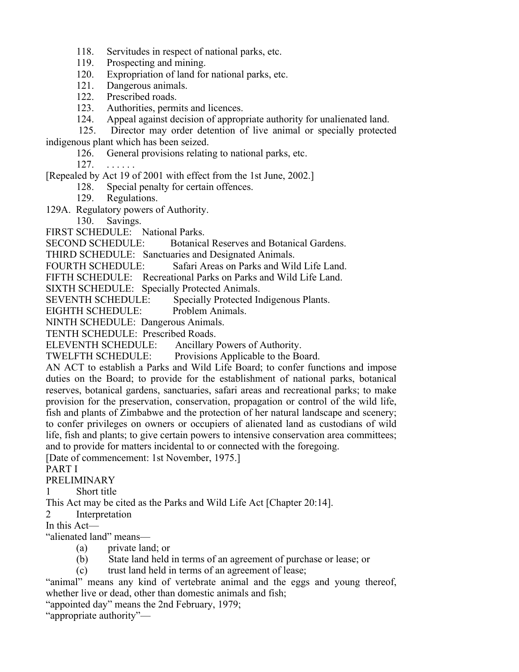118. Servitudes in respect of national parks, etc.

- 119. Prospecting and mining.
- 120. Expropriation of land for national parks, etc.
- 121. Dangerous animals.
- 122. Prescribed roads.
- 123. Authorities, permits and licences.
- 124. Appeal against decision of appropriate authority for unalienated land.
- 125. Director may order detention of live animal or specially protected

indigenous plant which has been seized.

- 126. General provisions relating to national parks, etc.
- 127. . . . . . .

[Repealed by Act 19 of 2001 with effect from the 1st June, 2002.]

- 128. Special penalty for certain offences.
- 129. Regulations.
- 129A. Regulatory powers of Authority.

130. Savings.

FIRST SCHEDULE: National Parks.

SECOND SCHEDULE: Botanical Reserves and Botanical Gardens.

THIRD SCHEDULE: Sanctuaries and Designated Animals.

FOURTH SCHEDULE: Safari Areas on Parks and Wild Life Land.

FIFTH SCHEDULE: Recreational Parks on Parks and Wild Life Land.

SIXTH SCHEDULE: Specially Protected Animals.

SEVENTH SCHEDULE: Specially Protected Indigenous Plants.

EIGHTH SCHEDULE: Problem Animals.

NINTH SCHEDULE: Dangerous Animals.

TENTH SCHEDULE: Prescribed Roads.

ELEVENTH SCHEDULE: Ancillary Powers of Authority.

TWELFTH SCHEDULE: Provisions Applicable to the Board.

AN ACT to establish a Parks and Wild Life Board; to confer functions and impose duties on the Board; to provide for the establishment of national parks, botanical reserves, botanical gardens, sanctuaries, safari areas and recreational parks; to make provision for the preservation, conservation, propagation or control of the wild life, fish and plants of Zimbabwe and the protection of her natural landscape and scenery; to confer privileges on owners or occupiers of alienated land as custodians of wild life, fish and plants; to give certain powers to intensive conservation area committees; and to provide for matters incidental to or connected with the foregoing.

[Date of commencement: 1st November, 1975.]

## PART I

PRELIMINARY

1 Short title

This Act may be cited as the Parks and Wild Life Act [Chapter 20:14].

2 Interpretation

In this Act—

"alienated land" means—

- (a) private land; or
- (b) State land held in terms of an agreement of purchase or lease; or

(c) trust land held in terms of an agreement of lease;

"animal" means any kind of vertebrate animal and the eggs and young thereof, whether live or dead, other than domestic animals and fish;

"appointed day" means the 2nd February, 1979;

"appropriate authority"—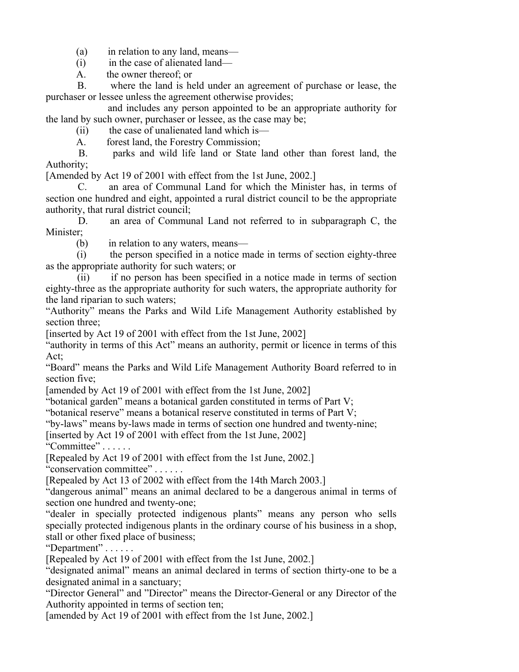(a) in relation to any land, means—

(i) in the case of alienated land—

A. the owner thereof; or

 B. where the land is held under an agreement of purchase or lease, the purchaser or lessee unless the agreement otherwise provides;

 and includes any person appointed to be an appropriate authority for the land by such owner, purchaser or lessee, as the case may be;

(ii) the case of unalienated land which is—

A. forest land, the Forestry Commission;

 B. parks and wild life land or State land other than forest land, the Authority;

[Amended by Act 19 of 2001 with effect from the 1st June, 2002.]

 C. an area of Communal Land for which the Minister has, in terms of section one hundred and eight, appointed a rural district council to be the appropriate authority, that rural district council;

 D. an area of Communal Land not referred to in subparagraph C, the Minister;

(b) in relation to any waters, means—

 (i) the person specified in a notice made in terms of section eighty-three as the appropriate authority for such waters; or

 (ii) if no person has been specified in a notice made in terms of section eighty-three as the appropriate authority for such waters, the appropriate authority for the land riparian to such waters;

"Authority" means the Parks and Wild Life Management Authority established by section three;

[inserted by Act 19 of 2001 with effect from the 1st June, 2002]

"authority in terms of this Act" means an authority, permit or licence in terms of this Act;

"Board" means the Parks and Wild Life Management Authority Board referred to in section five;

[amended by Act 19 of 2001 with effect from the 1st June, 2002]

"botanical garden" means a botanical garden constituted in terms of Part V;

"botanical reserve" means a botanical reserve constituted in terms of Part V;

"by-laws" means by-laws made in terms of section one hundred and twenty-nine;

[inserted by Act 19 of 2001 with effect from the 1st June, 2002]

"Committee" . . . . . .

[Repealed by Act 19 of 2001 with effect from the 1st June, 2002.]

"conservation committee" . . . . . .

[Repealed by Act 13 of 2002 with effect from the 14th March 2003.]

"dangerous animal" means an animal declared to be a dangerous animal in terms of section one hundred and twenty-one;

"dealer in specially protected indigenous plants" means any person who sells specially protected indigenous plants in the ordinary course of his business in a shop, stall or other fixed place of business;

"Department" . . . . . .

[Repealed by Act 19 of 2001 with effect from the 1st June, 2002.]

"designated animal" means an animal declared in terms of section thirty-one to be a designated animal in a sanctuary;

"Director General" and "Director" means the Director-General or any Director of the Authority appointed in terms of section ten;

[amended by Act 19 of 2001 with effect from the 1st June, 2002.]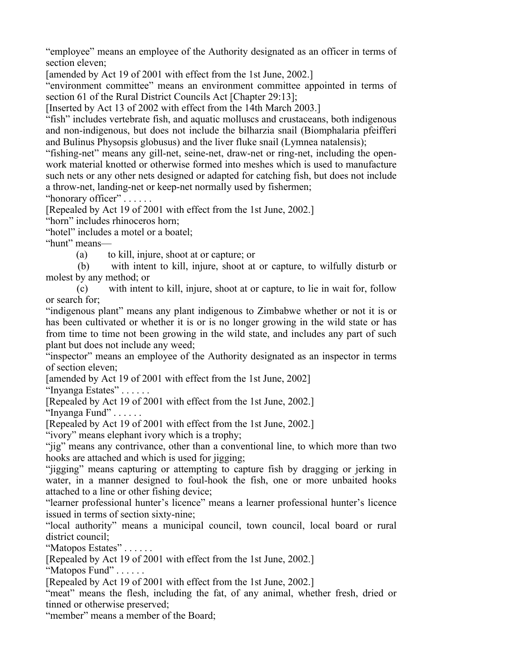"employee" means an employee of the Authority designated as an officer in terms of section eleven;

[amended by Act 19 of 2001 with effect from the 1st June, 2002.]

"environment committee" means an environment committee appointed in terms of section 61 of the Rural District Councils Act [Chapter 29:13];

[Inserted by Act 13 of 2002 with effect from the 14th March 2003.]

"fish" includes vertebrate fish, and aquatic molluscs and crustaceans, both indigenous and non-indigenous, but does not include the bilharzia snail (Biomphalaria pfeifferi and Bulinus Physopsis globusus) and the liver fluke snail (Lymnea natalensis);

"fishing-net" means any gill-net, seine-net, draw-net or ring-net, including the openwork material knotted or otherwise formed into meshes which is used to manufacture such nets or any other nets designed or adapted for catching fish, but does not include a throw-net, landing-net or keep-net normally used by fishermen;

"honorary officer" . . . . . .

[Repealed by Act 19 of 2001 with effect from the 1st June, 2002.]

"horn" includes rhinoceros horn;

"hotel" includes a motel or a boatel;

"hunt" means—

(a) to kill, injure, shoot at or capture; or

 (b) with intent to kill, injure, shoot at or capture, to wilfully disturb or molest by any method; or

 (c) with intent to kill, injure, shoot at or capture, to lie in wait for, follow or search for;

"indigenous plant" means any plant indigenous to Zimbabwe whether or not it is or has been cultivated or whether it is or is no longer growing in the wild state or has from time to time not been growing in the wild state, and includes any part of such plant but does not include any weed;

"inspector" means an employee of the Authority designated as an inspector in terms of section eleven;

[amended by Act 19 of 2001 with effect from the 1st June, 2002]

"Inyanga Estates" . . . . . .

[Repealed by Act 19 of 2001 with effect from the 1st June, 2002.]

"Inyanga Fund" . . . . . .

[Repealed by Act 19 of 2001 with effect from the 1st June, 2002.]

"ivory" means elephant ivory which is a trophy;

"jig" means any contrivance, other than a conventional line, to which more than two hooks are attached and which is used for jigging;

"jigging" means capturing or attempting to capture fish by dragging or jerking in water, in a manner designed to foul-hook the fish, one or more unbaited hooks attached to a line or other fishing device;

"learner professional hunter's licence" means a learner professional hunter's licence issued in terms of section sixty-nine;

"local authority" means a municipal council, town council, local board or rural district council;

"Matopos Estates" . . . . . .

[Repealed by Act 19 of 2001 with effect from the 1st June, 2002.]

"Matopos Fund" . . . . . .

[Repealed by Act 19 of 2001 with effect from the 1st June, 2002.]

"meat" means the flesh, including the fat, of any animal, whether fresh, dried or tinned or otherwise preserved;

"member" means a member of the Board;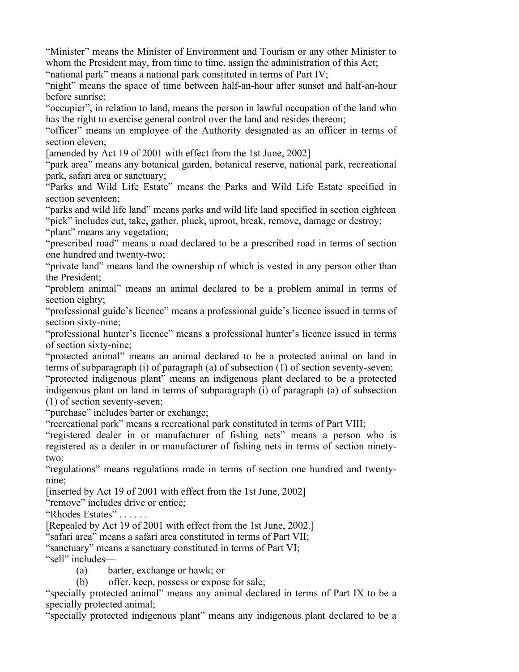"Minister" means the Minister of Environment and Tourism or any other Minister to whom the President may, from time to time, assign the administration of this Act;

"national park" means a national park constituted in terms of Part IV;

"night" means the space of time between half-an-hour after sunset and half-an-hour before sunrise;

"occupier", in relation to land, means the person in lawful occupation of the land who has the right to exercise general control over the land and resides thereon;

"officer" means an employee of the Authority designated as an officer in terms of section eleven;

[amended by Act 19 of 2001 with effect from the 1st June, 2002]

"park area" means any botanical garden, botanical reserve, national park, recreational park, safari area or sanctuary;

"Parks and Wild Life Estate" means the Parks and Wild Life Estate specified in section seventeen;

"parks and wild life land" means parks and wild life land specified in section eighteen "pick" includes cut, take, gather, pluck, uproot, break, remove, damage or destroy;

"plant" means any vegetation;

"prescribed road" means a road declared to be a prescribed road in terms of section one hundred and twenty-two;

"private land" means land the ownership of which is vested in any person other than the President;

"problem animal" means an animal declared to be a problem animal in terms of section eighty;

"professional guide's licence" means a professional guide's licence issued in terms of section sixty-nine;

"professional hunter's licence" means a professional hunter's licence issued in terms of section sixty-nine;

"protected animal" means an animal declared to be a protected animal on land in terms of subparagraph (i) of paragraph (a) of subsection (1) of section seventy-seven;

"protected indigenous plant" means an indigenous plant declared to be a protected indigenous plant on land in terms of subparagraph (i) of paragraph (a) of subsection (1) of section seventy-seven;

"purchase" includes barter or exchange;

"recreational park" means a recreational park constituted in terms of Part VIII;

"registered dealer in or manufacturer of fishing nets" means a person who is registered as a dealer in or manufacturer of fishing nets in terms of section ninetytwo;

"regulations" means regulations made in terms of section one hundred and twentynine;

[inserted by Act 19 of 2001 with effect from the 1st June, 2002]

"remove" includes drive or entice;

"Rhodes Estates" . . . . . .

[Repealed by Act 19 of 2001 with effect from the 1st June, 2002.]

"safari area" means a safari area constituted in terms of Part VII;

"sanctuary" means a sanctuary constituted in terms of Part VI;

"sell" includes—

(a) barter, exchange or hawk; or

(b) offer, keep, possess or expose for sale;

"specially protected animal" means any animal declared in terms of Part IX to be a specially protected animal;

"specially protected indigenous plant" means any indigenous plant declared to be a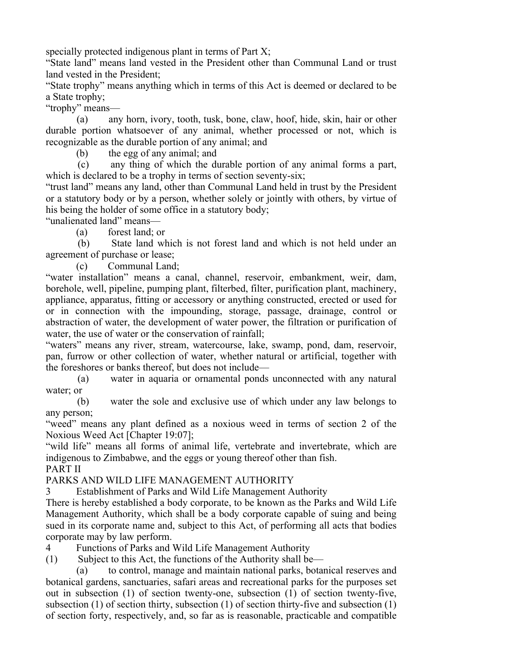specially protected indigenous plant in terms of Part X;

"State land" means land vested in the President other than Communal Land or trust land vested in the President;

"State trophy" means anything which in terms of this Act is deemed or declared to be a State trophy;

"trophy" means—

 (a) any horn, ivory, tooth, tusk, bone, claw, hoof, hide, skin, hair or other durable portion whatsoever of any animal, whether processed or not, which is recognizable as the durable portion of any animal; and

(b) the egg of any animal; and

 (c) any thing of which the durable portion of any animal forms a part, which is declared to be a trophy in terms of section seventy-six;

"trust land" means any land, other than Communal Land held in trust by the President or a statutory body or by a person, whether solely or jointly with others, by virtue of his being the holder of some office in a statutory body;

"unalienated land" means—

(a) forest land; or

 (b) State land which is not forest land and which is not held under an agreement of purchase or lease;

(c) Communal Land;

"water installation" means a canal, channel, reservoir, embankment, weir, dam, borehole, well, pipeline, pumping plant, filterbed, filter, purification plant, machinery, appliance, apparatus, fitting or accessory or anything constructed, erected or used for or in connection with the impounding, storage, passage, drainage, control or abstraction of water, the development of water power, the filtration or purification of water, the use of water or the conservation of rainfall;

"waters" means any river, stream, watercourse, lake, swamp, pond, dam, reservoir, pan, furrow or other collection of water, whether natural or artificial, together with the foreshores or banks thereof, but does not include—

 (a) water in aquaria or ornamental ponds unconnected with any natural water; or

 (b) water the sole and exclusive use of which under any law belongs to any person;

"weed" means any plant defined as a noxious weed in terms of section 2 of the Noxious Weed Act [Chapter 19:07];

"wild life" means all forms of animal life, vertebrate and invertebrate, which are indigenous to Zimbabwe, and the eggs or young thereof other than fish.

#### PART II

PARKS AND WILD LIFE MANAGEMENT AUTHORITY

3 Establishment of Parks and Wild Life Management Authority

There is hereby established a body corporate, to be known as the Parks and Wild Life Management Authority, which shall be a body corporate capable of suing and being sued in its corporate name and, subject to this Act, of performing all acts that bodies corporate may by law perform.

4 Functions of Parks and Wild Life Management Authority

(1) Subject to this Act, the functions of the Authority shall be—

 (a) to control, manage and maintain national parks, botanical reserves and botanical gardens, sanctuaries, safari areas and recreational parks for the purposes set out in subsection (1) of section twenty-one, subsection (1) of section twenty-five, subsection (1) of section thirty, subsection (1) of section thirty-five and subsection (1) of section forty, respectively, and, so far as is reasonable, practicable and compatible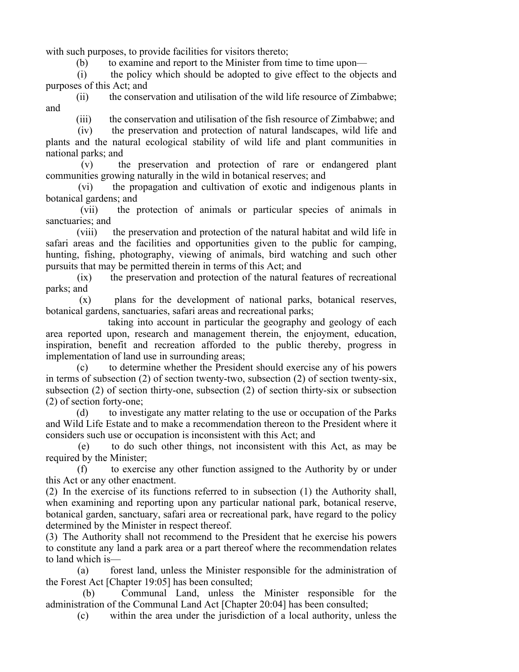with such purposes, to provide facilities for visitors thereto;

(b) to examine and report to the Minister from time to time upon—

 (i) the policy which should be adopted to give effect to the objects and purposes of this Act; and

 (ii) the conservation and utilisation of the wild life resource of Zimbabwe; and

(iii) the conservation and utilisation of the fish resource of Zimbabwe; and

 (iv) the preservation and protection of natural landscapes, wild life and plants and the natural ecological stability of wild life and plant communities in national parks; and

 (v) the preservation and protection of rare or endangered plant communities growing naturally in the wild in botanical reserves; and

 (vi) the propagation and cultivation of exotic and indigenous plants in botanical gardens; and

 (vii) the protection of animals or particular species of animals in sanctuaries; and

 (viii) the preservation and protection of the natural habitat and wild life in safari areas and the facilities and opportunities given to the public for camping, hunting, fishing, photography, viewing of animals, bird watching and such other pursuits that may be permitted therein in terms of this Act; and

 (ix) the preservation and protection of the natural features of recreational parks; and

 (x) plans for the development of national parks, botanical reserves, botanical gardens, sanctuaries, safari areas and recreational parks;

 taking into account in particular the geography and geology of each area reported upon, research and management therein, the enjoyment, education, inspiration, benefit and recreation afforded to the public thereby, progress in implementation of land use in surrounding areas;

 (c) to determine whether the President should exercise any of his powers in terms of subsection (2) of section twenty-two, subsection (2) of section twenty-six, subsection (2) of section thirty-one, subsection (2) of section thirty-six or subsection (2) of section forty-one;

 (d) to investigate any matter relating to the use or occupation of the Parks and Wild Life Estate and to make a recommendation thereon to the President where it considers such use or occupation is inconsistent with this Act; and

 (e) to do such other things, not inconsistent with this Act, as may be required by the Minister;

 (f) to exercise any other function assigned to the Authority by or under this Act or any other enactment.

(2) In the exercise of its functions referred to in subsection (1) the Authority shall, when examining and reporting upon any particular national park, botanical reserve, botanical garden, sanctuary, safari area or recreational park, have regard to the policy determined by the Minister in respect thereof.

(3) The Authority shall not recommend to the President that he exercise his powers to constitute any land a park area or a part thereof where the recommendation relates to land which is—

 (a) forest land, unless the Minister responsible for the administration of the Forest Act [Chapter 19:05] has been consulted;

 (b) Communal Land, unless the Minister responsible for the administration of the Communal Land Act [Chapter 20:04] has been consulted;

(c) within the area under the jurisdiction of a local authority, unless the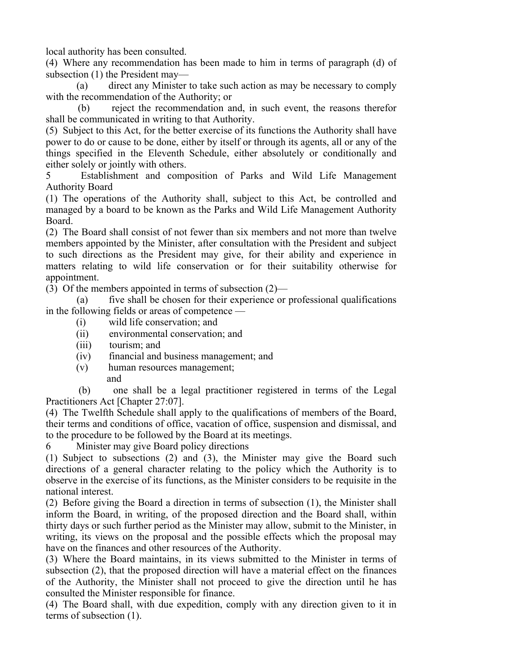local authority has been consulted.

(4) Where any recommendation has been made to him in terms of paragraph (d) of subsection (1) the President may—

 (a) direct any Minister to take such action as may be necessary to comply with the recommendation of the Authority; or

 (b) reject the recommendation and, in such event, the reasons therefor shall be communicated in writing to that Authority.

(5) Subject to this Act, for the better exercise of its functions the Authority shall have power to do or cause to be done, either by itself or through its agents, all or any of the things specified in the Eleventh Schedule, either absolutely or conditionally and either solely or jointly with others.

5 Establishment and composition of Parks and Wild Life Management Authority Board

(1) The operations of the Authority shall, subject to this Act, be controlled and managed by a board to be known as the Parks and Wild Life Management Authority Board.

(2) The Board shall consist of not fewer than six members and not more than twelve members appointed by the Minister, after consultation with the President and subject to such directions as the President may give, for their ability and experience in matters relating to wild life conservation or for their suitability otherwise for appointment.

(3) Of the members appointed in terms of subsection (2)—

 (a) five shall be chosen for their experience or professional qualifications in the following fields or areas of competence —

- (i) wild life conservation; and
- (ii) environmental conservation; and
- (iii) tourism; and
- (iv) financial and business management; and
- (v) human resources management; and

 (b) one shall be a legal practitioner registered in terms of the Legal Practitioners Act [Chapter 27:07].

(4) The Twelfth Schedule shall apply to the qualifications of members of the Board, their terms and conditions of office, vacation of office, suspension and dismissal, and to the procedure to be followed by the Board at its meetings.

6 Minister may give Board policy directions

(1) Subject to subsections (2) and (3), the Minister may give the Board such directions of a general character relating to the policy which the Authority is to observe in the exercise of its functions, as the Minister considers to be requisite in the national interest.

(2) Before giving the Board a direction in terms of subsection (1), the Minister shall inform the Board, in writing, of the proposed direction and the Board shall, within thirty days or such further period as the Minister may allow, submit to the Minister, in writing, its views on the proposal and the possible effects which the proposal may have on the finances and other resources of the Authority.

(3) Where the Board maintains, in its views submitted to the Minister in terms of subsection (2), that the proposed direction will have a material effect on the finances of the Authority, the Minister shall not proceed to give the direction until he has consulted the Minister responsible for finance.

(4) The Board shall, with due expedition, comply with any direction given to it in terms of subsection (1).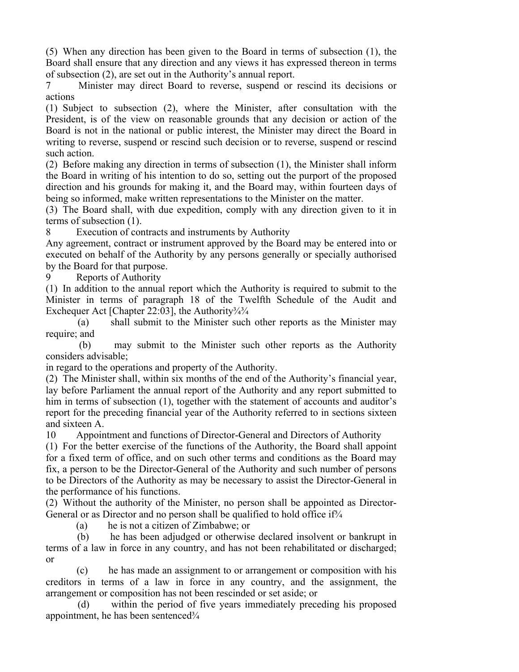(5) When any direction has been given to the Board in terms of subsection (1), the Board shall ensure that any direction and any views it has expressed thereon in terms of subsection (2), are set out in the Authority's annual report.

7 Minister may direct Board to reverse, suspend or rescind its decisions or actions

(1) Subject to subsection (2), where the Minister, after consultation with the President, is of the view on reasonable grounds that any decision or action of the Board is not in the national or public interest, the Minister may direct the Board in writing to reverse, suspend or rescind such decision or to reverse, suspend or rescind such action.

(2) Before making any direction in terms of subsection (1), the Minister shall inform the Board in writing of his intention to do so, setting out the purport of the proposed direction and his grounds for making it, and the Board may, within fourteen days of being so informed, make written representations to the Minister on the matter.

(3) The Board shall, with due expedition, comply with any direction given to it in terms of subsection (1).

8 Execution of contracts and instruments by Authority

Any agreement, contract or instrument approved by the Board may be entered into or executed on behalf of the Authority by any persons generally or specially authorised by the Board for that purpose.

9 Reports of Authority

(1) In addition to the annual report which the Authority is required to submit to the Minister in terms of paragraph 18 of the Twelfth Schedule of the Audit and Exchequer Act [Chapter 22:03], the Authority $\frac{3}{4}$ 

 (a) shall submit to the Minister such other reports as the Minister may require; and

 (b) may submit to the Minister such other reports as the Authority considers advisable;

in regard to the operations and property of the Authority.

(2) The Minister shall, within six months of the end of the Authority's financial year, lay before Parliament the annual report of the Authority and any report submitted to him in terms of subsection (1), together with the statement of accounts and auditor's report for the preceding financial year of the Authority referred to in sections sixteen and sixteen A.

10 Appointment and functions of Director-General and Directors of Authority

(1) For the better exercise of the functions of the Authority, the Board shall appoint for a fixed term of office, and on such other terms and conditions as the Board may fix, a person to be the Director-General of the Authority and such number of persons to be Directors of the Authority as may be necessary to assist the Director-General in the performance of his functions.

(2) Without the authority of the Minister, no person shall be appointed as Director-General or as Director and no person shall be qualified to hold office if<sup>3</sup>/4

(a) he is not a citizen of Zimbabwe; or

 (b) he has been adjudged or otherwise declared insolvent or bankrupt in terms of a law in force in any country, and has not been rehabilitated or discharged; or

 (c) he has made an assignment to or arrangement or composition with his creditors in terms of a law in force in any country, and the assignment, the arrangement or composition has not been rescinded or set aside; or

 (d) within the period of five years immediately preceding his proposed appointment, he has been sentenced<sup>3</sup>/4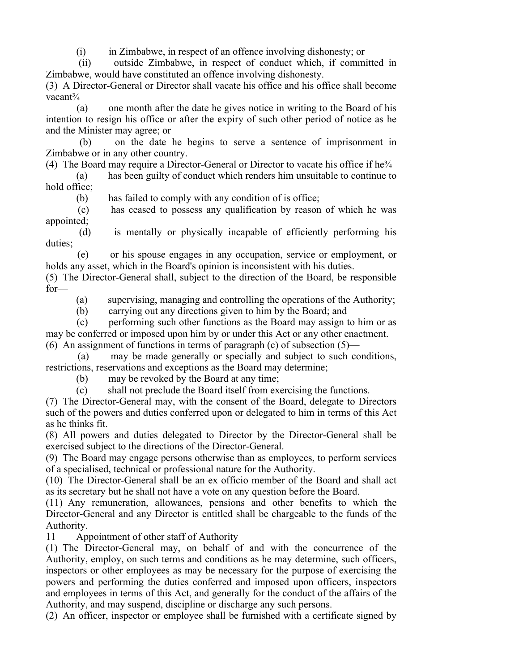(i) in Zimbabwe, in respect of an offence involving dishonesty; or

 (ii) outside Zimbabwe, in respect of conduct which, if committed in Zimbabwe, would have constituted an offence involving dishonesty.

(3) A Director-General or Director shall vacate his office and his office shall become vacant $\frac{3}{4}$ 

 (a) one month after the date he gives notice in writing to the Board of his intention to resign his office or after the expiry of such other period of notice as he and the Minister may agree; or

 (b) on the date he begins to serve a sentence of imprisonment in Zimbabwe or in any other country.

(4) The Board may require a Director-General or Director to vacate his office if he $\frac{3}{4}$ 

 (a) has been guilty of conduct which renders him unsuitable to continue to hold office;

(b) has failed to comply with any condition of is office;

 (c) has ceased to possess any qualification by reason of which he was appointed;

 (d) is mentally or physically incapable of efficiently performing his duties;

 (e) or his spouse engages in any occupation, service or employment, or holds any asset, which in the Board's opinion is inconsistent with his duties.

(5) The Director-General shall, subject to the direction of the Board, be responsible for—

(a) supervising, managing and controlling the operations of the Authority;

(b) carrying out any directions given to him by the Board; and

 (c) performing such other functions as the Board may assign to him or as may be conferred or imposed upon him by or under this Act or any other enactment. (6) An assignment of functions in terms of paragraph (c) of subsection  $(5)$ —

 (a) may be made generally or specially and subject to such conditions, restrictions, reservations and exceptions as the Board may determine;

(b) may be revoked by the Board at any time;

(c) shall not preclude the Board itself from exercising the functions.

(7) The Director-General may, with the consent of the Board, delegate to Directors such of the powers and duties conferred upon or delegated to him in terms of this Act as he thinks fit.

(8) All powers and duties delegated to Director by the Director-General shall be exercised subject to the directions of the Director-General.

(9) The Board may engage persons otherwise than as employees, to perform services of a specialised, technical or professional nature for the Authority.

(10) The Director-General shall be an ex officio member of the Board and shall act as its secretary but he shall not have a vote on any question before the Board.

(11) Any remuneration, allowances, pensions and other benefits to which the Director-General and any Director is entitled shall be chargeable to the funds of the Authority.

11 Appointment of other staff of Authority

(1) The Director-General may, on behalf of and with the concurrence of the Authority, employ, on such terms and conditions as he may determine, such officers, inspectors or other employees as may be necessary for the purpose of exercising the powers and performing the duties conferred and imposed upon officers, inspectors and employees in terms of this Act, and generally for the conduct of the affairs of the Authority, and may suspend, discipline or discharge any such persons.

(2) An officer, inspector or employee shall be furnished with a certificate signed by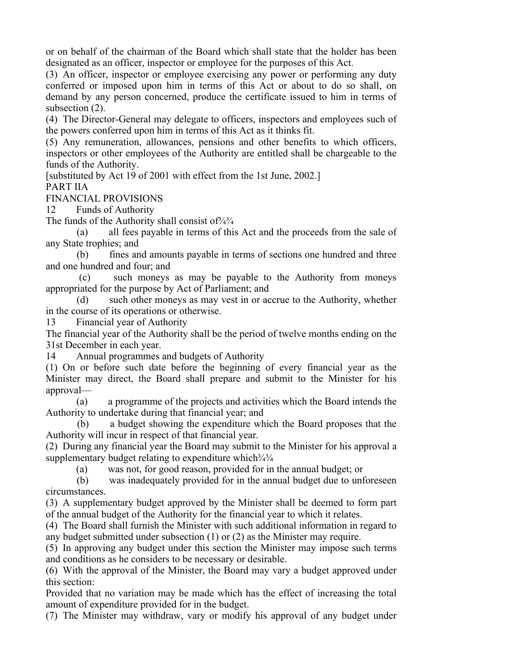or on behalf of the chairman of the Board which shall state that the holder has been designated as an officer, inspector or employee for the purposes of this Act.

(3) An officer, inspector or employee exercising any power or performing any duty conferred or imposed upon him in terms of this Act or about to do so shall, on demand by any person concerned, produce the certificate issued to him in terms of subsection (2).

(4) The Director-General may delegate to officers, inspectors and employees such of the powers conferred upon him in terms of this Act as it thinks fit.

(5) Any remuneration, allowances, pensions and other benefits to which officers, inspectors or other employees of the Authority are entitled shall be chargeable to the funds of the Authority.

[substituted by Act 19 of 2001 with effect from the 1st June, 2002.]

#### PART IIA

#### FINANCIAL PROVISIONS

12 Funds of Authority

The funds of the Authority shall consist of  $\frac{3}{4}$ 

 (a) all fees payable in terms of this Act and the proceeds from the sale of any State trophies; and

 (b) fines and amounts payable in terms of sections one hundred and three and one hundred and four; and

 (c) such moneys as may be payable to the Authority from moneys appropriated for the purpose by Act of Parliament; and

 (d) such other moneys as may vest in or accrue to the Authority, whether in the course of its operations or otherwise.

13 Financial year of Authority

The financial year of the Authority shall be the period of twelve months ending on the 31st December in each year.

14 Annual programmes and budgets of Authority

(1) On or before such date before the beginning of every financial year as the Minister may direct, the Board shall prepare and submit to the Minister for his approval—

 (a) a programme of the projects and activities which the Board intends the Authority to undertake during that financial year; and

 (b) a budget showing the expenditure which the Board proposes that the Authority will incur in respect of that financial year.

(2) During any financial year the Board may submit to the Minister for his approval a supplementary budget relating to expenditure which  $\frac{3}{4}$ 

(a) was not, for good reason, provided for in the annual budget; or

 (b) was inadequately provided for in the annual budget due to unforeseen circumstances.

(3) A supplementary budget approved by the Minister shall be deemed to form part of the annual budget of the Authority for the financial year to which it relates.

(4) The Board shall furnish the Minister with such additional information in regard to any budget submitted under subsection (1) or (2) as the Minister may require.

(5) In approving any budget under this section the Minister may impose such terms and conditions as he considers to be necessary or desirable.

(6) With the approval of the Minister, the Board may vary a budget approved under this section:

Provided that no variation may be made which has the effect of increasing the total amount of expenditure provided for in the budget.

(7) The Minister may withdraw, vary or modify his approval of any budget under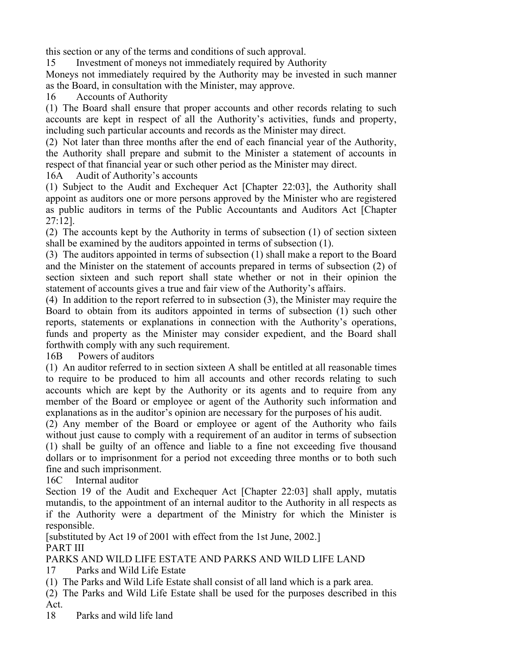this section or any of the terms and conditions of such approval.

15 Investment of moneys not immediately required by Authority

Moneys not immediately required by the Authority may be invested in such manner as the Board, in consultation with the Minister, may approve.

16 Accounts of Authority

(1) The Board shall ensure that proper accounts and other records relating to such accounts are kept in respect of all the Authority's activities, funds and property, including such particular accounts and records as the Minister may direct.

(2) Not later than three months after the end of each financial year of the Authority, the Authority shall prepare and submit to the Minister a statement of accounts in respect of that financial year or such other period as the Minister may direct.

16A Audit of Authority's accounts

(1) Subject to the Audit and Exchequer Act [Chapter 22:03], the Authority shall appoint as auditors one or more persons approved by the Minister who are registered as public auditors in terms of the Public Accountants and Auditors Act [Chapter 27:12].

(2) The accounts kept by the Authority in terms of subsection (1) of section sixteen shall be examined by the auditors appointed in terms of subsection (1).

(3) The auditors appointed in terms of subsection (1) shall make a report to the Board and the Minister on the statement of accounts prepared in terms of subsection (2) of section sixteen and such report shall state whether or not in their opinion the statement of accounts gives a true and fair view of the Authority's affairs.

(4) In addition to the report referred to in subsection (3), the Minister may require the Board to obtain from its auditors appointed in terms of subsection (1) such other reports, statements or explanations in connection with the Authority's operations, funds and property as the Minister may consider expedient, and the Board shall forthwith comply with any such requirement.

16B Powers of auditors

(1) An auditor referred to in section sixteen A shall be entitled at all reasonable times to require to be produced to him all accounts and other records relating to such accounts which are kept by the Authority or its agents and to require from any member of the Board or employee or agent of the Authority such information and explanations as in the auditor's opinion are necessary for the purposes of his audit.

(2) Any member of the Board or employee or agent of the Authority who fails without just cause to comply with a requirement of an auditor in terms of subsection (1) shall be guilty of an offence and liable to a fine not exceeding five thousand dollars or to imprisonment for a period not exceeding three months or to both such fine and such imprisonment.

16C Internal auditor

Section 19 of the Audit and Exchequer Act [Chapter 22:03] shall apply, mutatis mutandis, to the appointment of an internal auditor to the Authority in all respects as if the Authority were a department of the Ministry for which the Minister is responsible.

[substituted by Act 19 of 2001 with effect from the 1st June, 2002.] PART III

PARKS AND WILD LIFE ESTATE AND PARKS AND WILD LIFE LAND

17 Parks and Wild Life Estate

(1) The Parks and Wild Life Estate shall consist of all land which is a park area.

(2) The Parks and Wild Life Estate shall be used for the purposes described in this Act.

18 Parks and wild life land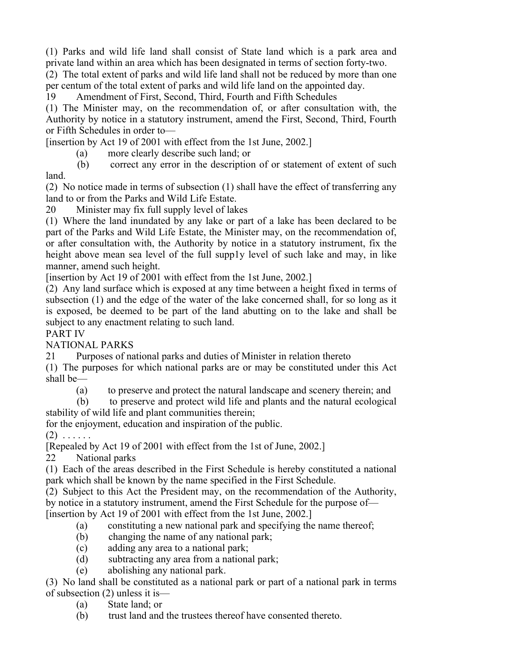(1) Parks and wild life land shall consist of State land which is a park area and private land within an area which has been designated in terms of section forty-two.

(2) The total extent of parks and wild life land shall not be reduced by more than one per centum of the total extent of parks and wild life land on the appointed day.

19 Amendment of First, Second, Third, Fourth and Fifth Schedules

(1) The Minister may, on the recommendation of, or after consultation with, the Authority by notice in a statutory instrument, amend the First, Second, Third, Fourth or Fifth Schedules in order to—

[insertion by Act 19 of 2001 with effect from the 1st June, 2002.]

- (a) more clearly describe such land; or
- (b) correct any error in the description of or statement of extent of such land.

(2) No notice made in terms of subsection (1) shall have the effect of transferring any land to or from the Parks and Wild Life Estate.

20 Minister may fix full supply level of lakes

(1) Where the land inundated by any lake or part of a lake has been declared to be part of the Parks and Wild Life Estate, the Minister may, on the recommendation of, or after consultation with, the Authority by notice in a statutory instrument, fix the height above mean sea level of the full supp1y level of such lake and may, in like manner, amend such height.

[insertion by Act 19 of 2001 with effect from the 1st June, 2002.]

(2) Any land surface which is exposed at any time between a height fixed in terms of subsection (1) and the edge of the water of the lake concerned shall, for so long as it is exposed, be deemed to be part of the land abutting on to the lake and shall be subject to any enactment relating to such land.

PART IV

NATIONAL PARKS

21 Purposes of national parks and duties of Minister in relation thereto

(1) The purposes for which national parks are or may be constituted under this Act shall be—

(a) to preserve and protect the natural landscape and scenery therein; and

 (b) to preserve and protect wild life and plants and the natural ecological stability of wild life and plant communities therein;

for the enjoyment, education and inspiration of the public.

 $(2)$  . . . . . .

[Repealed by Act 19 of 2001 with effect from the 1st of June, 2002.]

22 National parks

(1) Each of the areas described in the First Schedule is hereby constituted a national park which shall be known by the name specified in the First Schedule.

(2) Subject to this Act the President may, on the recommendation of the Authority, by notice in a statutory instrument, amend the First Schedule for the purpose of—

[insertion by Act 19 of 2001 with effect from the 1st June, 2002.]

- (a) constituting a new national park and specifying the name thereof;
- (b) changing the name of any national park;
- (c) adding any area to a national park;
- (d) subtracting any area from a national park;
- (e) abolishing any national park.

(3) No land shall be constituted as a national park or part of a national park in terms of subsection (2) unless it is—

- (a) State land; or
- (b) trust land and the trustees thereof have consented thereto.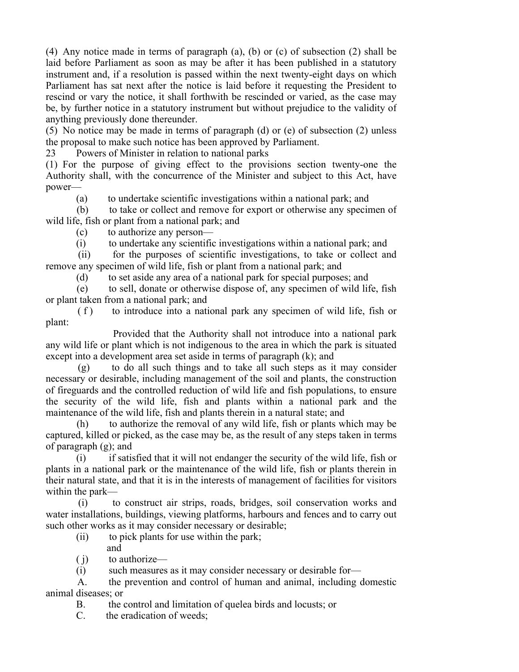(4) Any notice made in terms of paragraph (a), (b) or (c) of subsection (2) shall be laid before Parliament as soon as may be after it has been published in a statutory instrument and, if a resolution is passed within the next twenty-eight days on which Parliament has sat next after the notice is laid before it requesting the President to rescind or vary the notice, it shall forthwith be rescinded or varied, as the case may be, by further notice in a statutory instrument but without prejudice to the validity of anything previously done thereunder.

(5) No notice may be made in terms of paragraph (d) or (e) of subsection (2) unless the proposal to make such notice has been approved by Parliament.

23 Powers of Minister in relation to national parks

(1) For the purpose of giving effect to the provisions section twenty-one the Authority shall, with the concurrence of the Minister and subject to this Act, have power—

(a) to undertake scientific investigations within a national park; and

 (b) to take or collect and remove for export or otherwise any specimen of wild life, fish or plant from a national park; and

(c) to authorize any person—

(i) to undertake any scientific investigations within a national park; and

 (ii) for the purposes of scientific investigations, to take or collect and remove any specimen of wild life, fish or plant from a national park; and

(d) to set aside any area of a national park for special purposes; and

 (e) to sell, donate or otherwise dispose of, any specimen of wild life, fish or plant taken from a national park; and

 $(f)$  to introduce into a national park any specimen of wild life, fish or plant:

 Provided that the Authority shall not introduce into a national park any wild life or plant which is not indigenous to the area in which the park is situated except into a development area set aside in terms of paragraph (k); and

 (g) to do all such things and to take all such steps as it may consider necessary or desirable, including management of the soil and plants, the construction of fireguards and the controlled reduction of wild life and fish populations, to ensure the security of the wild life, fish and plants within a national park and the maintenance of the wild life, fish and plants therein in a natural state; and

 (h) to authorize the removal of any wild life, fish or plants which may be captured, killed or picked, as the case may be, as the result of any steps taken in terms of paragraph (g); and

 (i) if satisfied that it will not endanger the security of the wild life, fish or plants in a national park or the maintenance of the wild life, fish or plants therein in their natural state, and that it is in the interests of management of facilities for visitors within the park—

 (i) to construct air strips, roads, bridges, soil conservation works and water installations, buildings, viewing platforms, harbours and fences and to carry out such other works as it may consider necessary or desirable;

- (ii) to pick plants for use within the park;
	- and
- $(j)$  to authorize—

(i) such measures as it may consider necessary or desirable for—

 A. the prevention and control of human and animal, including domestic animal diseases; or

B. the control and limitation of quelea birds and locusts; or

C. the eradication of weeds;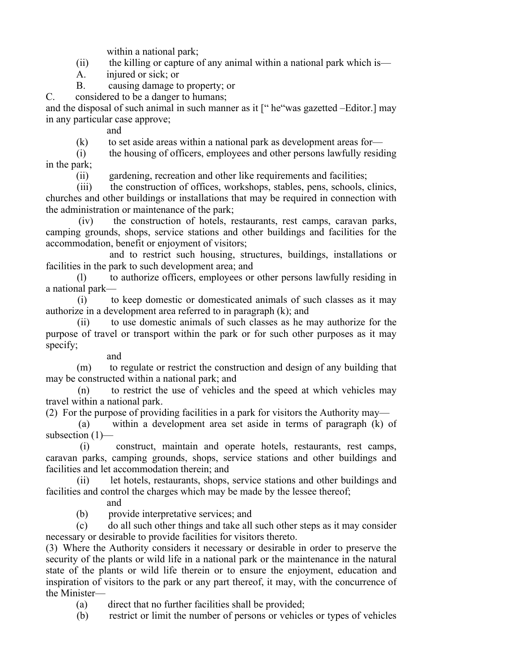within a national park;

- (ii) the killing or capture of any animal within a national park which is—
- A. injured or sick; or
- B. causing damage to property; or

C. considered to be a danger to humans;

and the disposal of such animal in such manner as it [" he"was gazetted –Editor.] may in any particular case approve;

and

 $(k)$  to set aside areas within a national park as development areas for—

 (i) the housing of officers, employees and other persons lawfully residing in the park;

(ii) gardening, recreation and other like requirements and facilities;

 (iii) the construction of offices, workshops, stables, pens, schools, clinics, churches and other buildings or installations that may be required in connection with the administration or maintenance of the park;

 (iv) the construction of hotels, restaurants, rest camps, caravan parks, camping grounds, shops, service stations and other buildings and facilities for the accommodation, benefit or enjoyment of visitors;

 and to restrict such housing, structures, buildings, installations or facilities in the park to such development area; and

 (l) to authorize officers, employees or other persons lawfully residing in a national park—

 (i) to keep domestic or domesticated animals of such classes as it may authorize in a development area referred to in paragraph (k); and

 (ii) to use domestic animals of such classes as he may authorize for the purpose of travel or transport within the park or for such other purposes as it may specify;

## and

 (m) to regulate or restrict the construction and design of any building that may be constructed within a national park; and

 (n) to restrict the use of vehicles and the speed at which vehicles may travel within a national park.

(2) For the purpose of providing facilities in a park for visitors the Authority may—

 (a) within a development area set aside in terms of paragraph (k) of subsection (1)—

 (i) construct, maintain and operate hotels, restaurants, rest camps, caravan parks, camping grounds, shops, service stations and other buildings and facilities and let accommodation therein; and

 (ii) let hotels, restaurants, shops, service stations and other buildings and facilities and control the charges which may be made by the lessee thereof;

and

(b) provide interpretative services; and

 (c) do all such other things and take all such other steps as it may consider necessary or desirable to provide facilities for visitors thereto.

(3) Where the Authority considers it necessary or desirable in order to preserve the security of the plants or wild life in a national park or the maintenance in the natural state of the plants or wild life therein or to ensure the enjoyment, education and inspiration of visitors to the park or any part thereof, it may, with the concurrence of the Minister—

(a) direct that no further facilities shall be provided;

(b) restrict or limit the number of persons or vehicles or types of vehicles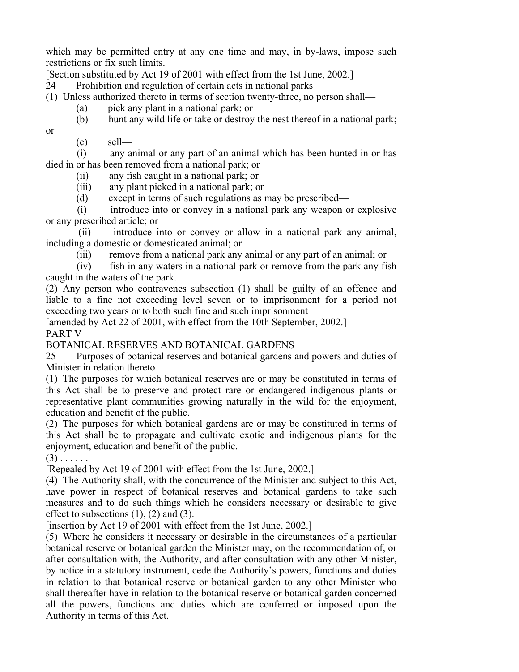which may be permitted entry at any one time and may, in by-laws, impose such restrictions or fix such limits.

[Section substituted by Act 19 of 2001 with effect from the 1st June, 2002.]

24 Prohibition and regulation of certain acts in national parks

(1) Unless authorized thereto in terms of section twenty-three, no person shall—

(a) pick any plant in a national park; or

(b) hunt any wild life or take or destroy the nest thereof in a national park;

or

(c) sell—

 (i) any animal or any part of an animal which has been hunted in or has died in or has been removed from a national park; or

(ii) any fish caught in a national park; or

(iii) any plant picked in a national park; or

(d) except in terms of such regulations as may be prescribed—

 (i) introduce into or convey in a national park any weapon or explosive or any prescribed article; or

 (ii) introduce into or convey or allow in a national park any animal, including a domestic or domesticated animal; or

(iii) remove from a national park any animal or any part of an animal; or

 (iv) fish in any waters in a national park or remove from the park any fish caught in the waters of the park.

(2) Any person who contravenes subsection (1) shall be guilty of an offence and liable to a fine not exceeding level seven or to imprisonment for a period not exceeding two years or to both such fine and such imprisonment

[amended by Act 22 of 2001, with effect from the 10th September, 2002.] PART V

BOTANICAL RESERVES AND BOTANICAL GARDENS

25 Purposes of botanical reserves and botanical gardens and powers and duties of Minister in relation thereto

(1) The purposes for which botanical reserves are or may be constituted in terms of this Act shall be to preserve and protect rare or endangered indigenous plants or representative plant communities growing naturally in the wild for the enjoyment, education and benefit of the public.

(2) The purposes for which botanical gardens are or may be constituted in terms of this Act shall be to propagate and cultivate exotic and indigenous plants for the enjoyment, education and benefit of the public.

 $(3)$  . . . . . .

[Repealed by Act 19 of 2001 with effect from the 1st June, 2002.]

(4) The Authority shall, with the concurrence of the Minister and subject to this Act, have power in respect of botanical reserves and botanical gardens to take such measures and to do such things which he considers necessary or desirable to give effect to subsections  $(1)$ ,  $(2)$  and  $(3)$ .

[insertion by Act 19 of 2001 with effect from the 1st June, 2002.]

(5) Where he considers it necessary or desirable in the circumstances of a particular botanical reserve or botanical garden the Minister may, on the recommendation of, or after consultation with, the Authority, and after consultation with any other Minister, by notice in a statutory instrument, cede the Authority's powers, functions and duties in relation to that botanical reserve or botanical garden to any other Minister who shall thereafter have in relation to the botanical reserve or botanical garden concerned all the powers, functions and duties which are conferred or imposed upon the Authority in terms of this Act.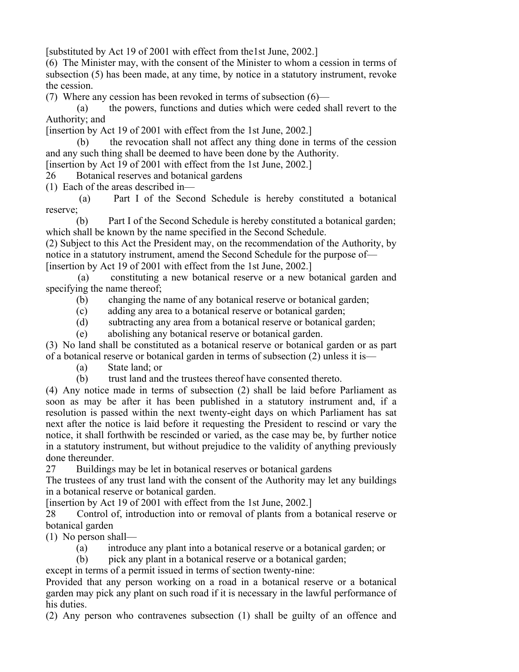[substituted by Act 19 of 2001 with effect from the1st June, 2002.]

(6) The Minister may, with the consent of the Minister to whom a cession in terms of subsection (5) has been made, at any time, by notice in a statutory instrument, revoke the cession.

(7) Where any cession has been revoked in terms of subsection (6)—

 (a) the powers, functions and duties which were ceded shall revert to the Authority; and

[insertion by Act 19 of 2001 with effect from the 1st June, 2002.]

 (b) the revocation shall not affect any thing done in terms of the cession and any such thing shall be deemed to have been done by the Authority.

[insertion by Act 19 of 2001 with effect from the 1st June, 2002.]

26 Botanical reserves and botanical gardens

(1) Each of the areas described in—

 (a) Part I of the Second Schedule is hereby constituted a botanical reserve;

 (b) Part I of the Second Schedule is hereby constituted a botanical garden; which shall be known by the name specified in the Second Schedule.

(2) Subject to this Act the President may, on the recommendation of the Authority, by notice in a statutory instrument, amend the Second Schedule for the purpose of— [insertion by Act 19 of 2001 with effect from the 1st June, 2002.]

 (a) constituting a new botanical reserve or a new botanical garden and specifying the name thereof;

(b) changing the name of any botanical reserve or botanical garden;

(c) adding any area to a botanical reserve or botanical garden;

(d) subtracting any area from a botanical reserve or botanical garden;

(e) abolishing any botanical reserve or botanical garden.

(3) No land shall be constituted as a botanical reserve or botanical garden or as part of a botanical reserve or botanical garden in terms of subsection (2) unless it is—

(a) State land; or

(b) trust land and the trustees thereof have consented thereto.

(4) Any notice made in terms of subsection (2) shall be laid before Parliament as soon as may be after it has been published in a statutory instrument and, if a resolution is passed within the next twenty-eight days on which Parliament has sat next after the notice is laid before it requesting the President to rescind or vary the notice, it shall forthwith be rescinded or varied, as the case may be, by further notice in a statutory instrument, but without prejudice to the validity of anything previously done thereunder.

27 Buildings may be let in botanical reserves or botanical gardens

The trustees of any trust land with the consent of the Authority may let any buildings in a botanical reserve or botanical garden.

[insertion by Act 19 of 2001 with effect from the 1st June, 2002.]

28 Control of, introduction into or removal of plants from a botanical reserve or botanical garden

(1) No person shall—

(a) introduce any plant into a botanical reserve or a botanical garden; or

(b) pick any plant in a botanical reserve or a botanical garden;

except in terms of a permit issued in terms of section twenty-nine:

Provided that any person working on a road in a botanical reserve or a botanical garden may pick any plant on such road if it is necessary in the lawful performance of his duties.

(2) Any person who contravenes subsection (1) shall be guilty of an offence and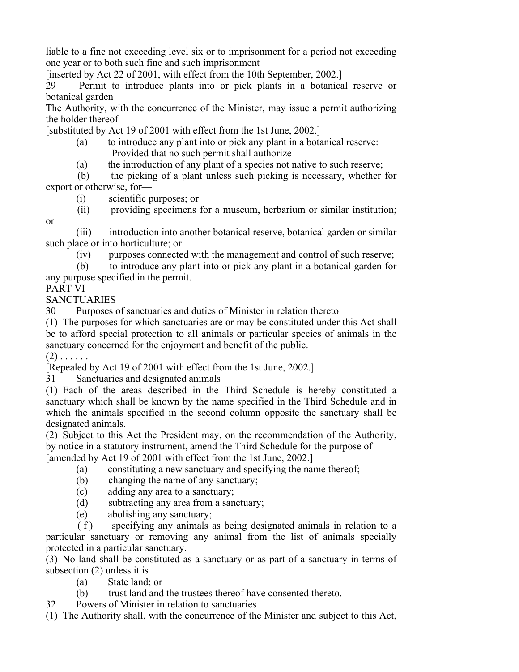liable to a fine not exceeding level six or to imprisonment for a period not exceeding one year or to both such fine and such imprisonment

[inserted by Act 22 of 2001, with effect from the 10th September, 2002.]

29 Permit to introduce plants into or pick plants in a botanical reserve or botanical garden

The Authority, with the concurrence of the Minister, may issue a permit authorizing the holder thereof—

[substituted by Act 19 of 2001 with effect from the 1st June, 2002.]

 (a) to introduce any plant into or pick any plant in a botanical reserve: Provided that no such permit shall authorize—

(a) the introduction of any plant of a species not native to such reserve;

 (b) the picking of a plant unless such picking is necessary, whether for export or otherwise, for—

(i) scientific purposes; or

 (ii) providing specimens for a museum, herbarium or similar institution; or

 (iii) introduction into another botanical reserve, botanical garden or similar such place or into horticulture; or

(iv) purposes connected with the management and control of such reserve;

 (b) to introduce any plant into or pick any plant in a botanical garden for any purpose specified in the permit.

PART VI

**SANCTUARIES** 

30 Purposes of sanctuaries and duties of Minister in relation thereto

(1) The purposes for which sanctuaries are or may be constituted under this Act shall be to afford special protection to all animals or particular species of animals in the sanctuary concerned for the enjoyment and benefit of the public.

 $(2)$  . . . . . .

[Repealed by Act 19 of 2001 with effect from the 1st June, 2002.]

31 Sanctuaries and designated animals

(1) Each of the areas described in the Third Schedule is hereby constituted a sanctuary which shall be known by the name specified in the Third Schedule and in which the animals specified in the second column opposite the sanctuary shall be designated animals.

(2) Subject to this Act the President may, on the recommendation of the Authority, by notice in a statutory instrument, amend the Third Schedule for the purpose of—

[amended by Act 19 of 2001 with effect from the 1st June, 2002.]

(a) constituting a new sanctuary and specifying the name thereof;

(b) changing the name of any sanctuary;

(c) adding any area to a sanctuary;

- (d) subtracting any area from a sanctuary;
- (e) abolishing any sanctuary;

 ( f ) specifying any animals as being designated animals in relation to a particular sanctuary or removing any animal from the list of animals specially protected in a particular sanctuary.

(3) No land shall be constituted as a sanctuary or as part of a sanctuary in terms of subsection (2) unless it is—

(a) State land; or

(b) trust land and the trustees thereof have consented thereto.

32 Powers of Minister in relation to sanctuaries

(1) The Authority shall, with the concurrence of the Minister and subject to this Act,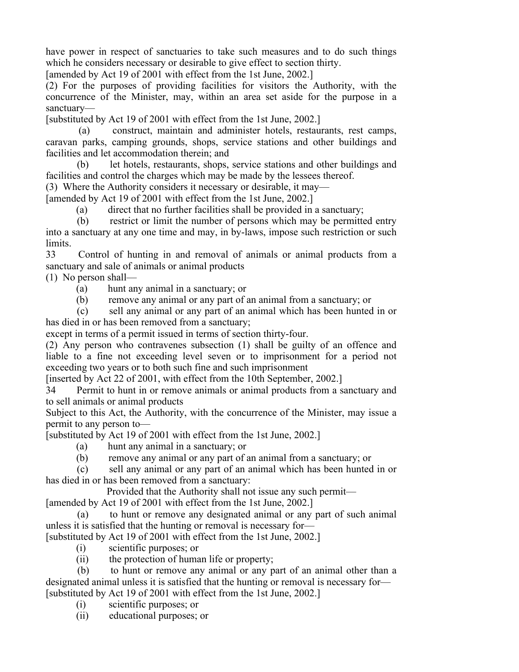have power in respect of sanctuaries to take such measures and to do such things which he considers necessary or desirable to give effect to section thirty.

[amended by Act 19 of 2001 with effect from the 1st June, 2002.]

(2) For the purposes of providing facilities for visitors the Authority, with the concurrence of the Minister, may, within an area set aside for the purpose in a sanctuary—

[substituted by Act 19 of 2001 with effect from the 1st June, 2002.]

 (a) construct, maintain and administer hotels, restaurants, rest camps, caravan parks, camping grounds, shops, service stations and other buildings and facilities and let accommodation therein; and

 (b) let hotels, restaurants, shops, service stations and other buildings and facilities and control the charges which may be made by the lessees thereof.

(3) Where the Authority considers it necessary or desirable, it may—

[amended by Act 19 of 2001 with effect from the 1st June, 2002.]

(a) direct that no further facilities shall be provided in a sanctuary;

 (b) restrict or limit the number of persons which may be permitted entry into a sanctuary at any one time and may, in by-laws, impose such restriction or such limits.

33 Control of hunting in and removal of animals or animal products from a sanctuary and sale of animals or animal products

(1) No person shall—

(a) hunt any animal in a sanctuary; or

(b) remove any animal or any part of an animal from a sanctuary; or

 (c) sell any animal or any part of an animal which has been hunted in or has died in or has been removed from a sanctuary;

except in terms of a permit issued in terms of section thirty-four.

(2) Any person who contravenes subsection (1) shall be guilty of an offence and liable to a fine not exceeding level seven or to imprisonment for a period not exceeding two years or to both such fine and such imprisonment

[inserted by Act 22 of 2001, with effect from the 10th September, 2002.]

34 Permit to hunt in or remove animals or animal products from a sanctuary and to sell animals or animal products

Subject to this Act, the Authority, with the concurrence of the Minister, may issue a permit to any person to—

[substituted by Act 19 of 2001 with effect from the 1st June, 2002.]

(a) hunt any animal in a sanctuary; or

(b) remove any animal or any part of an animal from a sanctuary; or

 (c) sell any animal or any part of an animal which has been hunted in or has died in or has been removed from a sanctuary:

Provided that the Authority shall not issue any such permit—

[amended by Act 19 of 2001 with effect from the 1st June, 2002.]

 (a) to hunt or remove any designated animal or any part of such animal unless it is satisfied that the hunting or removal is necessary for—

[substituted by Act 19 of 2001 with effect from the 1st June, 2002.]

- (i) scientific purposes; or
- (ii) the protection of human life or property;

 (b) to hunt or remove any animal or any part of an animal other than a designated animal unless it is satisfied that the hunting or removal is necessary for— [substituted by Act 19 of 2001 with effect from the 1st June, 2002.]

(i) scientific purposes; or

(ii) educational purposes; or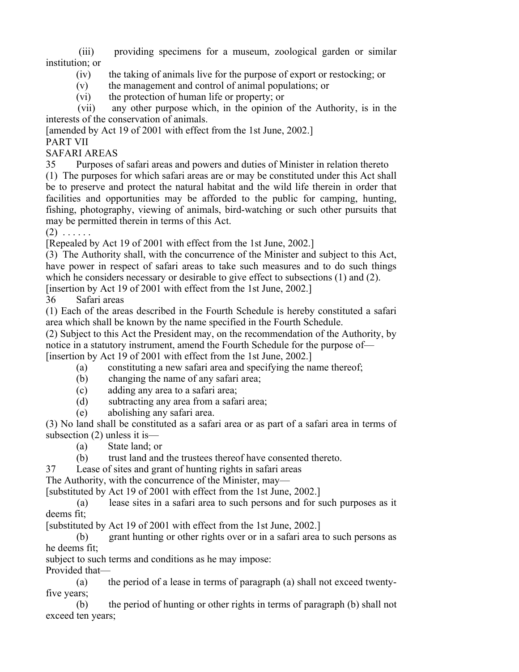(iii) providing specimens for a museum, zoological garden or similar institution; or

- (iv) the taking of animals live for the purpose of export or restocking; or
- (v) the management and control of animal populations; or

(vi) the protection of human life or property; or

 (vii) any other purpose which, in the opinion of the Authority, is in the interests of the conservation of animals.

[amended by Act 19 of 2001 with effect from the 1st June, 2002.]

# PART VII

# SAFARI AREAS

35 Purposes of safari areas and powers and duties of Minister in relation thereto

(1) The purposes for which safari areas are or may be constituted under this Act shall be to preserve and protect the natural habitat and the wild life therein in order that facilities and opportunities may be afforded to the public for camping, hunting, fishing, photography, viewing of animals, bird-watching or such other pursuits that may be permitted therein in terms of this Act.

 $(2)$  . . . . . .

[Repealed by Act 19 of 2001 with effect from the 1st June, 2002.]

(3) The Authority shall, with the concurrence of the Minister and subject to this Act, have power in respect of safari areas to take such measures and to do such things which he considers necessary or desirable to give effect to subsections (1) and (2).

[insertion by Act 19 of 2001 with effect from the 1st June, 2002.]

36 Safari areas

(1) Each of the areas described in the Fourth Schedule is hereby constituted a safari area which shall be known by the name specified in the Fourth Schedule.

(2) Subject to this Act the President may, on the recommendation of the Authority, by notice in a statutory instrument, amend the Fourth Schedule for the purpose of—

[insertion by Act 19 of 2001 with effect from the 1st June, 2002.]

(a) constituting a new safari area and specifying the name thereof;

- (b) changing the name of any safari area;
- (c) adding any area to a safari area;
- (d) subtracting any area from a safari area;
- (e) abolishing any safari area.

(3) No land shall be constituted as a safari area or as part of a safari area in terms of subsection (2) unless it is—

(a) State land; or

(b) trust land and the trustees thereof have consented thereto.

37 Lease of sites and grant of hunting rights in safari areas

The Authority, with the concurrence of the Minister, may—

[substituted by Act 19 of 2001 with effect from the 1st June, 2002.]

 (a) lease sites in a safari area to such persons and for such purposes as it deems fit;

[substituted by Act 19 of 2001 with effect from the 1st June, 2002.]

 (b) grant hunting or other rights over or in a safari area to such persons as he deems fit;

subject to such terms and conditions as he may impose:

Provided that—

 (a) the period of a lease in terms of paragraph (a) shall not exceed twentyfive years;

 (b) the period of hunting or other rights in terms of paragraph (b) shall not exceed ten years;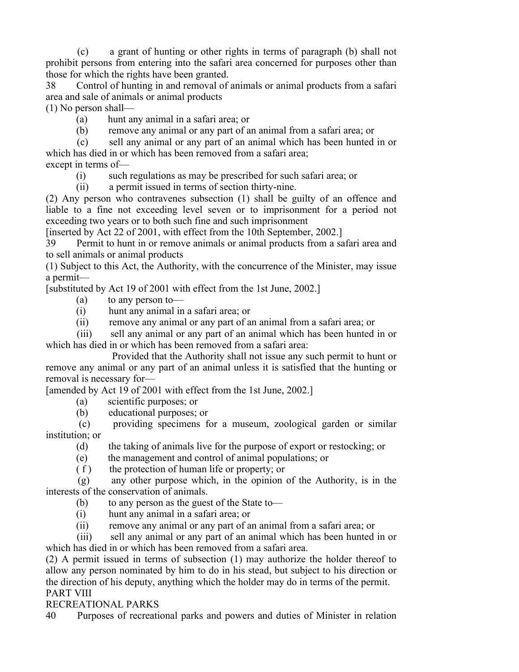(c) a grant of hunting or other rights in terms of paragraph (b) shall not prohibit persons from entering into the safari area concerned for purposes other than those for which the rights have been granted.

38 Control of hunting in and removal of animals or animal products from a safari area and sale of animals or animal products

(1) No person shall—

(a) hunt any animal in a safari area; or

(b) remove any animal or any part of an animal from a safari area; or

 (c) sell any animal or any part of an animal which has been hunted in or which has died in or which has been removed from a safari area; except in terms of—

(i) such regulations as may be prescribed for such safari area; or

(ii) a permit issued in terms of section thirty-nine.

(2) Any person who contravenes subsection (1) shall be guilty of an offence and liable to a fine not exceeding level seven or to imprisonment for a period not exceeding two years or to both such fine and such imprisonment

[inserted by Act 22 of 2001, with effect from the 10th September, 2002.]

39 Permit to hunt in or remove animals or animal products from a safari area and to sell animals or animal products

(1) Subject to this Act, the Authority, with the concurrence of the Minister, may issue a permit—

[substituted by Act 19 of 2001 with effect from the 1st June, 2002.]

(a) to any person to—

(i) hunt any animal in a safari area; or

(ii) remove any animal or any part of an animal from a safari area; or

 (iii) sell any animal or any part of an animal which has been hunted in or which has died in or which has been removed from a safari area:

 Provided that the Authority shall not issue any such permit to hunt or remove any animal or any part of an animal unless it is satisfied that the hunting or removal is necessary for—

[amended by Act 19 of 2001 with effect from the 1st June, 2002.]

(a) scientific purposes; or

(b) educational purposes; or

 (c) providing specimens for a museum, zoological garden or similar institution; or

(d) the taking of animals live for the purpose of export or restocking; or

(e) the management and control of animal populations; or

 $(f)$  the protection of human life or property; or

 (g) any other purpose which, in the opinion of the Authority, is in the interests of the conservation of animals.

(b) to any person as the guest of the State to—

(i) hunt any animal in a safari area; or

(ii) remove any animal or any part of an animal from a safari area; or

 (iii) sell any animal or any part of an animal which has been hunted in or which has died in or which has been removed from a safari area.

(2) A permit issued in terms of subsection (1) may authorize the holder thereof to allow any person nominated by him to do in his stead, but subject to his direction or the direction of his deputy, anything which the holder may do in terms of the permit. PART VIII

# RECREATIONAL PARKS

40 Purposes of recreational parks and powers and duties of Minister in relation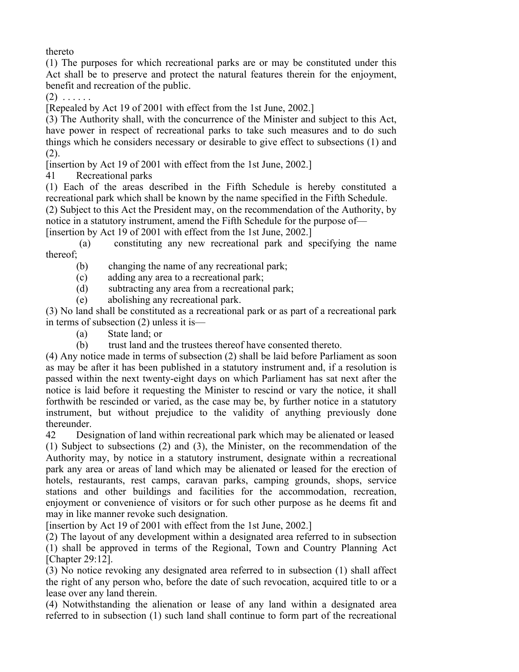thereto

(1) The purposes for which recreational parks are or may be constituted under this Act shall be to preserve and protect the natural features therein for the enjoyment, benefit and recreation of the public.

 $(2)$  . . . . . . .

[Repealed by Act 19 of 2001 with effect from the 1st June, 2002.]

(3) The Authority shall, with the concurrence of the Minister and subject to this Act, have power in respect of recreational parks to take such measures and to do such things which he considers necessary or desirable to give effect to subsections (1) and (2).

[insertion by Act 19 of 2001 with effect from the 1st June, 2002.]

41 Recreational parks

(1) Each of the areas described in the Fifth Schedule is hereby constituted a recreational park which shall be known by the name specified in the Fifth Schedule.

(2) Subject to this Act the President may, on the recommendation of the Authority, by notice in a statutory instrument, amend the Fifth Schedule for the purpose of—

[insertion by Act 19 of 2001 with effect from the 1st June, 2002.]

 (a) constituting any new recreational park and specifying the name thereof;

(b) changing the name of any recreational park;

(c) adding any area to a recreational park;

(d) subtracting any area from a recreational park;

(e) abolishing any recreational park.

(3) No land shall be constituted as a recreational park or as part of a recreational park in terms of subsection (2) unless it is—

(a) State land; or

(b) trust land and the trustees thereof have consented thereto.

(4) Any notice made in terms of subsection (2) shall be laid before Parliament as soon as may be after it has been published in a statutory instrument and, if a resolution is passed within the next twenty-eight days on which Parliament has sat next after the notice is laid before it requesting the Minister to rescind or vary the notice, it shall forthwith be rescinded or varied, as the case may be, by further notice in a statutory instrument, but without prejudice to the validity of anything previously done thereunder.

42 Designation of land within recreational park which may be alienated or leased (1) Subject to subsections (2) and (3), the Minister, on the recommendation of the Authority may, by notice in a statutory instrument, designate within a recreational park any area or areas of land which may be alienated or leased for the erection of hotels, restaurants, rest camps, caravan parks, camping grounds, shops, service stations and other buildings and facilities for the accommodation, recreation, enjoyment or convenience of visitors or for such other purpose as he deems fit and may in like manner revoke such designation.

[insertion by Act 19 of 2001 with effect from the 1st June, 2002.]

(2) The layout of any development within a designated area referred to in subsection (1) shall be approved in terms of the Regional, Town and Country Planning Act [Chapter 29:12].

(3) No notice revoking any designated area referred to in subsection (1) shall affect the right of any person who, before the date of such revocation, acquired title to or a lease over any land therein.

(4) Notwithstanding the alienation or lease of any land within a designated area referred to in subsection (1) such land shall continue to form part of the recreational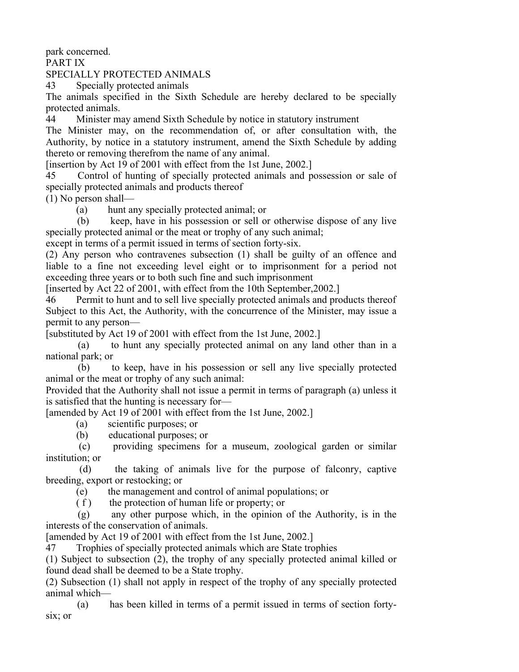park concerned.

PART IX

#### SPECIALLY PROTECTED ANIMALS

43 Specially protected animals

The animals specified in the Sixth Schedule are hereby declared to be specially protected animals.

44 Minister may amend Sixth Schedule by notice in statutory instrument

The Minister may, on the recommendation of, or after consultation with, the Authority, by notice in a statutory instrument, amend the Sixth Schedule by adding thereto or removing therefrom the name of any animal.

[insertion by Act 19 of 2001 with effect from the 1st June, 2002.]

45 Control of hunting of specially protected animals and possession or sale of specially protected animals and products thereof

(1) No person shall—

(a) hunt any specially protected animal; or

 (b) keep, have in his possession or sell or otherwise dispose of any live specially protected animal or the meat or trophy of any such animal;

except in terms of a permit issued in terms of section forty-six.

(2) Any person who contravenes subsection (1) shall be guilty of an offence and liable to a fine not exceeding level eight or to imprisonment for a period not exceeding three years or to both such fine and such imprisonment

[inserted by Act 22 of 2001, with effect from the 10th September,2002.]

46 Permit to hunt and to sell live specially protected animals and products thereof Subject to this Act, the Authority, with the concurrence of the Minister, may issue a permit to any person—

[substituted by Act 19 of 2001 with effect from the 1st June, 2002.]

 (a) to hunt any specially protected animal on any land other than in a national park; or

 (b) to keep, have in his possession or sell any live specially protected animal or the meat or trophy of any such animal:

Provided that the Authority shall not issue a permit in terms of paragraph (a) unless it is satisfied that the hunting is necessary for—

[amended by Act 19 of 2001 with effect from the 1st June, 2002.]

(a) scientific purposes; or

(b) educational purposes; or

 (c) providing specimens for a museum, zoological garden or similar institution; or

 (d) the taking of animals live for the purpose of falconry, captive breeding, export or restocking; or

(e) the management and control of animal populations; or

 $(f)$  the protection of human life or property; or

 (g) any other purpose which, in the opinion of the Authority, is in the interests of the conservation of animals.

[amended by Act 19 of 2001 with effect from the 1st June, 2002.]

47 Trophies of specially protected animals which are State trophies

(1) Subject to subsection (2), the trophy of any specially protected animal killed or found dead shall be deemed to be a State trophy.

(2) Subsection (1) shall not apply in respect of the trophy of any specially protected animal which—

 (a) has been killed in terms of a permit issued in terms of section fortysix; or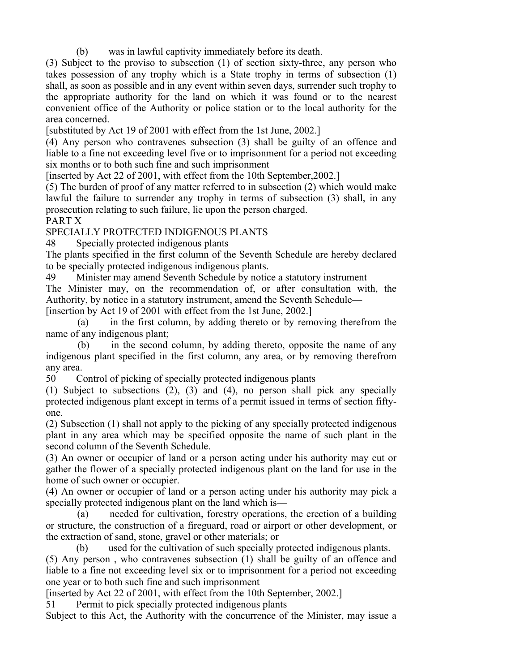(b) was in lawful captivity immediately before its death.

(3) Subject to the proviso to subsection (1) of section sixty-three, any person who takes possession of any trophy which is a State trophy in terms of subsection (1) shall, as soon as possible and in any event within seven days, surrender such trophy to the appropriate authority for the land on which it was found or to the nearest convenient office of the Authority or police station or to the local authority for the area concerned.

[substituted by Act 19 of 2001 with effect from the 1st June, 2002.]

(4) Any person who contravenes subsection (3) shall be guilty of an offence and liable to a fine not exceeding level five or to imprisonment for a period not exceeding six months or to both such fine and such imprisonment

[inserted by Act 22 of 2001, with effect from the 10th September,2002.]

(5) The burden of proof of any matter referred to in subsection (2) which would make lawful the failure to surrender any trophy in terms of subsection (3) shall, in any prosecution relating to such failure, lie upon the person charged.

PART X

SPECIALLY PROTECTED INDIGENOUS PLANTS

48 Specially protected indigenous plants

The plants specified in the first column of the Seventh Schedule are hereby declared to be specially protected indigenous indigenous plants.

49 Minister may amend Seventh Schedule by notice a statutory instrument

The Minister may, on the recommendation of, or after consultation with, the Authority, by notice in a statutory instrument, amend the Seventh Schedule—

[insertion by Act 19 of 2001 with effect from the 1st June, 2002.]

 (a) in the first column, by adding thereto or by removing therefrom the name of any indigenous plant;

 (b) in the second column, by adding thereto, opposite the name of any indigenous plant specified in the first column, any area, or by removing therefrom any area.

50 Control of picking of specially protected indigenous plants

(1) Subject to subsections (2), (3) and (4), no person shall pick any specially protected indigenous plant except in terms of a permit issued in terms of section fiftyone.

(2) Subsection (1) shall not apply to the picking of any specially protected indigenous plant in any area which may be specified opposite the name of such plant in the second column of the Seventh Schedule.

(3) An owner or occupier of land or a person acting under his authority may cut or gather the flower of a specially protected indigenous plant on the land for use in the home of such owner or occupier.

(4) An owner or occupier of land or a person acting under his authority may pick a specially protected indigenous plant on the land which is—

 (a) needed for cultivation, forestry operations, the erection of a building or structure, the construction of a fireguard, road or airport or other development, or the extraction of sand, stone, gravel or other materials; or

(b) used for the cultivation of such specially protected indigenous plants.

(5) Any person , who contravenes subsection (1) shall be guilty of an offence and liable to a fine not exceeding level six or to imprisonment for a period not exceeding one year or to both such fine and such imprisonment

[inserted by Act 22 of 2001, with effect from the 10th September, 2002.]

51 Permit to pick specially protected indigenous plants

Subject to this Act, the Authority with the concurrence of the Minister, may issue a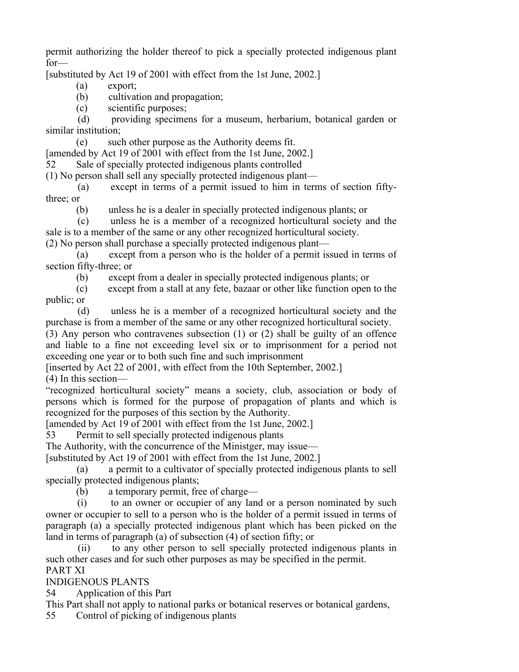permit authorizing the holder thereof to pick a specially protected indigenous plant for—

[substituted by Act 19 of 2001 with effect from the 1st June, 2002.]

(a) export;

(b) cultivation and propagation;

(c) scientific purposes;

 (d) providing specimens for a museum, herbarium, botanical garden or similar institution;

(e) such other purpose as the Authority deems fit.

[amended by Act 19 of 2001 with effect from the 1st June, 2002.] 52 Sale of specially protected indigenous plants controlled

(1) No person shall sell any specially protected indigenous plant—

 (a) except in terms of a permit issued to him in terms of section fiftythree; or

(b) unless he is a dealer in specially protected indigenous plants; or

 (c) unless he is a member of a recognized horticultural society and the sale is to a member of the same or any other recognized horticultural society.

(2) No person shall purchase a specially protected indigenous plant—

 (a) except from a person who is the holder of a permit issued in terms of section fifty-three; or

(b) except from a dealer in specially protected indigenous plants; or

 (c) except from a stall at any fete, bazaar or other like function open to the public; or

 (d) unless he is a member of a recognized horticultural society and the purchase is from a member of the same or any other recognized horticultural society.

(3) Any person who contravenes subsection (1) or (2) shall be guilty of an offence and liable to a fine not exceeding level six or to imprisonment for a period not exceeding one year or to both such fine and such imprisonment

[inserted by Act 22 of 2001, with effect from the 10th September, 2002.] (4) In this section—

"recognized horticultural society" means a society, club, association or body of persons which is formed for the purpose of propagation of plants and which is recognized for the purposes of this section by the Authority.

[amended by Act 19 of 2001 with effect from the 1st June, 2002.]

53 Permit to sell specially protected indigenous plants

The Authority, with the concurrence of the Ministger, may issue—

[substituted by Act 19 of 2001 with effect from the 1st June, 2002.]

 (a) a permit to a cultivator of specially protected indigenous plants to sell specially protected indigenous plants;

(b) a temporary permit, free of charge—

 (i) to an owner or occupier of any land or a person nominated by such owner or occupier to sell to a person who is the holder of a permit issued in terms of paragraph (a) a specially protected indigenous plant which has been picked on the land in terms of paragraph (a) of subsection (4) of section fifty; or

 (ii) to any other person to sell specially protected indigenous plants in such other cases and for such other purposes as may be specified in the permit. PART XI

INDIGENOUS PLANTS

54 Application of this Part

This Part shall not apply to national parks or botanical reserves or botanical gardens,

55 Control of picking of indigenous plants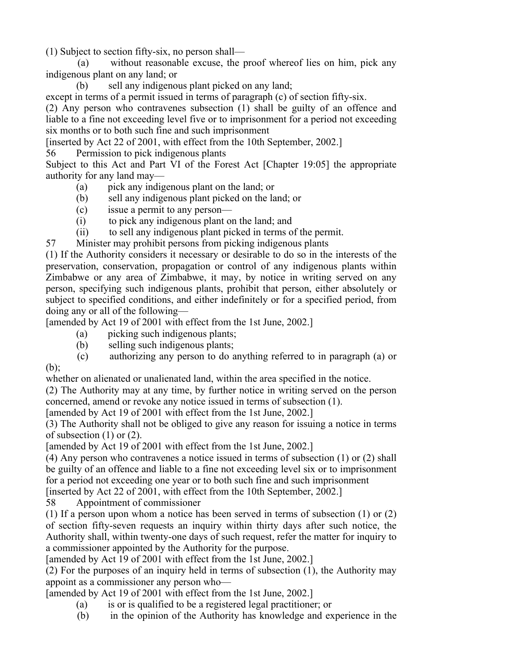(1) Subject to section fifty-six, no person shall—

 (a) without reasonable excuse, the proof whereof lies on him, pick any indigenous plant on any land; or

(b) sell any indigenous plant picked on any land;

except in terms of a permit issued in terms of paragraph (c) of section fifty-six.

(2) Any person who contravenes subsection (1) shall be guilty of an offence and liable to a fine not exceeding level five or to imprisonment for a period not exceeding six months or to both such fine and such imprisonment

[inserted by Act 22 of 2001, with effect from the 10th September, 2002.]

56 Permission to pick indigenous plants

Subject to this Act and Part VI of the Forest Act [Chapter 19:05] the appropriate authority for any land may—

- (a) pick any indigenous plant on the land; or
- (b) sell any indigenous plant picked on the land; or
- (c) issue a permit to any person—
- (i) to pick any indigenous plant on the land; and
- (ii) to sell any indigenous plant picked in terms of the permit.

57 Minister may prohibit persons from picking indigenous plants

(1) If the Authority considers it necessary or desirable to do so in the interests of the preservation, conservation, propagation or control of any indigenous plants within Zimbabwe or any area of Zimbabwe, it may, by notice in writing served on any person, specifying such indigenous plants, prohibit that person, either absolutely or subject to specified conditions, and either indefinitely or for a specified period, from doing any or all of the following—

[amended by Act 19 of 2001 with effect from the 1st June, 2002.]

- (a) picking such indigenous plants;
- (b) selling such indigenous plants;
- (c) authorizing any person to do anything referred to in paragraph (a) or

whether on alienated or unalienated land, within the area specified in the notice.

(2) The Authority may at any time, by further notice in writing served on the person concerned, amend or revoke any notice issued in terms of subsection (1).

[amended by Act 19 of 2001 with effect from the 1st June, 2002.]

(3) The Authority shall not be obliged to give any reason for issuing a notice in terms of subsection (1) or (2).

[amended by Act 19 of 2001 with effect from the 1st June, 2002.]

(4) Any person who contravenes a notice issued in terms of subsection (1) or (2) shall be guilty of an offence and liable to a fine not exceeding level six or to imprisonment for a period not exceeding one year or to both such fine and such imprisonment

[inserted by Act 22 of 2001, with effect from the 10th September, 2002.]

58 Appointment of commissioner

(b);

(1) If a person upon whom a notice has been served in terms of subsection (1) or (2) of section fifty-seven requests an inquiry within thirty days after such notice, the Authority shall, within twenty-one days of such request, refer the matter for inquiry to a commissioner appointed by the Authority for the purpose.

[amended by Act 19 of 2001 with effect from the 1st June, 2002.]

(2) For the purposes of an inquiry held in terms of subsection (1), the Authority may appoint as a commissioner any person who—

[amended by Act 19 of 2001 with effect from the 1st June, 2002.]

- (a) is or is qualified to be a registered legal practitioner; or
- (b) in the opinion of the Authority has knowledge and experience in the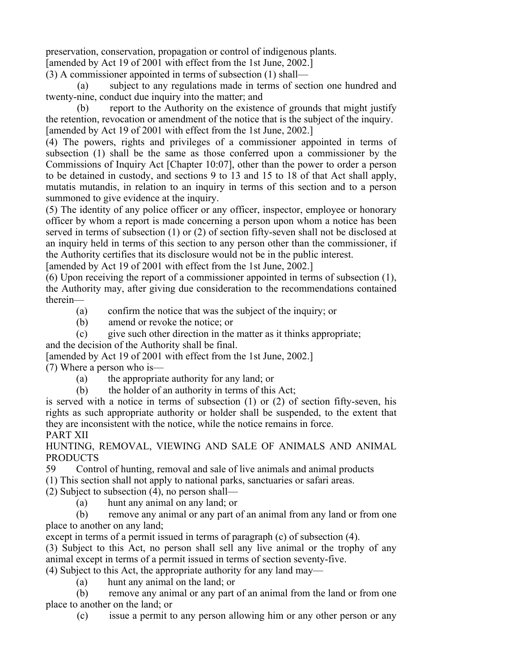preservation, conservation, propagation or control of indigenous plants.

[amended by Act 19 of 2001 with effect from the 1st June, 2002.]

(3) A commissioner appointed in terms of subsection (1) shall—

 (a) subject to any regulations made in terms of section one hundred and twenty-nine, conduct due inquiry into the matter; and

 (b) report to the Authority on the existence of grounds that might justify the retention, revocation or amendment of the notice that is the subject of the inquiry. [amended by Act 19 of 2001 with effect from the 1st June, 2002.]

(4) The powers, rights and privileges of a commissioner appointed in terms of subsection (1) shall be the same as those conferred upon a commissioner by the Commissions of Inquiry Act [Chapter 10:07], other than the power to order a person to be detained in custody, and sections 9 to 13 and 15 to 18 of that Act shall apply, mutatis mutandis, in relation to an inquiry in terms of this section and to a person summoned to give evidence at the inquiry.

(5) The identity of any police officer or any officer, inspector, employee or honorary officer by whom a report is made concerning a person upon whom a notice has been served in terms of subsection (1) or (2) of section fifty-seven shall not be disclosed at an inquiry held in terms of this section to any person other than the commissioner, if the Authority certifies that its disclosure would not be in the public interest.

[amended by Act 19 of 2001 with effect from the 1st June, 2002.]

(6) Upon receiving the report of a commissioner appointed in terms of subsection (1), the Authority may, after giving due consideration to the recommendations contained therein—

- (a) confirm the notice that was the subject of the inquiry; or
- (b) amend or revoke the notice; or

 (c) give such other direction in the matter as it thinks appropriate; and the decision of the Authority shall be final.

[amended by Act 19 of 2001 with effect from the 1st June, 2002.]

(7) Where a person who is—

- (a) the appropriate authority for any land; or
- (b) the holder of an authority in terms of this Act;

is served with a notice in terms of subsection (1) or (2) of section fifty-seven, his rights as such appropriate authority or holder shall be suspended, to the extent that they are inconsistent with the notice, while the notice remains in force.

## PART XII

HUNTING, REMOVAL, VIEWING AND SALE OF ANIMALS AND ANIMAL **PRODUCTS** 

59 Control of hunting, removal and sale of live animals and animal products

(1) This section shall not apply to national parks, sanctuaries or safari areas.

- (2) Subject to subsection (4), no person shall—
	- (a) hunt any animal on any land; or

 (b) remove any animal or any part of an animal from any land or from one place to another on any land;

except in terms of a permit issued in terms of paragraph (c) of subsection (4).

(3) Subject to this Act, no person shall sell any live animal or the trophy of any animal except in terms of a permit issued in terms of section seventy-five.

(4) Subject to this Act, the appropriate authority for any land may—

(a) hunt any animal on the land; or

 (b) remove any animal or any part of an animal from the land or from one place to another on the land; or

(c) issue a permit to any person allowing him or any other person or any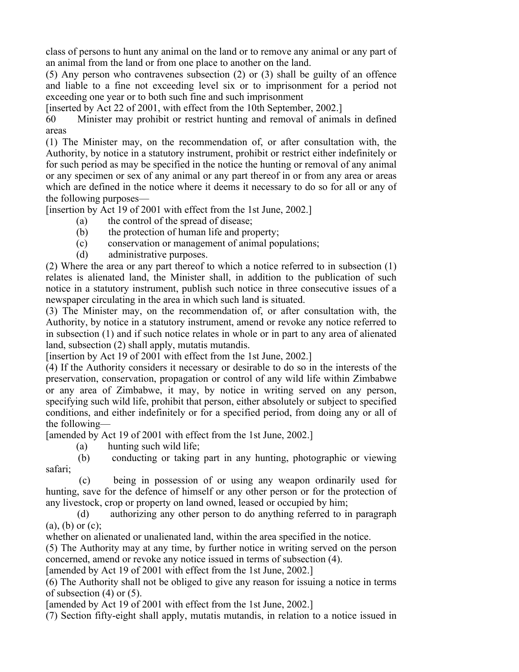class of persons to hunt any animal on the land or to remove any animal or any part of an animal from the land or from one place to another on the land.

(5) Any person who contravenes subsection (2) or (3) shall be guilty of an offence and liable to a fine not exceeding level six or to imprisonment for a period not exceeding one year or to both such fine and such imprisonment

[inserted by Act 22 of 2001, with effect from the 10th September, 2002.]

60 Minister may prohibit or restrict hunting and removal of animals in defined areas

(1) The Minister may, on the recommendation of, or after consultation with, the Authority, by notice in a statutory instrument, prohibit or restrict either indefinitely or for such period as may be specified in the notice the hunting or removal of any animal or any specimen or sex of any animal or any part thereof in or from any area or areas which are defined in the notice where it deems it necessary to do so for all or any of the following purposes—

[insertion by Act 19 of 2001 with effect from the 1st June, 2002.]

- (a) the control of the spread of disease;
- (b) the protection of human life and property;
- (c) conservation or management of animal populations;
- (d) administrative purposes.

(2) Where the area or any part thereof to which a notice referred to in subsection (1) relates is alienated land, the Minister shall, in addition to the publication of such notice in a statutory instrument, publish such notice in three consecutive issues of a newspaper circulating in the area in which such land is situated.

(3) The Minister may, on the recommendation of, or after consultation with, the Authority, by notice in a statutory instrument, amend or revoke any notice referred to in subsection (1) and if such notice relates in whole or in part to any area of alienated land, subsection (2) shall apply, mutatis mutandis.

[insertion by Act 19 of 2001 with effect from the 1st June, 2002.]

(4) If the Authority considers it necessary or desirable to do so in the interests of the preservation, conservation, propagation or control of any wild life within Zimbabwe or any area of Zimbabwe, it may, by notice in writing served on any person, specifying such wild life, prohibit that person, either absolutely or subject to specified conditions, and either indefinitely or for a specified period, from doing any or all of the following—

[amended by Act 19 of 2001 with effect from the 1st June, 2002.]

(a) hunting such wild life;

 (b) conducting or taking part in any hunting, photographic or viewing safari;

 (c) being in possession of or using any weapon ordinarily used for hunting, save for the defence of himself or any other person or for the protection of any livestock, crop or property on land owned, leased or occupied by him;

 (d) authorizing any other person to do anything referred to in paragraph  $(a)$ ,  $(b)$  or  $(c)$ ;

whether on alienated or unalienated land, within the area specified in the notice.

(5) The Authority may at any time, by further notice in writing served on the person concerned, amend or revoke any notice issued in terms of subsection (4).

[amended by Act 19 of 2001 with effect from the 1st June, 2002.]

(6) The Authority shall not be obliged to give any reason for issuing a notice in terms of subsection (4) or (5).

[amended by Act 19 of 2001 with effect from the 1st June, 2002.]

(7) Section fifty-eight shall apply, mutatis mutandis, in relation to a notice issued in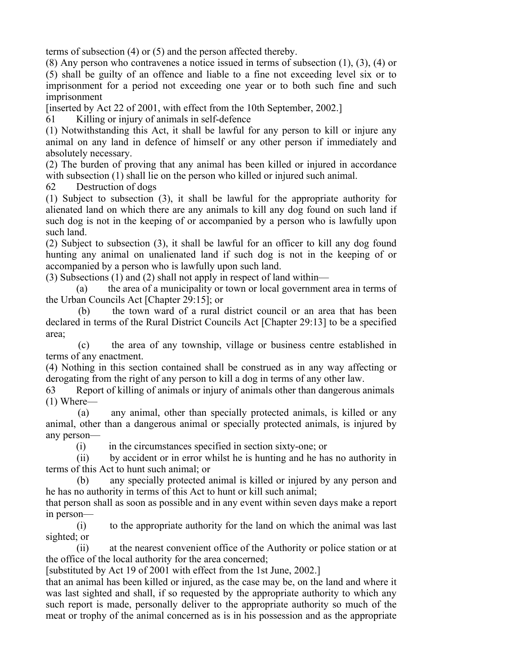terms of subsection (4) or (5) and the person affected thereby.

(8) Any person who contravenes a notice issued in terms of subsection (1), (3), (4) or (5) shall be guilty of an offence and liable to a fine not exceeding level six or to imprisonment for a period not exceeding one year or to both such fine and such imprisonment

[inserted by Act 22 of 2001, with effect from the 10th September, 2002.]

61 Killing or injury of animals in self-defence

(1) Notwithstanding this Act, it shall be lawful for any person to kill or injure any animal on any land in defence of himself or any other person if immediately and absolutely necessary.

(2) The burden of proving that any animal has been killed or injured in accordance with subsection (1) shall lie on the person who killed or injured such animal.

62 Destruction of dogs

(1) Subject to subsection (3), it shall be lawful for the appropriate authority for alienated land on which there are any animals to kill any dog found on such land if such dog is not in the keeping of or accompanied by a person who is lawfully upon such land.

(2) Subject to subsection (3), it shall be lawful for an officer to kill any dog found hunting any animal on unalienated land if such dog is not in the keeping of or accompanied by a person who is lawfully upon such land.

(3) Subsections (1) and (2) shall not apply in respect of land within—

 (a) the area of a municipality or town or local government area in terms of the Urban Councils Act [Chapter 29:15]; or

 (b) the town ward of a rural district council or an area that has been declared in terms of the Rural District Councils Act [Chapter 29:13] to be a specified area;

 (c) the area of any township, village or business centre established in terms of any enactment.

(4) Nothing in this section contained shall be construed as in any way affecting or derogating from the right of any person to kill a dog in terms of any other law.

63 Report of killing of animals or injury of animals other than dangerous animals (1) Where—

 (a) any animal, other than specially protected animals, is killed or any animal, other than a dangerous animal or specially protected animals, is injured by any person—

(i) in the circumstances specified in section sixty-one; or

 (ii) by accident or in error whilst he is hunting and he has no authority in terms of this Act to hunt such animal; or

 (b) any specially protected animal is killed or injured by any person and he has no authority in terms of this Act to hunt or kill such animal;

that person shall as soon as possible and in any event within seven days make a report in person—

 (i) to the appropriate authority for the land on which the animal was last sighted; or

 (ii) at the nearest convenient office of the Authority or police station or at the office of the local authority for the area concerned;

[substituted by Act 19 of 2001 with effect from the 1st June, 2002.]

that an animal has been killed or injured, as the case may be, on the land and where it was last sighted and shall, if so requested by the appropriate authority to which any such report is made, personally deliver to the appropriate authority so much of the meat or trophy of the animal concerned as is in his possession and as the appropriate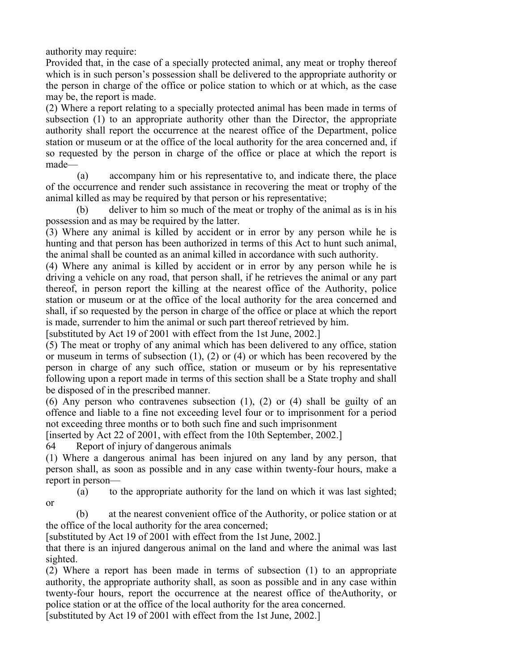authority may require:

Provided that, in the case of a specially protected animal, any meat or trophy thereof which is in such person's possession shall be delivered to the appropriate authority or the person in charge of the office or police station to which or at which, as the case may be, the report is made.

(2) Where a report relating to a specially protected animal has been made in terms of subsection (1) to an appropriate authority other than the Director, the appropriate authority shall report the occurrence at the nearest office of the Department, police station or museum or at the office of the local authority for the area concerned and, if so requested by the person in charge of the office or place at which the report is made—

 (a) accompany him or his representative to, and indicate there, the place of the occurrence and render such assistance in recovering the meat or trophy of the animal killed as may be required by that person or his representative;

 (b) deliver to him so much of the meat or trophy of the animal as is in his possession and as may be required by the latter.

(3) Where any animal is killed by accident or in error by any person while he is hunting and that person has been authorized in terms of this Act to hunt such animal, the animal shall be counted as an animal killed in accordance with such authority.

(4) Where any animal is killed by accident or in error by any person while he is driving a vehicle on any road, that person shall, if he retrieves the animal or any part thereof, in person report the killing at the nearest office of the Authority, police station or museum or at the office of the local authority for the area concerned and shall, if so requested by the person in charge of the office or place at which the report is made, surrender to him the animal or such part thereof retrieved by him.

[substituted by Act 19 of 2001 with effect from the 1st June, 2002.]

(5) The meat or trophy of any animal which has been delivered to any office, station or museum in terms of subsection (1), (2) or (4) or which has been recovered by the person in charge of any such office, station or museum or by his representative following upon a report made in terms of this section shall be a State trophy and shall be disposed of in the prescribed manner.

(6) Any person who contravenes subsection (1), (2) or (4) shall be guilty of an offence and liable to a fine not exceeding level four or to imprisonment for a period not exceeding three months or to both such fine and such imprisonment

[inserted by Act 22 of 2001, with effect from the 10th September, 2002.]

64 Report of injury of dangerous animals

(1) Where a dangerous animal has been injured on any land by any person, that person shall, as soon as possible and in any case within twenty-four hours, make a report in person—

 (a) to the appropriate authority for the land on which it was last sighted; or

 (b) at the nearest convenient office of the Authority, or police station or at the office of the local authority for the area concerned;

[substituted by Act 19 of 2001 with effect from the 1st June, 2002.]

that there is an injured dangerous animal on the land and where the animal was last sighted.

(2) Where a report has been made in terms of subsection (1) to an appropriate authority, the appropriate authority shall, as soon as possible and in any case within twenty-four hours, report the occurrence at the nearest office of theAuthority, or police station or at the office of the local authority for the area concerned.

[substituted by Act 19 of 2001 with effect from the 1st June, 2002.]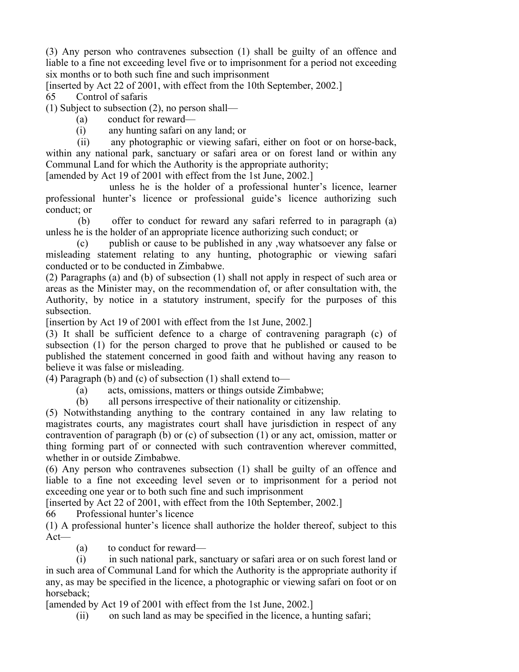(3) Any person who contravenes subsection (1) shall be guilty of an offence and liable to a fine not exceeding level five or to imprisonment for a period not exceeding six months or to both such fine and such imprisonment

[inserted by Act 22 of 2001, with effect from the 10th September, 2002.] 65 Control of safaris

(1) Subject to subsection (2), no person shall—

(a) conduct for reward—

(i) any hunting safari on any land; or

 (ii) any photographic or viewing safari, either on foot or on horse-back, within any national park, sanctuary or safari area or on forest land or within any Communal Land for which the Authority is the appropriate authority;

[amended by Act 19 of 2001 with effect from the 1st June, 2002.]

 unless he is the holder of a professional hunter's licence, learner professional hunter's licence or professional guide's licence authorizing such conduct; or

 (b) offer to conduct for reward any safari referred to in paragraph (a) unless he is the holder of an appropriate licence authorizing such conduct; or

 (c) publish or cause to be published in any ,way whatsoever any false or misleading statement relating to any hunting, photographic or viewing safari conducted or to be conducted in Zimbabwe.

(2) Paragraphs (a) and (b) of subsection (1) shall not apply in respect of such area or areas as the Minister may, on the recommendation of, or after consultation with, the Authority, by notice in a statutory instrument, specify for the purposes of this subsection.

[insertion by Act 19 of 2001 with effect from the 1st June, 2002.]

(3) It shall be sufficient defence to a charge of contravening paragraph (c) of subsection (1) for the person charged to prove that he published or caused to be published the statement concerned in good faith and without having any reason to believe it was false or misleading.

(4) Paragraph (b) and (c) of subsection (1) shall extend to—

(a) acts, omissions, matters or things outside Zimbabwe;

(b) all persons irrespective of their nationality or citizenship.

(5) Notwithstanding anything to the contrary contained in any law relating to magistrates courts, any magistrates court shall have jurisdiction in respect of any contravention of paragraph (b) or (c) of subsection (1) or any act, omission, matter or thing forming part of or connected with such contravention wherever committed, whether in or outside Zimbabwe.

(6) Any person who contravenes subsection (1) shall be guilty of an offence and liable to a fine not exceeding level seven or to imprisonment for a period not exceeding one year or to both such fine and such imprisonment

[inserted by Act 22 of 2001, with effect from the 10th September, 2002.]

66 Professional hunter's licence

(1) A professional hunter's licence shall authorize the holder thereof, subject to this Act—

(a) to conduct for reward—

 (i) in such national park, sanctuary or safari area or on such forest land or in such area of Communal Land for which the Authority is the appropriate authority if any, as may be specified in the licence, a photographic or viewing safari on foot or on horseback;

[amended by Act 19 of 2001 with effect from the 1st June, 2002.]

(ii) on such land as may be specified in the licence, a hunting safari;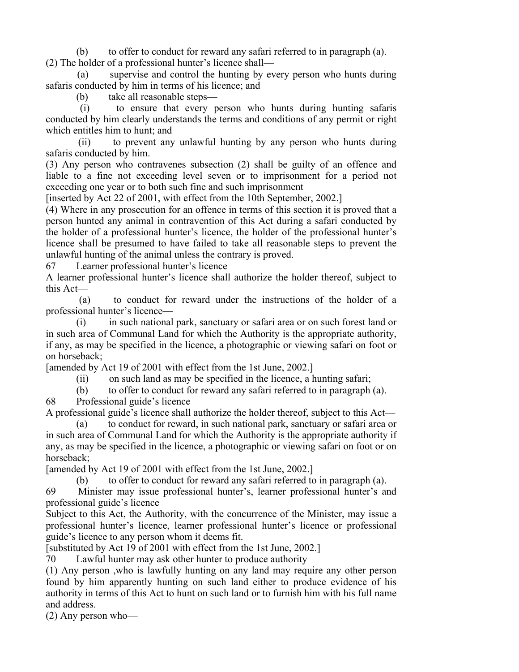(b) to offer to conduct for reward any safari referred to in paragraph (a). (2) The holder of a professional hunter's licence shall—

 (a) supervise and control the hunting by every person who hunts during safaris conducted by him in terms of his licence; and

(b) take all reasonable steps—

 (i) to ensure that every person who hunts during hunting safaris conducted by him clearly understands the terms and conditions of any permit or right which entitles him to hunt; and

 (ii) to prevent any unlawful hunting by any person who hunts during safaris conducted by him.

(3) Any person who contravenes subsection (2) shall be guilty of an offence and liable to a fine not exceeding level seven or to imprisonment for a period not exceeding one year or to both such fine and such imprisonment

[inserted by Act 22 of 2001, with effect from the 10th September, 2002.]

(4) Where in any prosecution for an offence in terms of this section it is proved that a person hunted any animal in contravention of this Act during a safari conducted by the holder of a professional hunter's licence, the holder of the professional hunter's licence shall be presumed to have failed to take all reasonable steps to prevent the unlawful hunting of the animal unless the contrary is proved.

67 Learner professional hunter's licence

A learner professional hunter's licence shall authorize the holder thereof, subject to this Act—

 (a) to conduct for reward under the instructions of the holder of a professional hunter's licence—

 (i) in such national park, sanctuary or safari area or on such forest land or in such area of Communal Land for which the Authority is the appropriate authority, if any, as may be specified in the licence, a photographic or viewing safari on foot or on horseback;

[amended by Act 19 of 2001 with effect from the 1st June, 2002.]

(ii) on such land as may be specified in the licence, a hunting safari;

(b) to offer to conduct for reward any safari referred to in paragraph (a).

68 Professional guide's licence

A professional guide's licence shall authorize the holder thereof, subject to this Act—

 (a) to conduct for reward, in such national park, sanctuary or safari area or in such area of Communal Land for which the Authority is the appropriate authority if any, as may be specified in the licence, a photographic or viewing safari on foot or on horseback;

[amended by Act 19 of 2001 with effect from the 1st June, 2002.]

(b) to offer to conduct for reward any safari referred to in paragraph (a).

69 Minister may issue professional hunter's, learner professional hunter's and professional guide's licence

Subject to this Act, the Authority, with the concurrence of the Minister, may issue a professional hunter's licence, learner professional hunter's licence or professional guide's licence to any person whom it deems fit.

[substituted by Act 19 of 2001 with effect from the 1st June, 2002.]

70 Lawful hunter may ask other hunter to produce authority

(1) Any person ,who is lawfully hunting on any land may require any other person found by him apparently hunting on such land either to produce evidence of his authority in terms of this Act to hunt on such land or to furnish him with his full name and address.

(2) Any person who—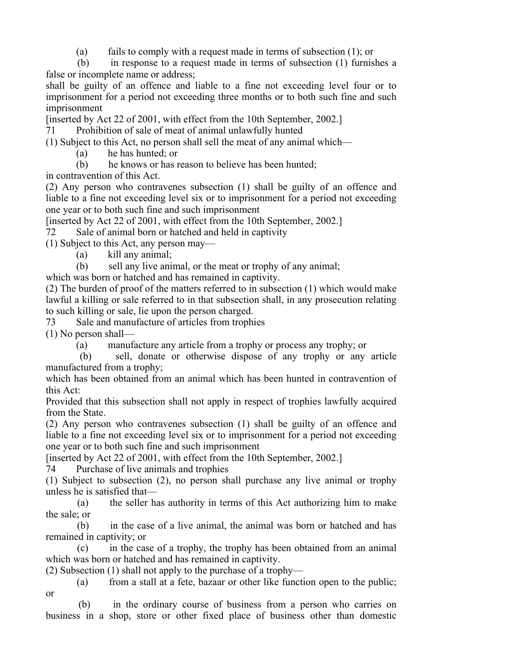(a) fails to comply with a request made in terms of subsection (1); or

 (b) in response to a request made in terms of subsection (1) furnishes a false or incomplete name or address;

shall be guilty of an offence and liable to a fine not exceeding level four or to imprisonment for a period not exceeding three months or to both such fine and such imprisonment

[inserted by Act 22 of 2001, with effect from the 10th September, 2002.]

71 Prohibition of sale of meat of animal unlawfully hunted

(1) Subject to this Act, no person shall sell the meat of any animal which—

(a) he has hunted; or

(b) he knows or has reason to believe has been hunted;

in contravention of this Act.

(2) Any person who contravenes subsection (1) shall be guilty of an offence and liable to a fine not exceeding level six or to imprisonment for a period not exceeding one year or to both such fine and such imprisonment

[inserted by Act 22 of 2001, with effect from the 10th September, 2002.]

72 Sale of animal born or hatched and held in captivity

(1) Subject to this Act, any person may—

(a) kill any animal;

(b) sell any live animal, or the meat or trophy of any animal;

which was born or hatched and has remained in captivity.

(2) The burden of proof of the matters referred to in subsection (1) which would make lawful a killing or sale referred to in that subsection shall, in any prosecution relating to such killing or sale, lie upon the person charged.

73 Sale and manufacture of articles from trophies

(1) No person shall—

(a) manufacture any article from a trophy or process any trophy; or

 (b) sell, donate or otherwise dispose of any trophy or any article manufactured from a trophy;

which has been obtained from an animal which has been hunted in contravention of this Act:

Provided that this subsection shall not apply in respect of trophies lawfully acquired from the State.

(2) Any person who contravenes subsection (1) shall be guilty of an offence and liable to a fine not exceeding level six or to imprisonment for a period not exceeding one year or to both such fine and such imprisonment

[inserted by Act 22 of 2001, with effect from the 10th September, 2002.]

74 Purchase of live animals and trophies

(1) Subject to subsection (2), no person shall purchase any live animal or trophy unless he is satisfied that—

 (a) the seller has authority in terms of this Act authorizing him to make the sale; or

 (b) in the case of a live animal, the animal was born or hatched and has remained in captivity; or

 (c) in the case of a trophy, the trophy has been obtained from an animal which was born or hatched and has remained in captivity.

(2) Subsection (1) shall not apply to the purchase of a trophy—

 (a) from a stall at a fete, bazaar or other like function open to the public; or

 (b) in the ordinary course of business from a person who carries on business in a shop, store or other fixed place of business other than domestic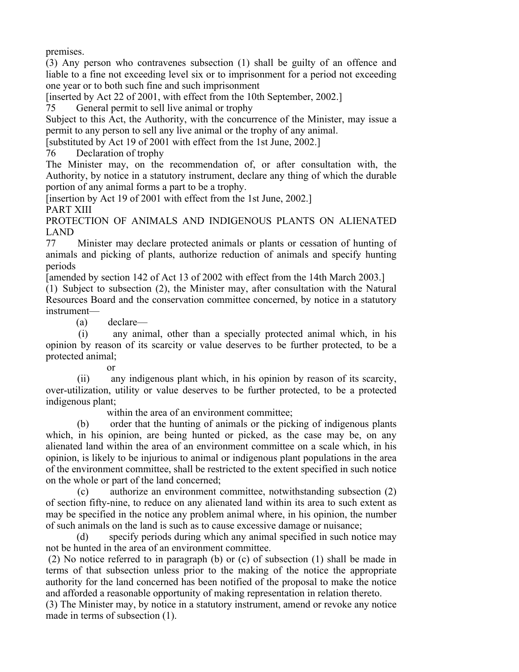premises.

(3) Any person who contravenes subsection (1) shall be guilty of an offence and liable to a fine not exceeding level six or to imprisonment for a period not exceeding one year or to both such fine and such imprisonment

[inserted by Act 22 of 2001, with effect from the 10th September, 2002.]

75 General permit to sell live animal or trophy

Subject to this Act, the Authority, with the concurrence of the Minister, may issue a permit to any person to sell any live animal or the trophy of any animal.

[substituted by Act 19 of 2001 with effect from the 1st June, 2002.]

76 Declaration of trophy

The Minister may, on the recommendation of, or after consultation with, the Authority, by notice in a statutory instrument, declare any thing of which the durable portion of any animal forms a part to be a trophy.

[insertion by Act 19 of 2001 with effect from the 1st June, 2002.] PART XIII

PROTECTION OF ANIMALS AND INDIGENOUS PLANTS ON ALIENATED LAND

77 Minister may declare protected animals or plants or cessation of hunting of animals and picking of plants, authorize reduction of animals and specify hunting periods

[amended by section 142 of Act 13 of 2002 with effect from the 14th March 2003.]

(1) Subject to subsection (2), the Minister may, after consultation with the Natural Resources Board and the conservation committee concerned, by notice in a statutory instrument—

(a) declare—

 (i) any animal, other than a specially protected animal which, in his opinion by reason of its scarcity or value deserves to be further protected, to be a protected animal;

or

 (ii) any indigenous plant which, in his opinion by reason of its scarcity, over-utilization, utility or value deserves to be further protected, to be a protected indigenous plant;

within the area of an environment committee;

 (b) order that the hunting of animals or the picking of indigenous plants which, in his opinion, are being hunted or picked, as the case may be, on any alienated land within the area of an environment committee on a scale which, in his opinion, is likely to be injurious to animal or indigenous plant populations in the area of the environment committee, shall be restricted to the extent specified in such notice on the whole or part of the land concerned;

 (c) authorize an environment committee, notwithstanding subsection (2) of section fifty-nine, to reduce on any alienated land within its area to such extent as may be specified in the notice any problem animal where, in his opinion, the number of such animals on the land is such as to cause excessive damage or nuisance;

 (d) specify periods during which any animal specified in such notice may not be hunted in the area of an environment committee.

 (2) No notice referred to in paragraph (b) or (c) of subsection (1) shall be made in terms of that subsection unless prior to the making of the notice the appropriate authority for the land concerned has been notified of the proposal to make the notice and afforded a reasonable opportunity of making representation in relation thereto.

(3) The Minister may, by notice in a statutory instrument, amend or revoke any notice made in terms of subsection (1).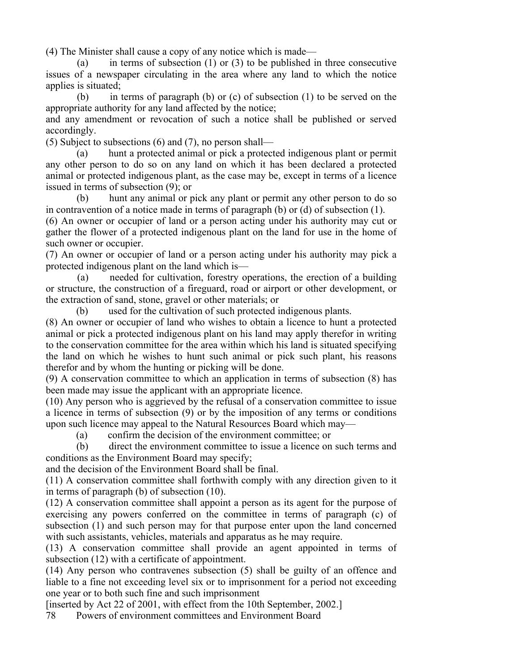(4) The Minister shall cause a copy of any notice which is made—

(a) in terms of subsection  $(1)$  or  $(3)$  to be published in three consecutive issues of a newspaper circulating in the area where any land to which the notice applies is situated;

(b) in terms of paragraph (b) or (c) of subsection  $(1)$  to be served on the appropriate authority for any land affected by the notice;

and any amendment or revocation of such a notice shall be published or served accordingly.

(5) Subject to subsections (6) and (7), no person shall—

 (a) hunt a protected animal or pick a protected indigenous plant or permit any other person to do so on any land on which it has been declared a protected animal or protected indigenous plant, as the case may be, except in terms of a licence issued in terms of subsection (9); or

 (b) hunt any animal or pick any plant or permit any other person to do so in contravention of a notice made in terms of paragraph (b) or (d) of subsection (1).

(6) An owner or occupier of land or a person acting under his authority may cut or gather the flower of a protected indigenous plant on the land for use in the home of such owner or occupier.

(7) An owner or occupier of land or a person acting under his authority may pick a protected indigenous plant on the land which is—

 (a) needed for cultivation, forestry operations, the erection of a building or structure, the construction of a fireguard, road or airport or other development, or the extraction of sand, stone, gravel or other materials; or

(b) used for the cultivation of such protected indigenous plants.

(8) An owner or occupier of land who wishes to obtain a licence to hunt a protected animal or pick a protected indigenous plant on his land may apply therefor in writing to the conservation committee for the area within which his land is situated specifying the land on which he wishes to hunt such animal or pick such plant, his reasons therefor and by whom the hunting or picking will be done.

(9) A conservation committee to which an application in terms of subsection (8) has been made may issue the applicant with an appropriate licence.

(10) Any person who is aggrieved by the refusal of a conservation committee to issue a licence in terms of subsection (9) or by the imposition of any terms or conditions upon such licence may appeal to the Natural Resources Board which may—

(a) confirm the decision of the environment committee; or

 (b) direct the environment committee to issue a licence on such terms and conditions as the Environment Board may specify;

and the decision of the Environment Board shall be final.

(11) A conservation committee shall forthwith comply with any direction given to it in terms of paragraph (b) of subsection (10).

(12) A conservation committee shall appoint a person as its agent for the purpose of exercising any powers conferred on the committee in terms of paragraph (c) of subsection (1) and such person may for that purpose enter upon the land concerned with such assistants, vehicles, materials and apparatus as he may require.

(13) A conservation committee shall provide an agent appointed in terms of subsection (12) with a certificate of appointment.

(14) Any person who contravenes subsection (5) shall be guilty of an offence and liable to a fine not exceeding level six or to imprisonment for a period not exceeding one year or to both such fine and such imprisonment

[inserted by Act 22 of 2001, with effect from the 10th September, 2002.]

78 Powers of environment committees and Environment Board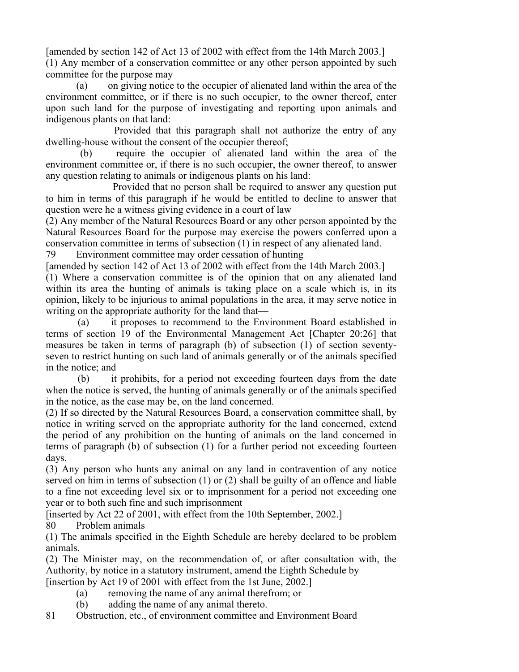[amended by section 142 of Act 13 of 2002 with effect from the 14th March 2003.] (1) Any member of a conservation committee or any other person appointed by such committee for the purpose may—

 (a) on giving notice to the occupier of alienated land within the area of the environment committee, or if there is no such occupier, to the owner thereof, enter upon such land for the purpose of investigating and reporting upon animals and indigenous plants on that land:

 Provided that this paragraph shall not authorize the entry of any dwelling-house without the consent of the occupier thereof;

 (b) require the occupier of alienated land within the area of the environment committee or, if there is no such occupier, the owner thereof, to answer any question relating to animals or indigenous plants on his land:

 Provided that no person shall be required to answer any question put to him in terms of this paragraph if he would be entitled to decline to answer that question were he a witness giving evidence in a court of law

(2) Any member of the Natural Resources Board or any other person appointed by the Natural Resources Board for the purpose may exercise the powers conferred upon a conservation committee in terms of subsection (1) in respect of any alienated land.

79 Environment committee may order cessation of hunting

[amended by section 142 of Act 13 of 2002 with effect from the 14th March 2003.]

(1) Where a conservation committee is of the opinion that on any alienated land within its area the hunting of animals is taking place on a scale which is, in its opinion, likely to be injurious to animal populations in the area, it may serve notice in writing on the appropriate authority for the land that—

 (a) it proposes to recommend to the Environment Board established in terms of section 19 of the Environmental Management Act [Chapter 20:26] that measures be taken in terms of paragraph (b) of subsection (1) of section seventyseven to restrict hunting on such land of animals generally or of the animals specified in the notice; and

 (b) it prohibits, for a period not exceeding fourteen days from the date when the notice is served, the hunting of animals generally or of the animals specified in the notice, as the case may be, on the land concerned.

(2) If so directed by the Natural Resources Board, a conservation committee shall, by notice in writing served on the appropriate authority for the land concerned, extend the period of any prohibition on the hunting of animals on the land concerned in terms of paragraph (b) of subsection (1) for a further period not exceeding fourteen days.

(3) Any person who hunts any animal on any land in contravention of any notice served on him in terms of subsection (1) or (2) shall be guilty of an offence and liable to a fine not exceeding level six or to imprisonment for a period not exceeding one year or to both such fine and such imprisonment

[inserted by Act 22 of 2001, with effect from the 10th September, 2002.]

80 Problem animals

(1) The animals specified in the Eighth Schedule are hereby declared to be problem animals.

(2) The Minister may, on the recommendation of, or after consultation with, the Authority, by notice in a statutory instrument, amend the Eighth Schedule by—

[insertion by Act 19 of 2001 with effect from the 1st June, 2002.]

- (a) removing the name of any animal therefrom; or
- (b) adding the name of any animal thereto.
- 81 Obstruction, etc., of environment committee and Environment Board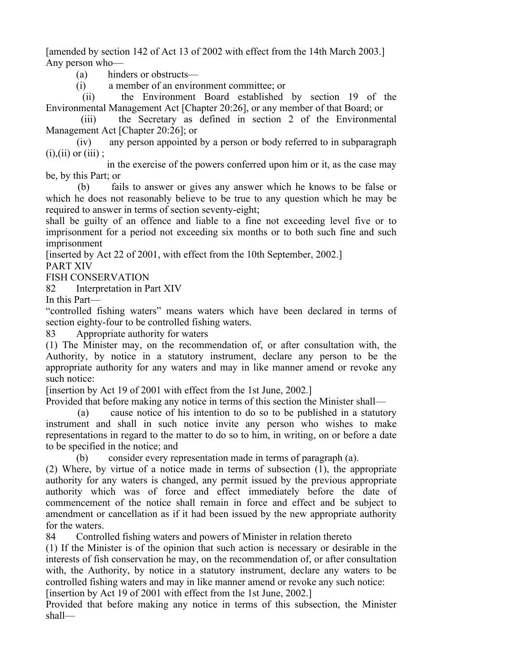[amended by section 142 of Act 13 of 2002 with effect from the 14th March 2003.] Any person who—

(a) hinders or obstructs—

(i) a member of an environment committee; or

 (ii) the Environment Board established by section 19 of the Environmental Management Act [Chapter 20:26], or any member of that Board; or

 (iii) the Secretary as defined in section 2 of the Environmental Management Act [Chapter 20:26]; or

 (iv) any person appointed by a person or body referred to in subparagraph  $(i), (ii)$  or  $(iii)$ ;

 in the exercise of the powers conferred upon him or it, as the case may be, by this Part; or

 (b) fails to answer or gives any answer which he knows to be false or which he does not reasonably believe to be true to any question which he may be required to answer in terms of section seventy-eight;

shall be guilty of an offence and liable to a fine not exceeding level five or to imprisonment for a period not exceeding six months or to both such fine and such imprisonment

[inserted by Act 22 of 2001, with effect from the 10th September, 2002.]

PART XIV

FISH CONSERVATION

82 Interpretation in Part XIV

In this Part—

"controlled fishing waters" means waters which have been declared in terms of section eighty-four to be controlled fishing waters.

83 Appropriate authority for waters

(1) The Minister may, on the recommendation of, or after consultation with, the Authority, by notice in a statutory instrument, declare any person to be the appropriate authority for any waters and may in like manner amend or revoke any such notice:

[insertion by Act 19 of 2001 with effect from the 1st June, 2002.]

Provided that before making any notice in terms of this section the Minister shall—

 (a) cause notice of his intention to do so to be published in a statutory instrument and shall in such notice invite any person who wishes to make representations in regard to the matter to do so to him, in writing, on or before a date to be specified in the notice; and

(b) consider every representation made in terms of paragraph (a).

(2) Where, by virtue of a notice made in terms of subsection (1), the appropriate authority for any waters is changed, any permit issued by the previous appropriate authority which was of force and effect immediately before the date of commencement of the notice shall remain in force and effect and be subject to amendment or cancellation as if it had been issued by the new appropriate authority for the waters.

84 Controlled fishing waters and powers of Minister in relation thereto

(1) If the Minister is of the opinion that such action is necessary or desirable in the interests of fish conservation he may, on the recommendation of, or after consultation with, the Authority, by notice in a statutory instrument, declare any waters to be controlled fishing waters and may in like manner amend or revoke any such notice:

[insertion by Act 19 of 2001 with effect from the 1st June, 2002.]

Provided that before making any notice in terms of this subsection, the Minister shall—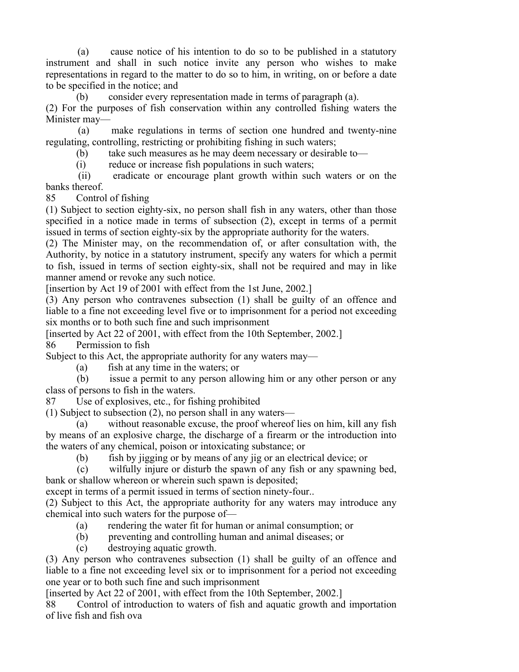(a) cause notice of his intention to do so to be published in a statutory instrument and shall in such notice invite any person who wishes to make representations in regard to the matter to do so to him, in writing, on or before a date to be specified in the notice; and

(b) consider every representation made in terms of paragraph (a).

(2) For the purposes of fish conservation within any controlled fishing waters the Minister may—

 (a) make regulations in terms of section one hundred and twenty-nine regulating, controlling, restricting or prohibiting fishing in such waters;

(b) take such measures as he may deem necessary or desirable to—

(i) reduce or increase fish populations in such waters;

 (ii) eradicate or encourage plant growth within such waters or on the banks thereof.

85 Control of fishing

(1) Subject to section eighty-six, no person shall fish in any waters, other than those specified in a notice made in terms of subsection (2), except in terms of a permit issued in terms of section eighty-six by the appropriate authority for the waters.

(2) The Minister may, on the recommendation of, or after consultation with, the Authority, by notice in a statutory instrument, specify any waters for which a permit to fish, issued in terms of section eighty-six, shall not be required and may in like manner amend or revoke any such notice.

[insertion by Act 19 of 2001 with effect from the 1st June, 2002.]

(3) Any person who contravenes subsection (1) shall be guilty of an offence and liable to a fine not exceeding level five or to imprisonment for a period not exceeding six months or to both such fine and such imprisonment

[inserted by Act 22 of 2001, with effect from the 10th September, 2002.] 86 Permission to fish

Subject to this Act, the appropriate authority for any waters may—

(a) fish at any time in the waters; or

 (b) issue a permit to any person allowing him or any other person or any class of persons to fish in the waters.

87 Use of explosives, etc., for fishing prohibited

(1) Subject to subsection (2), no person shall in any waters—

 (a) without reasonable excuse, the proof whereof lies on him, kill any fish by means of an explosive charge, the discharge of a firearm or the introduction into the waters of any chemical, poison or intoxicating substance; or

(b) fish by jigging or by means of any jig or an electrical device; or

 (c) wilfully injure or disturb the spawn of any fish or any spawning bed, bank or shallow whereon or wherein such spawn is deposited;

except in terms of a permit issued in terms of section ninety-four..

(2) Subject to this Act, the appropriate authority for any waters may introduce any chemical into such waters for the purpose of—

(a) rendering the water fit for human or animal consumption; or

(b) preventing and controlling human and animal diseases; or

(c) destroying aquatic growth.

(3) Any person who contravenes subsection (1) shall be guilty of an offence and liable to a fine not exceeding level six or to imprisonment for a period not exceeding one year or to both such fine and such imprisonment

[inserted by Act 22 of 2001, with effect from the 10th September, 2002.]

88 Control of introduction to waters of fish and aquatic growth and importation of live fish and fish ova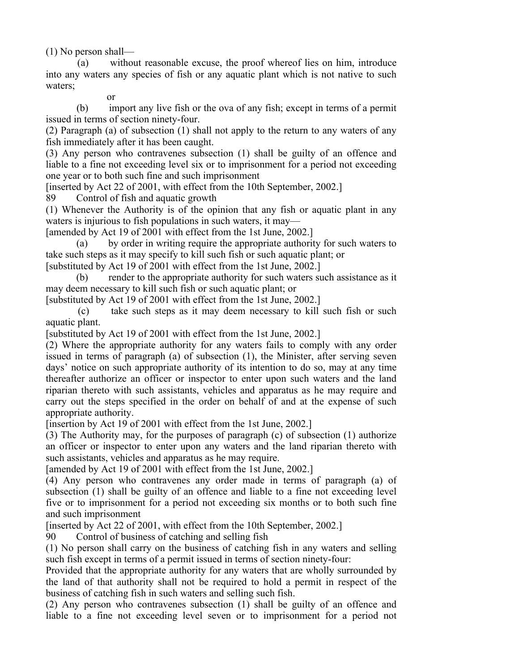(1) No person shall—

 (a) without reasonable excuse, the proof whereof lies on him, introduce into any waters any species of fish or any aquatic plant which is not native to such waters;

or

 (b) import any live fish or the ova of any fish; except in terms of a permit issued in terms of section ninety-four.

(2) Paragraph (a) of subsection (1) shall not apply to the return to any waters of any fish immediately after it has been caught.

(3) Any person who contravenes subsection (1) shall be guilty of an offence and liable to a fine not exceeding level six or to imprisonment for a period not exceeding one year or to both such fine and such imprisonment

[inserted by Act 22 of 2001, with effect from the 10th September, 2002.]

89 Control of fish and aquatic growth

(1) Whenever the Authority is of the opinion that any fish or aquatic plant in any waters is injurious to fish populations in such waters, it may—

[amended by Act 19 of 2001 with effect from the 1st June, 2002.]

 (a) by order in writing require the appropriate authority for such waters to take such steps as it may specify to kill such fish or such aquatic plant; or

[substituted by Act 19 of 2001 with effect from the 1st June, 2002.]

 (b) render to the appropriate authority for such waters such assistance as it may deem necessary to kill such fish or such aquatic plant; or

[substituted by Act 19 of 2001 with effect from the 1st June, 2002.]

 (c) take such steps as it may deem necessary to kill such fish or such aquatic plant.

[substituted by Act 19 of 2001 with effect from the 1st June, 2002.]

(2) Where the appropriate authority for any waters fails to comply with any order issued in terms of paragraph (a) of subsection (1), the Minister, after serving seven days' notice on such appropriate authority of its intention to do so, may at any time thereafter authorize an officer or inspector to enter upon such waters and the land riparian thereto with such assistants, vehicles and apparatus as he may require and carry out the steps specified in the order on behalf of and at the expense of such appropriate authority.

[insertion by Act 19 of 2001 with effect from the 1st June, 2002.]

(3) The Authority may, for the purposes of paragraph (c) of subsection (1) authorize an officer or inspector to enter upon any waters and the land riparian thereto with such assistants, vehicles and apparatus as he may require.

[amended by Act 19 of 2001 with effect from the 1st June, 2002.]

(4) Any person who contravenes any order made in terms of paragraph (a) of subsection (1) shall be guilty of an offence and liable to a fine not exceeding level five or to imprisonment for a period not exceeding six months or to both such fine and such imprisonment

[inserted by Act 22 of 2001, with effect from the 10th September, 2002.]

90 Control of business of catching and selling fish

(1) No person shall carry on the business of catching fish in any waters and selling such fish except in terms of a permit issued in terms of section ninety-four:

Provided that the appropriate authority for any waters that are wholly surrounded by the land of that authority shall not be required to hold a permit in respect of the business of catching fish in such waters and selling such fish.

(2) Any person who contravenes subsection (1) shall be guilty of an offence and liable to a fine not exceeding level seven or to imprisonment for a period not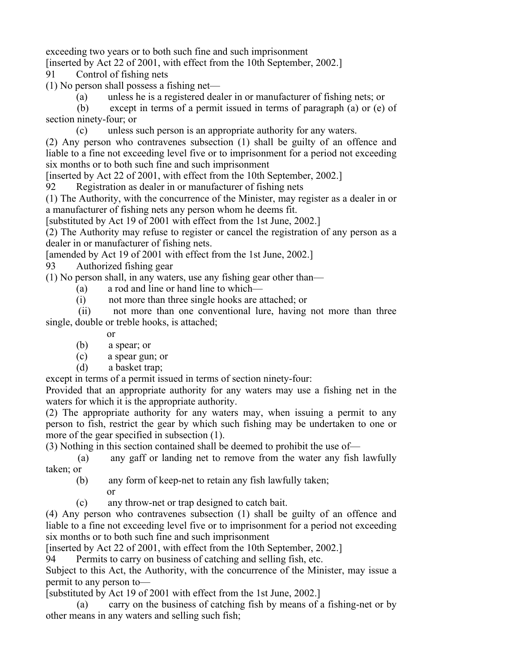exceeding two years or to both such fine and such imprisonment [inserted by Act 22 of 2001, with effect from the 10th September, 2002.]

91 Control of fishing nets

(1) No person shall possess a fishing net—

(a) unless he is a registered dealer in or manufacturer of fishing nets; or

 (b) except in terms of a permit issued in terms of paragraph (a) or (e) of section ninety-four; or

(c) unless such person is an appropriate authority for any waters.

(2) Any person who contravenes subsection (1) shall be guilty of an offence and liable to a fine not exceeding level five or to imprisonment for a period not exceeding six months or to both such fine and such imprisonment

[inserted by Act 22 of 2001, with effect from the 10th September, 2002.]

92 Registration as dealer in or manufacturer of fishing nets

(1) The Authority, with the concurrence of the Minister, may register as a dealer in or a manufacturer of fishing nets any person whom he deems fit.

[substituted by Act 19 of 2001 with effect from the 1st June, 2002.]

(2) The Authority may refuse to register or cancel the registration of any person as a dealer in or manufacturer of fishing nets.

[amended by Act 19 of 2001 with effect from the 1st June, 2002.]

93 Authorized fishing gear

(1) No person shall, in any waters, use any fishing gear other than—

(a) a rod and line or hand line to which—

(i) not more than three single hooks are attached; or

 (ii) not more than one conventional lure, having not more than three single, double or treble hooks, is attached;

or

(b) a spear; or

(c) a spear gun; or

(d) a basket trap;

except in terms of a permit issued in terms of section ninety-four:

Provided that an appropriate authority for any waters may use a fishing net in the waters for which it is the appropriate authority.

(2) The appropriate authority for any waters may, when issuing a permit to any person to fish, restrict the gear by which such fishing may be undertaken to one or more of the gear specified in subsection (1).

(3) Nothing in this section contained shall be deemed to prohibit the use of—

 (a) any gaff or landing net to remove from the water any fish lawfully taken; or

(b) any form of keep-net to retain any fish lawfully taken;

or

(c) any throw-net or trap designed to catch bait.

(4) Any person who contravenes subsection (1) shall be guilty of an offence and liable to a fine not exceeding level five or to imprisonment for a period not exceeding six months or to both such fine and such imprisonment

[inserted by Act 22 of 2001, with effect from the 10th September, 2002.]

94 Permits to carry on business of catching and selling fish, etc.

Subject to this Act, the Authority, with the concurrence of the Minister, may issue a permit to any person to—

[substituted by Act 19 of 2001 with effect from the 1st June, 2002.]

carry on the business of catching fish by means of a fishing-net or by other means in any waters and selling such fish;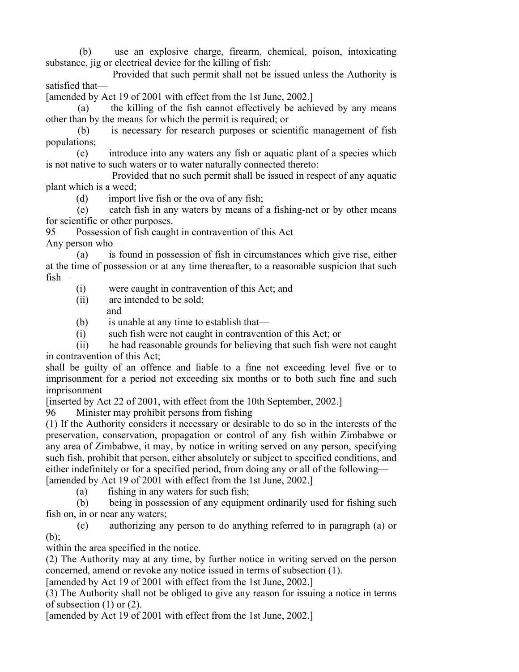(b) use an explosive charge, firearm, chemical, poison, intoxicating substance, jig or electrical device for the killing of fish:

 Provided that such permit shall not be issued unless the Authority is satisfied that—

[amended by Act 19 of 2001 with effect from the 1st June, 2002.]

 (a) the killing of the fish cannot effectively be achieved by any means other than by the means for which the permit is required; or

 (b) is necessary for research purposes or scientific management of fish populations;

 (c) introduce into any waters any fish or aquatic plant of a species which is not native to such waters or to water naturally connected thereto:

 Provided that no such permit shall be issued in respect of any aquatic plant which is a weed;

(d) import live fish or the ova of any fish;

 (e) catch fish in any waters by means of a fishing-net or by other means for scientific or other purposes.

95 Possession of fish caught in contravention of this Act

Any person who—

 (a) is found in possession of fish in circumstances which give rise, either at the time of possession or at any time thereafter, to a reasonable suspicion that such fish—

(i) were caught in contravention of this Act; and

(ii) are intended to be sold;

## and

(b) is unable at any time to establish that—

(i) such fish were not caught in contravention of this Act; or

 (ii) he had reasonable grounds for believing that such fish were not caught in contravention of this Act;

shall be guilty of an offence and liable to a fine not exceeding level five or to imprisonment for a period not exceeding six months or to both such fine and such imprisonment

[inserted by Act 22 of 2001, with effect from the 10th September, 2002.]

96 Minister may prohibit persons from fishing

(1) If the Authority considers it necessary or desirable to do so in the interests of the preservation, conservation, propagation or control of any fish within Zimbabwe or any area of Zimbabwe, it may, by notice in writing served on any person, specifying such fish, prohibit that person, either absolutely or subject to specified conditions, and either indefinitely or for a specified period, from doing any or all of the following— [amended by Act 19 of 2001 with effect from the 1st June, 2002.]

(a) fishing in any waters for such fish;

 (b) being in possession of any equipment ordinarily used for fishing such fish on, in or near any waters;

 (c) authorizing any person to do anything referred to in paragraph (a) or (b);

within the area specified in the notice.

(2) The Authority may at any time, by further notice in writing served on the person concerned, amend or revoke any notice issued in terms of subsection (1).

[amended by Act 19 of 2001 with effect from the 1st June, 2002.]

(3) The Authority shall not be obliged to give any reason for issuing a notice in terms of subsection (1) or (2).

[amended by Act 19 of 2001 with effect from the 1st June, 2002.]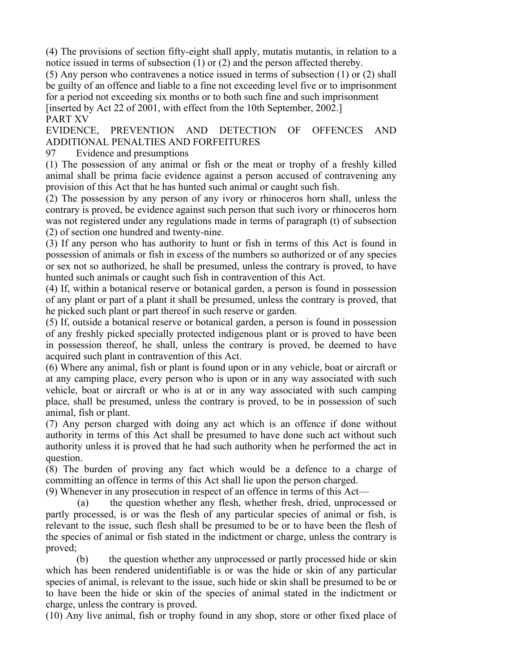(4) The provisions of section fifty-eight shall apply, mutatis mutantis, in relation to a notice issued in terms of subsection (1) or (2) and the person affected thereby.

(5) Any person who contravenes a notice issued in terms of subsection (1) or (2) shall be guilty of an offence and liable to a fine not exceeding level five or to imprisonment for a period not exceeding six months or to both such fine and such imprisonment [inserted by Act 22 of 2001, with effect from the 10th September, 2002.] PART XV

## EVIDENCE, PREVENTION AND DETECTION OF OFFENCES AND ADDITIONAL PENALTIES AND FORFEITURES

# 97 Evidence and presumptions

(1) The possession of any animal or fish or the meat or trophy of a freshly killed animal shall be prima facie evidence against a person accused of contravening any provision of this Act that he has hunted such animal or caught such fish.

(2) The possession by any person of any ivory or rhinoceros horn shall, unless the contrary is proved, be evidence against such person that such ivory or rhinoceros horn was not registered under any regulations made in terms of paragraph (t) of subsection (2) of section one hundred and twenty-nine.

(3) If any person who has authority to hunt or fish in terms of this Act is found in possession of animals or fish in excess of the numbers so authorized or of any species or sex not so authorized, he shall be presumed, unless the contrary is proved, to have hunted such animals or caught such fish in contravention of this Act.

(4) If, within a botanical reserve or botanical garden, a person is found in possession of any plant or part of a plant it shall be presumed, unless the contrary is proved, that he picked such plant or part thereof in such reserve or garden.

(5) If, outside a botanical reserve or botanical garden, a person is found in possession of any freshly picked specially protected indigenous plant or is proved to have been in possession thereof, he shall, unless the contrary is proved, be deemed to have acquired such plant in contravention of this Act.

(6) Where any animal, fish or plant is found upon or in any vehicle, boat or aircraft or at any camping place, every person who is upon or in any way associated with such vehicle, boat or aircraft or who is at or in any way associated with such camping place, shall be presumed, unless the contrary is proved, to be in possession of such animal, fish or plant.

(7) Any person charged with doing any act which is an offence if done without authority in terms of this Act shall be presumed to have done such act without such authority unless it is proved that he had such authority when he performed the act in question.

(8) The burden of proving any fact which would be a defence to a charge of committing an offence in terms of this Act shall lie upon the person charged.

(9) Whenever in any prosecution in respect of an offence in terms of this Act—

 (a) the question whether any flesh, whether fresh, dried, unprocessed or partly processed, is or was the flesh of any particular species of animal or fish, is relevant to the issue, such flesh shall be presumed to be or to have been the flesh of the species of animal or fish stated in the indictment or charge, unless the contrary is proved;

 (b) the question whether any unprocessed or partly processed hide or skin which has been rendered unidentifiable is or was the hide or skin of any particular species of animal, is relevant to the issue, such hide or skin shall be presumed to be or to have been the hide or skin of the species of animal stated in the indictment or charge, unless the contrary is proved.

(10) Any live animal, fish or trophy found in any shop, store or other fixed place of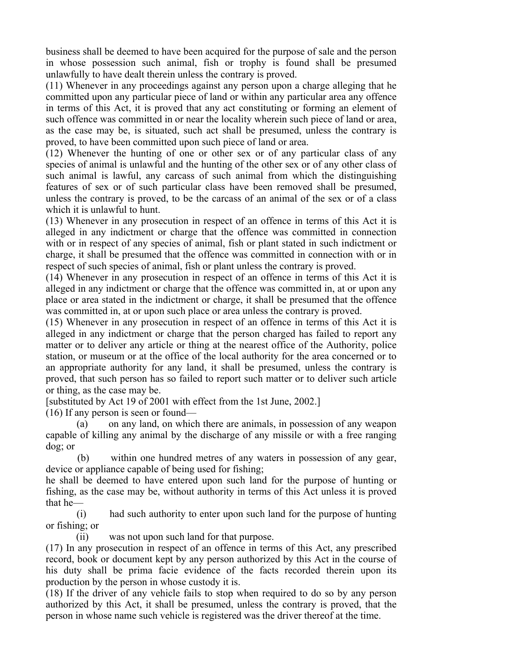business shall be deemed to have been acquired for the purpose of sale and the person in whose possession such animal, fish or trophy is found shall be presumed unlawfully to have dealt therein unless the contrary is proved.

(11) Whenever in any proceedings against any person upon a charge alleging that he committed upon any particular piece of land or within any particular area any offence in terms of this Act, it is proved that any act constituting or forming an element of such offence was committed in or near the locality wherein such piece of land or area, as the case may be, is situated, such act shall be presumed, unless the contrary is proved, to have been committed upon such piece of land or area.

(12) Whenever the hunting of one or other sex or of any particular class of any species of animal is unlawful and the hunting of the other sex or of any other class of such animal is lawful, any carcass of such animal from which the distinguishing features of sex or of such particular class have been removed shall be presumed, unless the contrary is proved, to be the carcass of an animal of the sex or of a class which it is unlawful to hunt.

(13) Whenever in any prosecution in respect of an offence in terms of this Act it is alleged in any indictment or charge that the offence was committed in connection with or in respect of any species of animal, fish or plant stated in such indictment or charge, it shall be presumed that the offence was committed in connection with or in respect of such species of animal, fish or plant unless the contrary is proved.

(14) Whenever in any prosecution in respect of an offence in terms of this Act it is alleged in any indictment or charge that the offence was committed in, at or upon any place or area stated in the indictment or charge, it shall be presumed that the offence was committed in, at or upon such place or area unless the contrary is proved.

(15) Whenever in any prosecution in respect of an offence in terms of this Act it is alleged in any indictment or charge that the person charged has failed to report any matter or to deliver any article or thing at the nearest office of the Authority, police station, or museum or at the office of the local authority for the area concerned or to an appropriate authority for any land, it shall be presumed, unless the contrary is proved, that such person has so failed to report such matter or to deliver such article or thing, as the case may be.

[substituted by Act 19 of 2001 with effect from the 1st June, 2002.]

(16) If any person is seen or found—

 (a) on any land, on which there are animals, in possession of any weapon capable of killing any animal by the discharge of any missile or with a free ranging dog; or

 (b) within one hundred metres of any waters in possession of any gear, device or appliance capable of being used for fishing;

he shall be deemed to have entered upon such land for the purpose of hunting or fishing, as the case may be, without authority in terms of this Act unless it is proved that he—

 (i) had such authority to enter upon such land for the purpose of hunting or fishing; or

(ii) was not upon such land for that purpose.

(17) In any prosecution in respect of an offence in terms of this Act, any prescribed record, book or document kept by any person authorized by this Act in the course of his duty shall be prima facie evidence of the facts recorded therein upon its production by the person in whose custody it is.

(18) If the driver of any vehicle fails to stop when required to do so by any person authorized by this Act, it shall be presumed, unless the contrary is proved, that the person in whose name such vehicle is registered was the driver thereof at the time.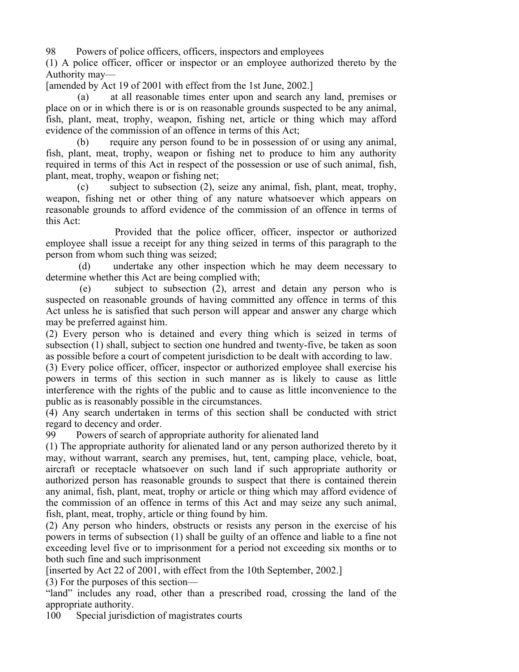98 Powers of police officers, officers, inspectors and employees

(1) A police officer, officer or inspector or an employee authorized thereto by the Authority may—

[amended by Act 19 of 2001 with effect from the 1st June, 2002.]

 (a) at all reasonable times enter upon and search any land, premises or place on or in which there is or is on reasonable grounds suspected to be any animal, fish, plant, meat, trophy, weapon, fishing net, article or thing which may afford evidence of the commission of an offence in terms of this Act;

 (b) require any person found to be in possession of or using any animal, fish, plant, meat, trophy, weapon or fishing net to produce to him any authority required in terms of this Act in respect of the possession or use of such animal, fish, plant, meat, trophy, weapon or fishing net;

 (c) subject to subsection (2), seize any animal, fish, plant, meat, trophy, weapon, fishing net or other thing of any nature whatsoever which appears on reasonable grounds to afford evidence of the commission of an offence in terms of this Act:

 Provided that the police officer, officer, inspector or authorized employee shall issue a receipt for any thing seized in terms of this paragraph to the person from whom such thing was seized;

 (d) undertake any other inspection which he may deem necessary to determine whether this Act are being complied with;

 (e) subject to subsection (2), arrest and detain any person who is suspected on reasonable grounds of having committed any offence in terms of this Act unless he is satisfied that such person will appear and answer any charge which may be preferred against him.

(2) Every person who is detained and every thing which is seized in terms of subsection (1) shall, subject to section one hundred and twenty-five, be taken as soon as possible before a court of competent jurisdiction to be dealt with according to law.

(3) Every police officer, officer, inspector or authorized employee shall exercise his powers in terms of this section in such manner as is likely to cause as little interference with the rights of the public and to cause as little inconvenience to the public as is reasonably possible in the circumstances.

(4) Any search undertaken in terms of this section shall be conducted with strict regard to decency and order.

99 Powers of search of appropriate authority for alienated land

(1) The appropriate authority for alienated land or any person authorized thereto by it may, without warrant, search any premises, hut, tent, camping place, vehicle, boat, aircraft or receptacle whatsoever on such land if such appropriate authority or authorized person has reasonable grounds to suspect that there is contained therein any animal, fish, plant, meat, trophy or article or thing which may afford evidence of the commission of an offence in terms of this Act and may seize any such animal, fish, plant, meat, trophy, article or thing found by him.

(2) Any person who hinders, obstructs or resists any person in the exercise of his powers in terms of subsection (1) shall be guilty of an offence and liable to a fine not exceeding level five or to imprisonment for a period not exceeding six months or to both such fine and such imprisonment

[inserted by Act 22 of 2001, with effect from the 10th September, 2002.]

(3) For the purposes of this section—

"land" includes any road, other than a prescribed road, crossing the land of the appropriate authority.

100 Special jurisdiction of magistrates courts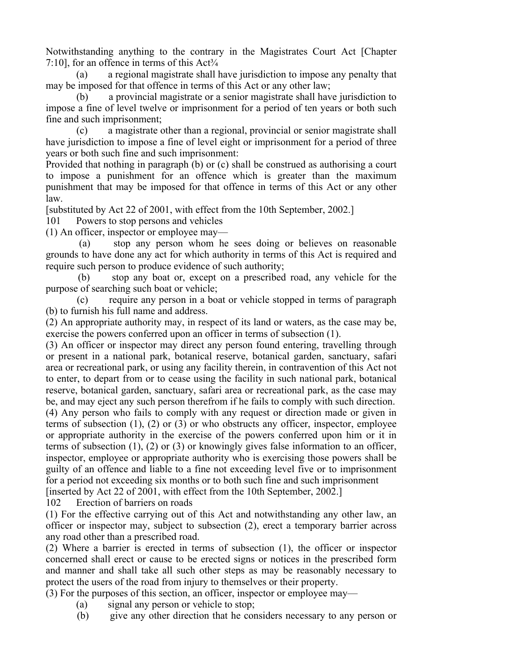Notwithstanding anything to the contrary in the Magistrates Court Act [Chapter 7:10], for an offence in terms of this  $Act^{3}/_{4}$ 

 (a) a regional magistrate shall have jurisdiction to impose any penalty that may be imposed for that offence in terms of this Act or any other law;

 (b) a provincial magistrate or a senior magistrate shall have jurisdiction to impose a fine of level twelve or imprisonment for a period of ten years or both such fine and such imprisonment;

 (c) a magistrate other than a regional, provincial or senior magistrate shall have jurisdiction to impose a fine of level eight or imprisonment for a period of three years or both such fine and such imprisonment:

Provided that nothing in paragraph (b) or (c) shall be construed as authorising a court to impose a punishment for an offence which is greater than the maximum punishment that may be imposed for that offence in terms of this Act or any other law.

[substituted by Act 22 of 2001, with effect from the 10th September, 2002.]

101 Powers to stop persons and vehicles

(1) An officer, inspector or employee may—

 (a) stop any person whom he sees doing or believes on reasonable grounds to have done any act for which authority in terms of this Act is required and require such person to produce evidence of such authority;

 (b) stop any boat or, except on a prescribed road, any vehicle for the purpose of searching such boat or vehicle;

 (c) require any person in a boat or vehicle stopped in terms of paragraph (b) to furnish his full name and address.

(2) An appropriate authority may, in respect of its land or waters, as the case may be, exercise the powers conferred upon an officer in terms of subsection (1).

(3) An officer or inspector may direct any person found entering, travelling through or present in a national park, botanical reserve, botanical garden, sanctuary, safari area or recreational park, or using any facility therein, in contravention of this Act not to enter, to depart from or to cease using the facility in such national park, botanical reserve, botanical garden, sanctuary, safari area or recreational park, as the case may be, and may eject any such person therefrom if he fails to comply with such direction.

(4) Any person who fails to comply with any request or direction made or given in terms of subsection (1), (2) or (3) or who obstructs any officer, inspector, employee or appropriate authority in the exercise of the powers conferred upon him or it in terms of subsection  $(1)$ ,  $(2)$  or  $(3)$  or knowingly gives false information to an officer, inspector, employee or appropriate authority who is exercising those powers shall be guilty of an offence and liable to a fine not exceeding level five or to imprisonment for a period not exceeding six months or to both such fine and such imprisonment [inserted by Act 22 of 2001, with effect from the 10th September, 2002.]

102 Erection of barriers on roads

(1) For the effective carrying out of this Act and notwithstanding any other law, an officer or inspector may, subject to subsection (2), erect a temporary barrier across any road other than a prescribed road.

(2) Where a barrier is erected in terms of subsection (1), the officer or inspector concerned shall erect or cause to be erected signs or notices in the prescribed form and manner and shall take all such other steps as may be reasonably necessary to protect the users of the road from injury to themselves or their property.

(3) For the purposes of this section, an officer, inspector or employee may—

- (a) signal any person or vehicle to stop;
- (b) give any other direction that he considers necessary to any person or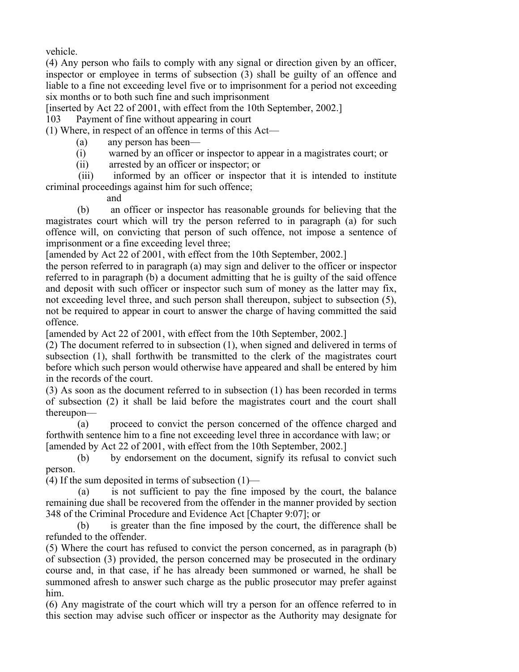vehicle.

(4) Any person who fails to comply with any signal or direction given by an officer, inspector or employee in terms of subsection (3) shall be guilty of an offence and liable to a fine not exceeding level five or to imprisonment for a period not exceeding six months or to both such fine and such imprisonment

[inserted by Act 22 of 2001, with effect from the 10th September, 2002.]

103 Payment of fine without appearing in court

(1) Where, in respect of an offence in terms of this Act—

(a) any person has been—

(i) warned by an officer or inspector to appear in a magistrates court; or

(ii) arrested by an officer or inspector; or

 (iii) informed by an officer or inspector that it is intended to institute criminal proceedings against him for such offence;

and

 (b) an officer or inspector has reasonable grounds for believing that the magistrates court which will try the person referred to in paragraph (a) for such offence will, on convicting that person of such offence, not impose a sentence of imprisonment or a fine exceeding level three;

[amended by Act 22 of 2001, with effect from the 10th September, 2002.]

the person referred to in paragraph (a) may sign and deliver to the officer or inspector referred to in paragraph (b) a document admitting that he is guilty of the said offence and deposit with such officer or inspector such sum of money as the latter may fix, not exceeding level three, and such person shall thereupon, subject to subsection (5), not be required to appear in court to answer the charge of having committed the said offence.

[amended by Act 22 of 2001, with effect from the 10th September, 2002.]

(2) The document referred to in subsection (1), when signed and delivered in terms of subsection (1), shall forthwith be transmitted to the clerk of the magistrates court before which such person would otherwise have appeared and shall be entered by him in the records of the court.

(3) As soon as the document referred to in subsection (1) has been recorded in terms of subsection (2) it shall be laid before the magistrates court and the court shall thereupon—

 (a) proceed to convict the person concerned of the offence charged and forthwith sentence him to a fine not exceeding level three in accordance with law; or [amended by Act 22 of 2001, with effect from the 10th September, 2002.]

 (b) by endorsement on the document, signify its refusal to convict such person.

(4) If the sum deposited in terms of subsection  $(1)$ —

 (a) is not sufficient to pay the fine imposed by the court, the balance remaining due shall be recovered from the offender in the manner provided by section 348 of the Criminal Procedure and Evidence Act [Chapter 9:07]; or

 (b) is greater than the fine imposed by the court, the difference shall be refunded to the offender.

(5) Where the court has refused to convict the person concerned, as in paragraph (b) of subsection (3) provided, the person concerned may be prosecuted in the ordinary course and, in that case, if he has already been summoned or warned, he shall be summoned afresh to answer such charge as the public prosecutor may prefer against him.

(6) Any magistrate of the court which will try a person for an offence referred to in this section may advise such officer or inspector as the Authority may designate for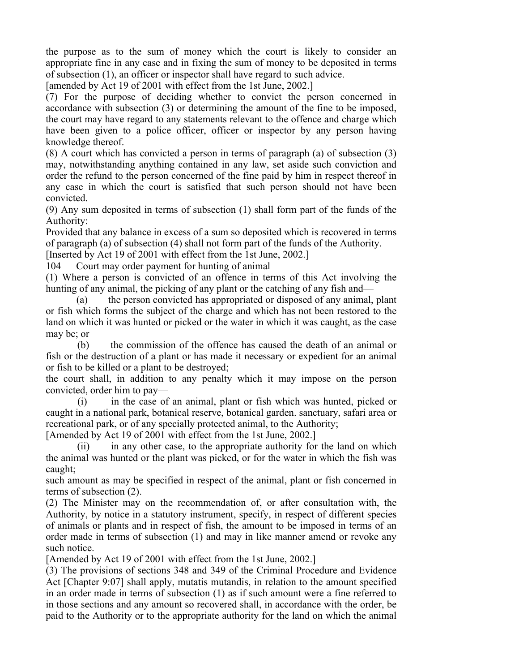the purpose as to the sum of money which the court is likely to consider an appropriate fine in any case and in fixing the sum of money to be deposited in terms of subsection (1), an officer or inspector shall have regard to such advice.

[amended by Act 19 of 2001 with effect from the 1st June, 2002.]

(7) For the purpose of deciding whether to convict the person concerned in accordance with subsection (3) or determining the amount of the fine to be imposed, the court may have regard to any statements relevant to the offence and charge which have been given to a police officer, officer or inspector by any person having knowledge thereof.

(8) A court which has convicted a person in terms of paragraph (a) of subsection (3) may, notwithstanding anything contained in any law, set aside such conviction and order the refund to the person concerned of the fine paid by him in respect thereof in any case in which the court is satisfied that such person should not have been convicted.

(9) Any sum deposited in terms of subsection (1) shall form part of the funds of the Authority:

Provided that any balance in excess of a sum so deposited which is recovered in terms of paragraph (a) of subsection (4) shall not form part of the funds of the Authority.

[Inserted by Act 19 of 2001 with effect from the 1st June, 2002.]

104 Court may order payment for hunting of animal

(1) Where a person is convicted of an offence in terms of this Act involving the hunting of any animal, the picking of any plant or the catching of any fish and—

 (a) the person convicted has appropriated or disposed of any animal, plant or fish which forms the subject of the charge and which has not been restored to the land on which it was hunted or picked or the water in which it was caught, as the case may be; or

 (b) the commission of the offence has caused the death of an animal or fish or the destruction of a plant or has made it necessary or expedient for an animal or fish to be killed or a plant to be destroyed;

the court shall, in addition to any penalty which it may impose on the person convicted, order him to pay—

 (i) in the case of an animal, plant or fish which was hunted, picked or caught in a national park, botanical reserve, botanical garden. sanctuary, safari area or recreational park, or of any specially protected animal, to the Authority;

[Amended by Act 19 of 2001 with effect from the 1st June, 2002.]

 (ii) in any other case, to the appropriate authority for the land on which the animal was hunted or the plant was picked, or for the water in which the fish was caught;

such amount as may be specified in respect of the animal, plant or fish concerned in terms of subsection (2).

(2) The Minister may on the recommendation of, or after consultation with, the Authority, by notice in a statutory instrument, specify, in respect of different species of animals or plants and in respect of fish, the amount to be imposed in terms of an order made in terms of subsection (1) and may in like manner amend or revoke any such notice.

[Amended by Act 19 of 2001 with effect from the 1st June, 2002.]

(3) The provisions of sections 348 and 349 of the Criminal Procedure and Evidence Act [Chapter 9:07] shall apply, mutatis mutandis, in relation to the amount specified in an order made in terms of subsection (1) as if such amount were a fine referred to in those sections and any amount so recovered shall, in accordance with the order, be paid to the Authority or to the appropriate authority for the land on which the animal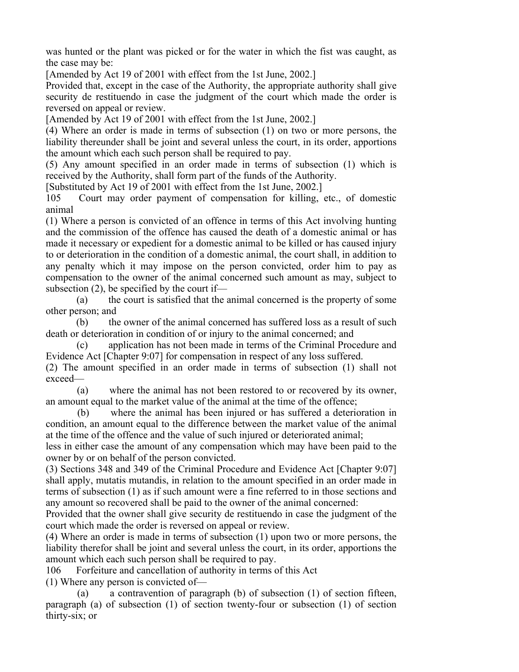was hunted or the plant was picked or for the water in which the fist was caught, as the case may be:

[Amended by Act 19 of 2001 with effect from the 1st June, 2002.]

Provided that, except in the case of the Authority, the appropriate authority shall give security de restituendo in case the judgment of the court which made the order is reversed on appeal or review.

[Amended by Act 19 of 2001 with effect from the 1st June, 2002.]

(4) Where an order is made in terms of subsection (1) on two or more persons, the liability thereunder shall be joint and several unless the court, in its order, apportions the amount which each such person shall be required to pay.

(5) Any amount specified in an order made in terms of subsection (1) which is received by the Authority, shall form part of the funds of the Authority.

[Substituted by Act 19 of 2001 with effect from the 1st June, 2002.]

105 Court may order payment of compensation for killing, etc., of domestic animal

(1) Where a person is convicted of an offence in terms of this Act involving hunting and the commission of the offence has caused the death of a domestic animal or has made it necessary or expedient for a domestic animal to be killed or has caused injury to or deterioration in the condition of a domestic animal, the court shall, in addition to any penalty which it may impose on the person convicted, order him to pay as compensation to the owner of the animal concerned such amount as may, subject to subsection  $(2)$ , be specified by the court if—

 (a) the court is satisfied that the animal concerned is the property of some other person; and

 (b) the owner of the animal concerned has suffered loss as a result of such death or deterioration in condition of or injury to the animal concerned; and

 (c) application has not been made in terms of the Criminal Procedure and Evidence Act [Chapter 9:07] for compensation in respect of any loss suffered.

(2) The amount specified in an order made in terms of subsection (1) shall not exceed—

 (a) where the animal has not been restored to or recovered by its owner, an amount equal to the market value of the animal at the time of the offence;

 (b) where the animal has been injured or has suffered a deterioration in condition, an amount equal to the difference between the market value of the animal at the time of the offence and the value of such injured or deteriorated animal;

less in either case the amount of any compensation which may have been paid to the owner by or on behalf of the person convicted.

(3) Sections 348 and 349 of the Criminal Procedure and Evidence Act [Chapter 9:07] shall apply, mutatis mutandis, in relation to the amount specified in an order made in terms of subsection (1) as if such amount were a fine referred to in those sections and any amount so recovered shall be paid to the owner of the animal concerned:

Provided that the owner shall give security de restituendo in case the judgment of the court which made the order is reversed on appeal or review.

(4) Where an order is made in terms of subsection (1) upon two or more persons, the liability therefor shall be joint and several unless the court, in its order, apportions the amount which each such person shall be required to pay.

106 Forfeiture and cancellation of authority in terms of this Act

(1) Where any person is convicted of—

 (a) a contravention of paragraph (b) of subsection (1) of section fifteen, paragraph (a) of subsection (1) of section twenty-four or subsection (1) of section thirty-six; or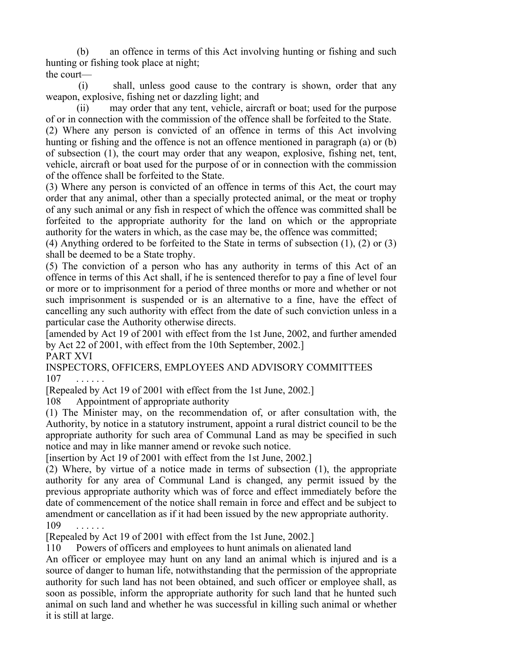(b) an offence in terms of this Act involving hunting or fishing and such hunting or fishing took place at night; the court—

 (i) shall, unless good cause to the contrary is shown, order that any weapon, explosive, fishing net or dazzling light; and

 (ii) may order that any tent, vehicle, aircraft or boat; used for the purpose of or in connection with the commission of the offence shall be forfeited to the State.

(2) Where any person is convicted of an offence in terms of this Act involving hunting or fishing and the offence is not an offence mentioned in paragraph (a) or (b) of subsection (1), the court may order that any weapon, explosive, fishing net, tent, vehicle, aircraft or boat used for the purpose of or in connection with the commission of the offence shall be forfeited to the State.

(3) Where any person is convicted of an offence in terms of this Act, the court may order that any animal, other than a specially protected animal, or the meat or trophy of any such animal or any fish in respect of which the offence was committed shall be forfeited to the appropriate authority for the land on which or the appropriate authority for the waters in which, as the case may be, the offence was committed;

(4) Anything ordered to be forfeited to the State in terms of subsection (1), (2) or (3) shall be deemed to be a State trophy.

(5) The conviction of a person who has any authority in terms of this Act of an offence in terms of this Act shall, if he is sentenced therefor to pay a fine of level four or more or to imprisonment for a period of three months or more and whether or not such imprisonment is suspended or is an alternative to a fine, have the effect of cancelling any such authority with effect from the date of such conviction unless in a particular case the Authority otherwise directs.

[amended by Act 19 of 2001 with effect from the 1st June, 2002, and further amended by Act 22 of 2001, with effect from the 10th September, 2002.]

PART XVI

INSPECTORS, OFFICERS, EMPLOYEES AND ADVISORY COMMITTEES 107 . . . . . .

[Repealed by Act 19 of 2001 with effect from the 1st June, 2002.]

108 Appointment of appropriate authority

(1) The Minister may, on the recommendation of, or after consultation with, the Authority, by notice in a statutory instrument, appoint a rural district council to be the appropriate authority for such area of Communal Land as may be specified in such notice and may in like manner amend or revoke such notice.

[insertion by Act 19 of 2001 with effect from the 1st June, 2002.]

(2) Where, by virtue of a notice made in terms of subsection (1), the appropriate authority for any area of Communal Land is changed, any permit issued by the previous appropriate authority which was of force and effect immediately before the date of commencement of the notice shall remain in force and effect and be subject to amendment or cancellation as if it had been issued by the new appropriate authority. 109

[Repealed by Act 19 of 2001 with effect from the 1st June, 2002.]

110 Powers of officers and employees to hunt animals on alienated land

An officer or employee may hunt on any land an animal which is injured and is a source of danger to human life, notwithstanding that the permission of the appropriate authority for such land has not been obtained, and such officer or employee shall, as soon as possible, inform the appropriate authority for such land that he hunted such animal on such land and whether he was successful in killing such animal or whether it is still at large.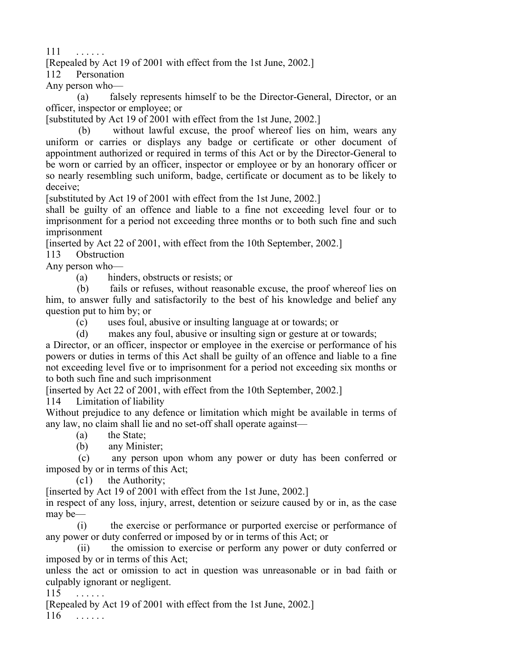$111$ 

[Repealed by Act 19 of 2001 with effect from the 1st June, 2002.]

112 Personation

Any person who—

 (a) falsely represents himself to be the Director-General, Director, or an officer, inspector or employee; or

[substituted by Act 19 of 2001 with effect from the 1st June, 2002.]

 (b) without lawful excuse, the proof whereof lies on him, wears any uniform or carries or displays any badge or certificate or other document of appointment authorized or required in terms of this Act or by the Director-General to be worn or carried by an officer, inspector or employee or by an honorary officer or so nearly resembling such uniform, badge, certificate or document as to be likely to deceive;

[substituted by Act 19 of 2001 with effect from the 1st June, 2002.]

shall be guilty of an offence and liable to a fine not exceeding level four or to imprisonment for a period not exceeding three months or to both such fine and such imprisonment

[inserted by Act 22 of 2001, with effect from the 10th September, 2002.]

113 Obstruction

Any person who—

(a) hinders, obstructs or resists; or

 (b) fails or refuses, without reasonable excuse, the proof whereof lies on him, to answer fully and satisfactorily to the best of his knowledge and belief any question put to him by; or

(c) uses foul, abusive or insulting language at or towards; or

(d) makes any foul, abusive or insulting sign or gesture at or towards;

a Director, or an officer, inspector or employee in the exercise or performance of his powers or duties in terms of this Act shall be guilty of an offence and liable to a fine not exceeding level five or to imprisonment for a period not exceeding six months or to both such fine and such imprisonment

[inserted by Act 22 of 2001, with effect from the 10th September, 2002.]

114 Limitation of liability

Without prejudice to any defence or limitation which might be available in terms of any law, no claim shall lie and no set-off shall operate against—

(a) the State;

(b) any Minister;

 (c) any person upon whom any power or duty has been conferred or imposed by or in terms of this Act;

(c1) the Authority;

[inserted by Act 19 of 2001 with effect from the 1st June, 2002.]

in respect of any loss, injury, arrest, detention or seizure caused by or in, as the case may be—

 (i) the exercise or performance or purported exercise or performance of any power or duty conferred or imposed by or in terms of this Act; or

 (ii) the omission to exercise or perform any power or duty conferred or imposed by or in terms of this Act;

unless the act or omission to act in question was unreasonable or in bad faith or culpably ignorant or negligent.

115 . . . . . .

[Repealed by Act 19 of 2001 with effect from the 1st June, 2002.]

116 . . . . . .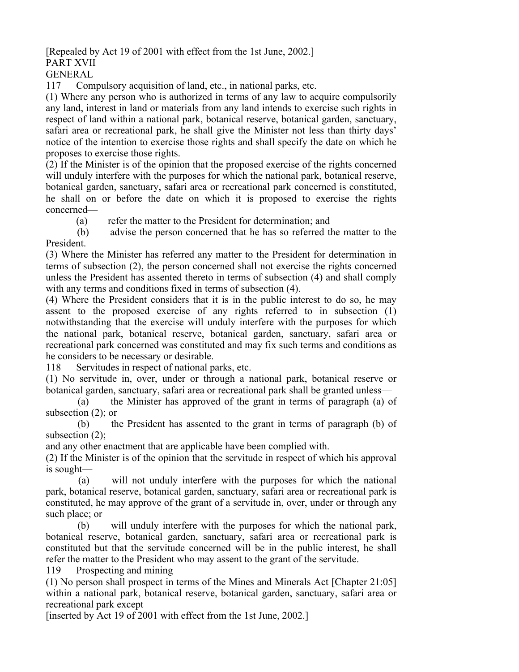[Repealed by Act 19 of 2001 with effect from the 1st June, 2002.] PART XVII

GENERAL

117 Compulsory acquisition of land, etc., in national parks, etc.

(1) Where any person who is authorized in terms of any law to acquire compulsorily any land, interest in land or materials from any land intends to exercise such rights in respect of land within a national park, botanical reserve, botanical garden, sanctuary, safari area or recreational park, he shall give the Minister not less than thirty days' notice of the intention to exercise those rights and shall specify the date on which he proposes to exercise those rights.

(2) If the Minister is of the opinion that the proposed exercise of the rights concerned will unduly interfere with the purposes for which the national park, botanical reserve, botanical garden, sanctuary, safari area or recreational park concerned is constituted, he shall on or before the date on which it is proposed to exercise the rights concerned—

(a) refer the matter to the President for determination; and

 (b) advise the person concerned that he has so referred the matter to the President.

(3) Where the Minister has referred any matter to the President for determination in terms of subsection (2), the person concerned shall not exercise the rights concerned unless the President has assented thereto in terms of subsection (4) and shall comply with any terms and conditions fixed in terms of subsection (4).

(4) Where the President considers that it is in the public interest to do so, he may assent to the proposed exercise of any rights referred to in subsection (1) notwithstanding that the exercise will unduly interfere with the purposes for which the national park, botanical reserve, botanical garden, sanctuary, safari area or recreational park concerned was constituted and may fix such terms and conditions as he considers to be necessary or desirable.

118 Servitudes in respect of national parks, etc.

(1) No servitude in, over, under or through a national park, botanical reserve or botanical garden, sanctuary, safari area or recreational park shall be granted unless—

 (a) the Minister has approved of the grant in terms of paragraph (a) of subsection (2); or

 (b) the President has assented to the grant in terms of paragraph (b) of subsection (2):

and any other enactment that are applicable have been complied with.

(2) If the Minister is of the opinion that the servitude in respect of which his approval is sought—

 (a) will not unduly interfere with the purposes for which the national park, botanical reserve, botanical garden, sanctuary, safari area or recreational park is constituted, he may approve of the grant of a servitude in, over, under or through any such place; or

 (b) will unduly interfere with the purposes for which the national park, botanical reserve, botanical garden, sanctuary, safari area or recreational park is constituted but that the servitude concerned will be in the public interest, he shall refer the matter to the President who may assent to the grant of the servitude.

119 Prospecting and mining

(1) No person shall prospect in terms of the Mines and Minerals Act [Chapter 21:05] within a national park, botanical reserve, botanical garden, sanctuary, safari area or recreational park except—

[inserted by Act 19 of 2001 with effect from the 1st June, 2002.]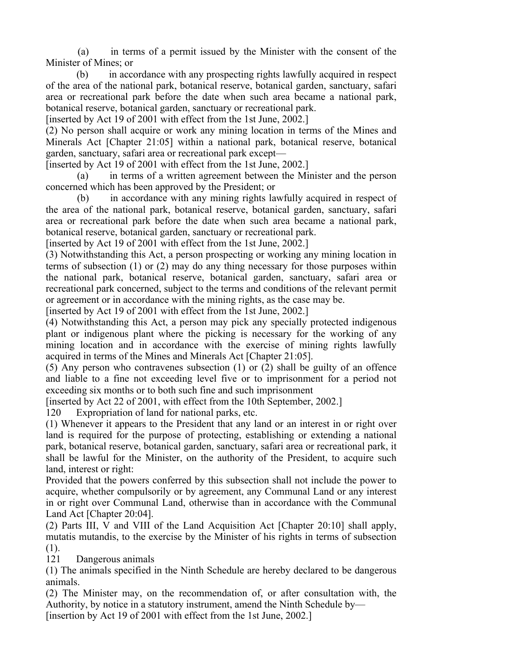(a) in terms of a permit issued by the Minister with the consent of the Minister of Mines; or

 (b) in accordance with any prospecting rights lawfully acquired in respect of the area of the national park, botanical reserve, botanical garden, sanctuary, safari area or recreational park before the date when such area became a national park, botanical reserve, botanical garden, sanctuary or recreational park.

[inserted by Act 19 of 2001 with effect from the 1st June, 2002.]

(2) No person shall acquire or work any mining location in terms of the Mines and Minerals Act [Chapter 21:05] within a national park, botanical reserve, botanical garden, sanctuary, safari area or recreational park except—

[inserted by Act 19 of 2001 with effect from the 1st June, 2002.]

 (a) in terms of a written agreement between the Minister and the person concerned which has been approved by the President; or

 (b) in accordance with any mining rights lawfully acquired in respect of the area of the national park, botanical reserve, botanical garden, sanctuary, safari area or recreational park before the date when such area became a national park, botanical reserve, botanical garden, sanctuary or recreational park.

[inserted by Act 19 of 2001 with effect from the 1st June, 2002.]

(3) Notwithstanding this Act, a person prospecting or working any mining location in terms of subsection (1) or (2) may do any thing necessary for those purposes within the national park, botanical reserve, botanical garden, sanctuary, safari area or recreational park concerned, subject to the terms and conditions of the relevant permit or agreement or in accordance with the mining rights, as the case may be.

[inserted by Act 19 of 2001 with effect from the 1st June, 2002.]

(4) Notwithstanding this Act, a person may pick any specially protected indigenous plant or indigenous plant where the picking is necessary for the working of any mining location and in accordance with the exercise of mining rights lawfully acquired in terms of the Mines and Minerals Act [Chapter 21:05].

(5) Any person who contravenes subsection (1) or (2) shall be guilty of an offence and liable to a fine not exceeding level five or to imprisonment for a period not exceeding six months or to both such fine and such imprisonment

[inserted by Act 22 of 2001, with effect from the 10th September, 2002.]

120 Expropriation of land for national parks, etc.

(1) Whenever it appears to the President that any land or an interest in or right over land is required for the purpose of protecting, establishing or extending a national park, botanical reserve, botanical garden, sanctuary, safari area or recreational park, it shall be lawful for the Minister, on the authority of the President, to acquire such land, interest or right:

Provided that the powers conferred by this subsection shall not include the power to acquire, whether compulsorily or by agreement, any Communal Land or any interest in or right over Communal Land, otherwise than in accordance with the Communal Land Act [Chapter 20:04].

(2) Parts III, V and VIII of the Land Acquisition Act [Chapter 20:10] shall apply, mutatis mutandis, to the exercise by the Minister of his rights in terms of subsection (1).

121 Dangerous animals

(1) The animals specified in the Ninth Schedule are hereby declared to be dangerous animals.

(2) The Minister may, on the recommendation of, or after consultation with, the Authority, by notice in a statutory instrument, amend the Ninth Schedule by—

[insertion by Act 19 of 2001 with effect from the 1st June, 2002.]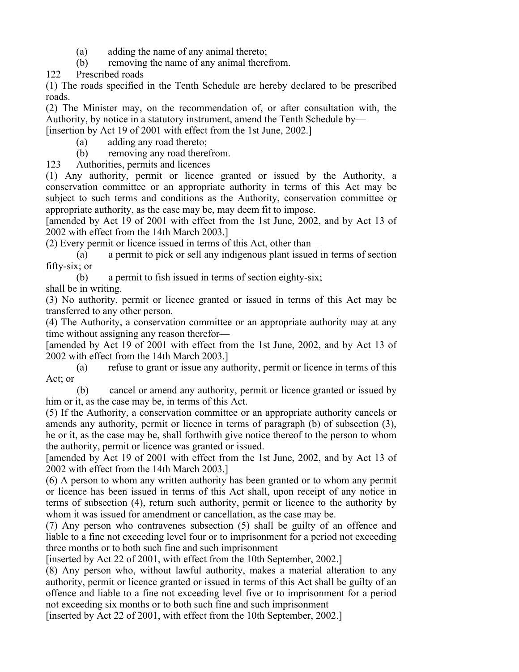- (a) adding the name of any animal thereto;
- (b) removing the name of any animal therefrom.

122 Prescribed roads

(1) The roads specified in the Tenth Schedule are hereby declared to be prescribed roads.

(2) The Minister may, on the recommendation of, or after consultation with, the Authority, by notice in a statutory instrument, amend the Tenth Schedule by—

[insertion by Act 19 of 2001 with effect from the 1st June, 2002.]

(a) adding any road thereto;

(b) removing any road therefrom.

123 Authorities, permits and licences

(1) Any authority, permit or licence granted or issued by the Authority, a conservation committee or an appropriate authority in terms of this Act may be subject to such terms and conditions as the Authority, conservation committee or appropriate authority, as the case may be, may deem fit to impose.

[amended by Act 19 of 2001 with effect from the 1st June, 2002, and by Act 13 of 2002 with effect from the 14th March 2003.]

(2) Every permit or licence issued in terms of this Act, other than—

 (a) a permit to pick or sell any indigenous plant issued in terms of section fifty-six; or

(b) a permit to fish issued in terms of section eighty-six;

shall be in writing.

(3) No authority, permit or licence granted or issued in terms of this Act may be transferred to any other person.

(4) The Authority, a conservation committee or an appropriate authority may at any time without assigning any reason therefor—

[amended by Act 19 of 2001 with effect from the 1st June, 2002, and by Act 13 of 2002 with effect from the 14th March 2003.]

 (a) refuse to grant or issue any authority, permit or licence in terms of this Act; or

 (b) cancel or amend any authority, permit or licence granted or issued by him or it, as the case may be, in terms of this Act.

(5) If the Authority, a conservation committee or an appropriate authority cancels or amends any authority, permit or licence in terms of paragraph (b) of subsection (3), he or it, as the case may be, shall forthwith give notice thereof to the person to whom the authority, permit or licence was granted or issued.

[amended by Act 19 of 2001 with effect from the 1st June, 2002, and by Act 13 of 2002 with effect from the 14th March 2003.]

(6) A person to whom any written authority has been granted or to whom any permit or licence has been issued in terms of this Act shall, upon receipt of any notice in terms of subsection (4), return such authority, permit or licence to the authority by whom it was issued for amendment or cancellation, as the case may be.

(7) Any person who contravenes subsection (5) shall be guilty of an offence and liable to a fine not exceeding level four or to imprisonment for a period not exceeding three months or to both such fine and such imprisonment

[inserted by Act 22 of 2001, with effect from the 10th September, 2002.]

(8) Any person who, without lawful authority, makes a material alteration to any authority, permit or licence granted or issued in terms of this Act shall be guilty of an offence and liable to a fine not exceeding level five or to imprisonment for a period not exceeding six months or to both such fine and such imprisonment

[inserted by Act 22 of 2001, with effect from the 10th September, 2002.]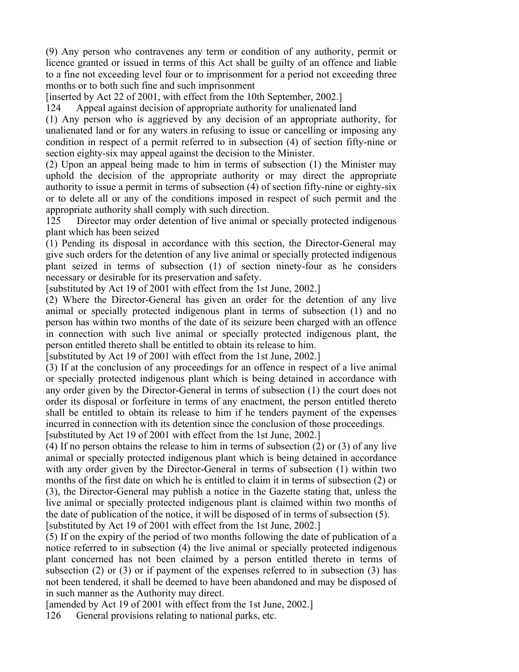(9) Any person who contravenes any term or condition of any authority, permit or licence granted or issued in terms of this Act shall be guilty of an offence and liable to a fine not exceeding level four or to imprisonment for a period not exceeding three months or to both such fine and such imprisonment

[inserted by Act 22 of 2001, with effect from the 10th September, 2002.]

124 Appeal against decision of appropriate authority for unalienated land

(1) Any person who is aggrieved by any decision of an appropriate authority, for unalienated land or for any waters in refusing to issue or cancelling or imposing any condition in respect of a permit referred to in subsection (4) of section fifty-nine or section eighty-six may appeal against the decision to the Minister.

(2) Upon an appeal being made to him in terms of subsection (1) the Minister may uphold the decision of the appropriate authority or may direct the appropriate authority to issue a permit in terms of subsection (4) of section fifty-nine or eighty-six or to delete all or any of the conditions imposed in respect of such permit and the appropriate authority shall comply with such direction.

125 Director may order detention of live animal or specially protected indigenous plant which has been seized

(1) Pending its disposal in accordance with this section, the Director-General may give such orders for the detention of any live animal or specially protected indigenous plant seized in terms of subsection (1) of section ninety-four as he considers necessary or desirable for its preservation and safety.

[substituted by Act 19 of 2001 with effect from the 1st June, 2002.]

(2) Where the Director-General has given an order for the detention of any live animal or specially protected indigenous plant in terms of subsection (1) and no person has within two months of the date of its seizure been charged with an offence in connection with such live animal or specially protected indigenous plant, the person entitled thereto shall be entitled to obtain its release to him.

[substituted by Act 19 of 2001 with effect from the 1st June, 2002.]

(3) If at the conclusion of any proceedings for an offence in respect of a live animal or specially protected indigenous plant which is being detained in accordance with any order given by the Director-General in terms of subsection (1) the court does not order its disposal or forfeiture in terms of any enactment, the person entitled thereto shall be entitled to obtain its release to him if he tenders payment of the expenses incurred in connection with its detention since the conclusion of those proceedings.

[substituted by Act 19 of 2001 with effect from the 1st June, 2002.]

(4) If no person obtains the release to him in terms of subsection (2) or (3) of any live animal or specially protected indigenous plant which is being detained in accordance with any order given by the Director-General in terms of subsection (1) within two months of the first date on which he is entitled to claim it in terms of subsection (2) or (3), the Director-General may publish a notice in the Gazette stating that, unless the live animal or specially protected indigenous plant is claimed within two months of the date of publication of the notice, it will be disposed of in terms of subsection (5).

[substituted by Act 19 of 2001 with effect from the 1st June, 2002.]

(5) If on the expiry of the period of two months following the date of publication of a notice referred to in subsection (4) the live animal or specially protected indigenous plant concerned has not been claimed by a person entitled thereto in terms of subsection (2) or (3) or if payment of the expenses referred to in subsection (3) has not been tendered, it shall be deemed to have been abandoned and may be disposed of in such manner as the Authority may direct.

[amended by Act 19 of 2001 with effect from the 1st June, 2002.]

126 General provisions relating to national parks, etc.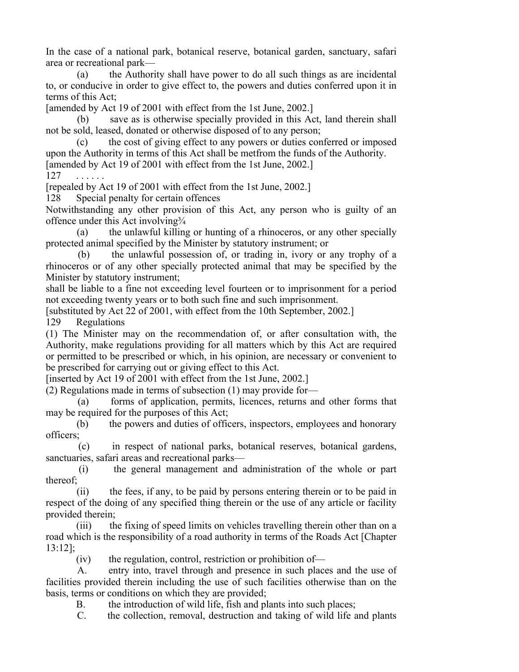In the case of a national park, botanical reserve, botanical garden, sanctuary, safari area or recreational park—

 (a) the Authority shall have power to do all such things as are incidental to, or conducive in order to give effect to, the powers and duties conferred upon it in terms of this Act;

[amended by Act 19 of 2001 with effect from the 1st June, 2002.]

 (b) save as is otherwise specially provided in this Act, land therein shall not be sold, leased, donated or otherwise disposed of to any person;

 (c) the cost of giving effect to any powers or duties conferred or imposed upon the Authority in terms of this Act shall be metfrom the funds of the Authority. [amended by Act 19 of 2001 with effect from the 1st June, 2002.]

127

[repealed by Act 19 of 2001 with effect from the 1st June, 2002.]

128 Special penalty for certain offences

Notwithstanding any other provision of this Act, any person who is guilty of an offence under this Act involving  $\frac{3}{4}$ 

 (a) the unlawful killing or hunting of a rhinoceros, or any other specially protected animal specified by the Minister by statutory instrument; or

 (b) the unlawful possession of, or trading in, ivory or any trophy of a rhinoceros or of any other specially protected animal that may be specified by the Minister by statutory instrument;

shall be liable to a fine not exceeding level fourteen or to imprisonment for a period not exceeding twenty years or to both such fine and such imprisonment.

[substituted by Act 22 of 2001, with effect from the 10th September, 2002.] 129 Regulations

(1) The Minister may on the recommendation of, or after consultation with, the Authority, make regulations providing for all matters which by this Act are required or permitted to be prescribed or which, in his opinion, are necessary or convenient to be prescribed for carrying out or giving effect to this Act.

[inserted by Act 19 of 2001 with effect from the 1st June, 2002.]

(2) Regulations made in terms of subsection (1) may provide for—

 (a) forms of application, permits, licences, returns and other forms that may be required for the purposes of this Act;

 (b) the powers and duties of officers, inspectors, employees and honorary officers;

 (c) in respect of national parks, botanical reserves, botanical gardens, sanctuaries, safari areas and recreational parks—

 (i) the general management and administration of the whole or part thereof;

 (ii) the fees, if any, to be paid by persons entering therein or to be paid in respect of the doing of any specified thing therein or the use of any article or facility provided therein;

 (iii) the fixing of speed limits on vehicles travelling therein other than on a road which is the responsibility of a road authority in terms of the Roads Act [Chapter 13:12];

 $(iv)$  the regulation, control, restriction or prohibition of—

 A. entry into, travel through and presence in such places and the use of facilities provided therein including the use of such facilities otherwise than on the basis, terms or conditions on which they are provided;

B. the introduction of wild life, fish and plants into such places;

C. the collection, removal, destruction and taking of wild life and plants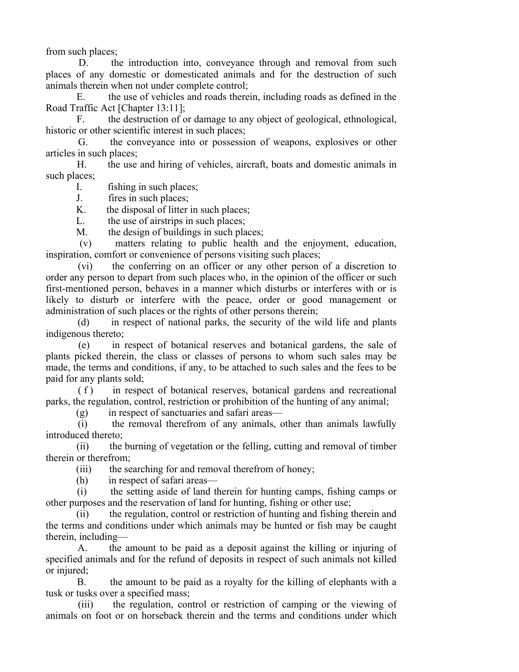from such places;

 D. the introduction into, conveyance through and removal from such places of any domestic or domesticated animals and for the destruction of such animals therein when not under complete control;

 E. the use of vehicles and roads therein, including roads as defined in the Road Traffic Act [Chapter 13:11];

 F. the destruction of or damage to any object of geological, ethnological, historic or other scientific interest in such places;

 G. the conveyance into or possession of weapons, explosives or other articles in such places;

 H. the use and hiring of vehicles, aircraft, boats and domestic animals in such places;

I. fishing in such places;

J. fires in such places;

K. the disposal of litter in such places;

L. the use of airstrips in such places;

M. the design of buildings in such places;

 (v) matters relating to public health and the enjoyment, education, inspiration, comfort or convenience of persons visiting such places;

 (vi) the conferring on an officer or any other person of a discretion to order any person to depart from such places who, in the opinion of the officer or such first-mentioned person, behaves in a manner which disturbs or interferes with or is likely to disturb or interfere with the peace, order or good management or administration of such places or the rights of other persons therein;

 (d) in respect of national parks, the security of the wild life and plants indigenous thereto;

 (e) in respect of botanical reserves and botanical gardens, the sale of plants picked therein, the class or classes of persons to whom such sales may be made, the terms and conditions, if any, to be attached to such sales and the fees to be paid for any plants sold;

(f) in respect of botanical reserves, botanical gardens and recreational parks, the regulation, control, restriction or prohibition of the hunting of any animal;

(g) in respect of sanctuaries and safari areas—

 (i) the removal therefrom of any animals, other than animals lawfully introduced thereto;

 (ii) the burning of vegetation or the felling, cutting and removal of timber therein or therefrom;

(iii) the searching for and removal therefrom of honey;

(h) in respect of safari areas—

 (i) the setting aside of land therein for hunting camps, fishing camps or other purposes and the reservation of land for hunting, fishing or other use;

 (ii) the regulation, control or restriction of hunting and fishing therein and the terms and conditions under which animals may be hunted or fish may be caught therein, including—

 A. the amount to be paid as a deposit against the killing or injuring of specified animals and for the refund of deposits in respect of such animals not killed or injured;

 B. the amount to be paid as a royalty for the killing of elephants with a tusk or tusks over a specified mass;

 (iii) the regulation, control or restriction of camping or the viewing of animals on foot or on horseback therein and the terms and conditions under which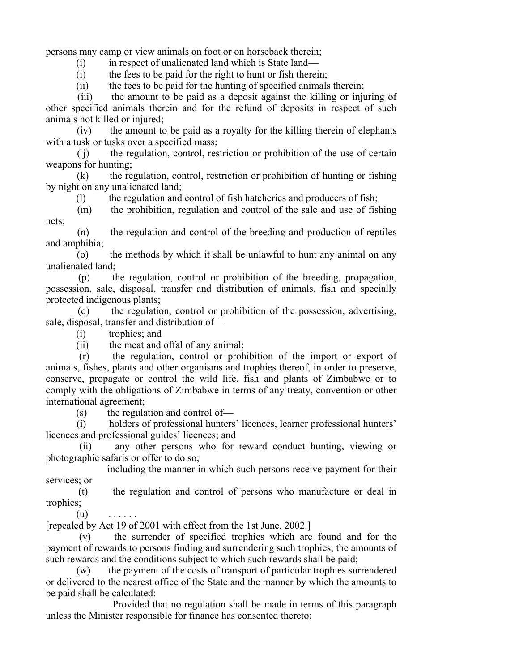persons may camp or view animals on foot or on horseback therein;

(i) in respect of unalienated land which is State land—

(i) the fees to be paid for the right to hunt or fish therein;

(ii) the fees to be paid for the hunting of specified animals therein;

 (iii) the amount to be paid as a deposit against the killing or injuring of other specified animals therein and for the refund of deposits in respect of such animals not killed or injured;

 (iv) the amount to be paid as a royalty for the killing therein of elephants with a tusk or tusks over a specified mass;

 ( j) the regulation, control, restriction or prohibition of the use of certain weapons for hunting;

 (k) the regulation, control, restriction or prohibition of hunting or fishing by night on any unalienated land;

(l) the regulation and control of fish hatcheries and producers of fish;

 (m) the prohibition, regulation and control of the sale and use of fishing nets;

 (n) the regulation and control of the breeding and production of reptiles and amphibia;

 (o) the methods by which it shall be unlawful to hunt any animal on any unalienated land;

 (p) the regulation, control or prohibition of the breeding, propagation, possession, sale, disposal, transfer and distribution of animals, fish and specially protected indigenous plants;

 (q) the regulation, control or prohibition of the possession, advertising, sale, disposal, transfer and distribution of—

(i) trophies; and

(ii) the meat and offal of any animal;

 (r) the regulation, control or prohibition of the import or export of animals, fishes, plants and other organisms and trophies thereof, in order to preserve, conserve, propagate or control the wild life, fish and plants of Zimbabwe or to comply with the obligations of Zimbabwe in terms of any treaty, convention or other international agreement;

 $(s)$  the regulation and control of—

 (i) holders of professional hunters' licences, learner professional hunters' licences and professional guides' licences; and

 (ii) any other persons who for reward conduct hunting, viewing or photographic safaris or offer to do so;

 including the manner in which such persons receive payment for their services; or

 (t) the regulation and control of persons who manufacture or deal in trophies;

 $(u)$ 

[repealed by Act 19 of 2001 with effect from the 1st June, 2002.]

 (v) the surrender of specified trophies which are found and for the payment of rewards to persons finding and surrendering such trophies, the amounts of such rewards and the conditions subject to which such rewards shall be paid;

 (w) the payment of the costs of transport of particular trophies surrendered or delivered to the nearest office of the State and the manner by which the amounts to be paid shall be calculated:

 Provided that no regulation shall be made in terms of this paragraph unless the Minister responsible for finance has consented thereto;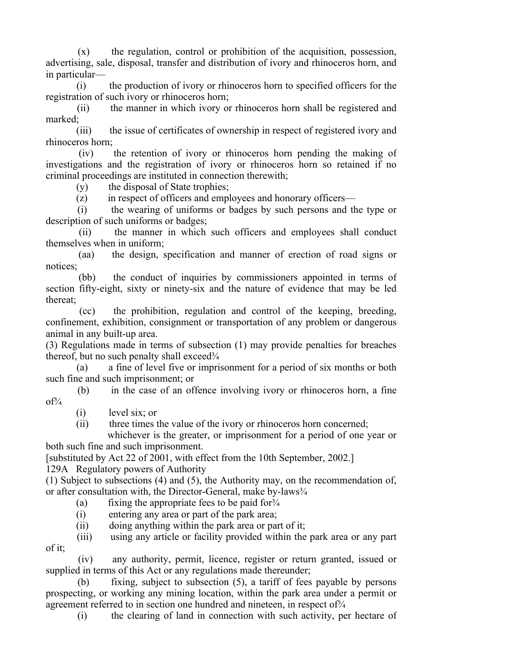(x) the regulation, control or prohibition of the acquisition, possession, advertising, sale, disposal, transfer and distribution of ivory and rhinoceros horn, and in particular—

 (i) the production of ivory or rhinoceros horn to specified officers for the registration of such ivory or rhinoceros horn;

 (ii) the manner in which ivory or rhinoceros horn shall be registered and marked;

 (iii) the issue of certificates of ownership in respect of registered ivory and rhinoceros horn;

 (iv) the retention of ivory or rhinoceros horn pending the making of investigations and the registration of ivory or rhinoceros horn so retained if no criminal proceedings are instituted in connection therewith;

(y) the disposal of State trophies;

(z) in respect of officers and employees and honorary officers—

 (i) the wearing of uniforms or badges by such persons and the type or description of such uniforms or badges;

 (ii) the manner in which such officers and employees shall conduct themselves when in uniform;

 (aa) the design, specification and manner of erection of road signs or notices;

 (bb) the conduct of inquiries by commissioners appointed in terms of section fifty-eight, sixty or ninety-six and the nature of evidence that may be led thereat;

 (cc) the prohibition, regulation and control of the keeping, breeding, confinement, exhibition, consignment or transportation of any problem or dangerous animal in any built-up area.

(3) Regulations made in terms of subsection (1) may provide penalties for breaches thereof, but no such penalty shall exceed $\frac{3}{4}$ 

 (a) a fine of level five or imprisonment for a period of six months or both such fine and such imprisonment; or

 (b) in the case of an offence involving ivory or rhinoceros horn, a fine  $of\frac{3}{4}$ 

(i) level six; or

(ii) three times the value of the ivory or rhinoceros horn concerned;

 whichever is the greater, or imprisonment for a period of one year or both such fine and such imprisonment.

[substituted by Act 22 of 2001, with effect from the 10th September, 2002.]

129A Regulatory powers of Authority

(1) Subject to subsections (4) and (5), the Authority may, on the recommendation of, or after consultation with, the Director-General, make by-laws<sup>3</sup>/4

(a) fixing the appropriate fees to be paid for  $\frac{3}{4}$ 

(i) entering any area or part of the park area;

(ii) doing anything within the park area or part of it;

 (iii) using any article or facility provided within the park area or any part of it;

 (iv) any authority, permit, licence, register or return granted, issued or supplied in terms of this Act or any regulations made thereunder;

 (b) fixing, subject to subsection (5), a tariff of fees payable by persons prospecting, or working any mining location, within the park area under a permit or agreement referred to in section one hundred and nineteen, in respect of %

(i) the clearing of land in connection with such activity, per hectare of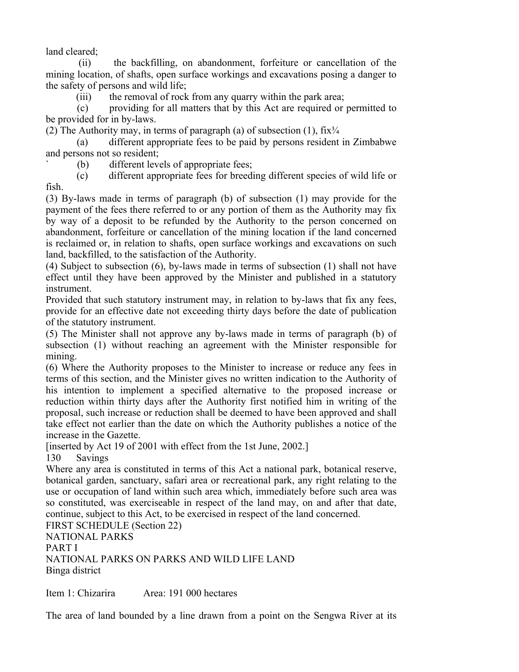land cleared;

 (ii) the backfilling, on abandonment, forfeiture or cancellation of the mining location, of shafts, open surface workings and excavations posing a danger to the safety of persons and wild life;

(iii) the removal of rock from any quarry within the park area;

 (c) providing for all matters that by this Act are required or permitted to be provided for in by-laws.

(2) The Authority may, in terms of paragraph (a) of subsection (1),  $fix_{4}^{3}/4$ 

 (a) different appropriate fees to be paid by persons resident in Zimbabwe and persons not so resident;

(b) different levels of appropriate fees;

 (c) different appropriate fees for breeding different species of wild life or fish.

(3) By-laws made in terms of paragraph (b) of subsection (1) may provide for the payment of the fees there referred to or any portion of them as the Authority may fix by way of a deposit to be refunded by the Authority to the person concerned on abandonment, forfeiture or cancellation of the mining location if the land concerned is reclaimed or, in relation to shafts, open surface workings and excavations on such land, backfilled, to the satisfaction of the Authority.

(4) Subject to subsection (6), by-laws made in terms of subsection (1) shall not have effect until they have been approved by the Minister and published in a statutory instrument.

Provided that such statutory instrument may, in relation to by-laws that fix any fees, provide for an effective date not exceeding thirty days before the date of publication of the statutory instrument.

(5) The Minister shall not approve any by-laws made in terms of paragraph (b) of subsection (1) without reaching an agreement with the Minister responsible for mining.

(6) Where the Authority proposes to the Minister to increase or reduce any fees in terms of this section, and the Minister gives no written indication to the Authority of his intention to implement a specified alternative to the proposed increase or reduction within thirty days after the Authority first notified him in writing of the proposal, such increase or reduction shall be deemed to have been approved and shall take effect not earlier than the date on which the Authority publishes a notice of the increase in the Gazette.

[inserted by Act 19 of 2001 with effect from the 1st June, 2002.]

130 Savings

Where any area is constituted in terms of this Act a national park, botanical reserve, botanical garden, sanctuary, safari area or recreational park, any right relating to the use or occupation of land within such area which, immediately before such area was so constituted, was exerciseable in respect of the land may, on and after that date, continue, subject to this Act, to be exercised in respect of the land concerned.

FIRST SCHEDULE (Section 22) NATIONAL PARKS PART I NATIONAL PARKS ON PARKS AND WILD LIFE LAND Binga district

Item 1: Chizarira Area: 191 000 hectares

The area of land bounded by a line drawn from a point on the Sengwa River at its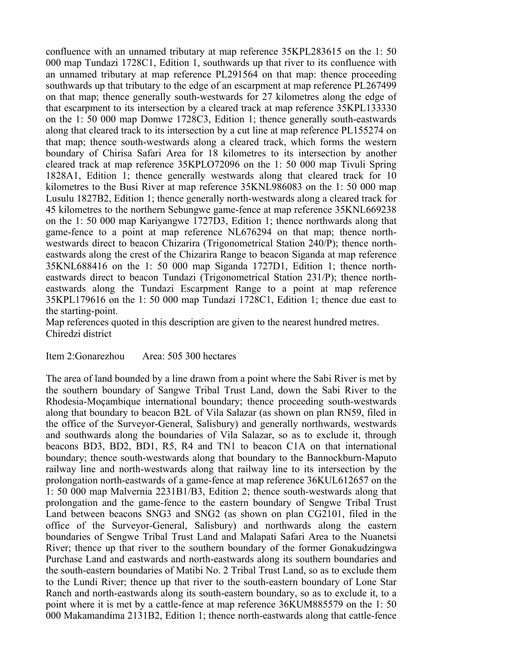confluence with an unnamed tributary at map reference 35KPL283615 on the 1: 50 000 map Tundazi 1728C1, Edition 1, southwards up that river to its confluence with an unnamed tributary at map reference PL291564 on that map: thence proceeding southwards up that tributary to the edge of an escarpment at map reference PL267499 on that map; thence generally south-westwards for 27 kilometres along the edge of that escarpment to its intersection by a cleared track at map reference 35KPL133330 on the 1: 50 000 map Domwe 1728C3, Edition 1; thence generally south-eastwards along that cleared track to its intersection by a cut line at map reference PL155274 on that map; thence south-westwards along a cleared track, which forms the western boundary of Chirisa Safari Area for 18 kilometres to its intersection by another cleared track at map reference 35KPLO72096 on the 1: 50 000 map Tivuli Spring 1828A1, Edition 1; thence generally westwards along that cleared track for 10 kilometres to the Busi River at map reference 35KNL986083 on the 1: 50 000 map Lusulu 1827B2, Edition 1; thence generally north-westwards along a cleared track for 45 kilometres to the northern Sebungwe game-fence at map reference 35KNL669238 on the 1: 50 000 map Kariyangwe 1727D3, Edition 1; thence northwards along that game-fence to a point at map reference NL676294 on that map; thence northwestwards direct to beacon Chizarira (Trigonometrical Station 240/P); thence northeastwards along the crest of the Chizarira Range to beacon Siganda at map reference 35KNL688416 on the 1: 50 000 map Siganda 1727D1, Edition 1; thence northeastwards direct to beacon Tundazi (Trigonometrical Station 231/P); thence northeastwards along the Tundazi Escarpment Range to a point at map reference 35KPL179616 on the 1: 50 000 map Tundazi 1728C1, Edition 1; thence due east to the starting-point.

Map references quoted in this description are given to the nearest hundred metres. Chiredzi district

#### Item 2:Gonarezhou Area: 505 300 hectares

The area of land bounded by a line drawn from a point where the Sabi River is met by the southern boundary of Sangwe Tribal Trust Land, down the Sabi River to the Rhodesia-Moçambique international boundary; thence proceeding south-westwards along that boundary to beacon B2L of Vila Salazar (as shown on plan RN59, filed in the office of the Surveyor-General, Salisbury) and generally northwards, westwards and southwards along the boundaries of Vila Salazar, so as to exclude it, through beacons BD3, BD2, BD1, R5, R4 and TN1 to beacon C1A on that international boundary; thence south-westwards along that boundary to the Bannockburn-Maputo railway line and north-westwards along that railway line to its intersection by the prolongation north-eastwards of a game-fence at map reference 36KUL612657 on the 1: 50 000 map Malvernia 2231B1/B3, Edition 2; thence south-westwards along that prolongation and the game-fence to the eastern boundary of Sengwe Tribal Trust Land between beacons SNG3 and SNG2 (as shown on plan CG2101, filed in the office of the Surveyor-General, Salisbury) and northwards along the eastern boundaries of Sengwe Tribal Trust Land and Malapati Safari Area to the Nuanetsi River; thence up that river to the southern boundary of the former Gonakudzingwa Purchase Land and eastwards and north-eastwards along its southern boundaries and the south-eastern boundaries of Matibi No. 2 Tribal Trust Land, so as to exclude them to the Lundi River; thence up that river to the south-eastern boundary of Lone Star Ranch and north-eastwards along its south-eastern boundary, so as to exclude it, to a point where it is met by a cattle-fence at map reference 36KUM885579 on the 1: 50 000 Makamandima 2131B2, Edition 1; thence north-eastwards along that cattle-fence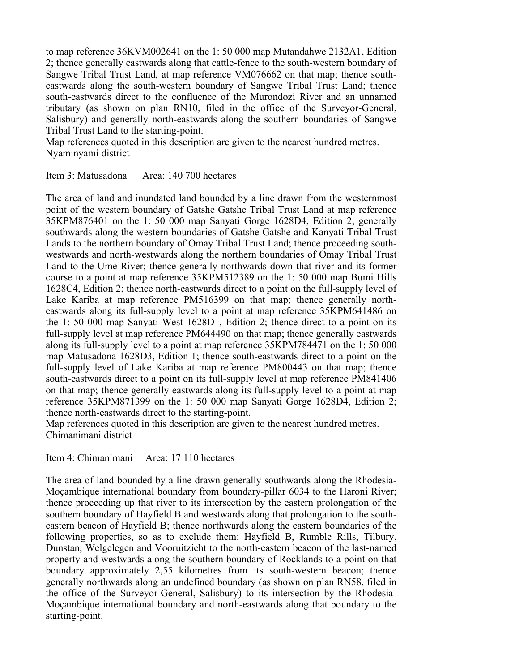to map reference 36KVM002641 on the 1: 50 000 map Mutandahwe 2132A1, Edition 2; thence generally eastwards along that cattle-fence to the south-western boundary of Sangwe Tribal Trust Land, at map reference VM076662 on that map; thence southeastwards along the south-western boundary of Sangwe Tribal Trust Land; thence south-eastwards direct to the confluence of the Murondozi River and an unnamed tributary (as shown on plan RN10, filed in the office of the Surveyor-General, Salisbury) and generally north-eastwards along the southern boundaries of Sangwe Tribal Trust Land to the starting-point.

Map references quoted in this description are given to the nearest hundred metres. Nyaminyami district

Item 3: Matusadona Area: 140 700 hectares

The area of land and inundated land bounded by a line drawn from the westernmost point of the western boundary of Gatshe Gatshe Tribal Trust Land at map reference 35KPM876401 on the 1: 50 000 map Sanyati Gorge 1628D4, Edition 2; generally southwards along the western boundaries of Gatshe Gatshe and Kanyati Tribal Trust Lands to the northern boundary of Omay Tribal Trust Land; thence proceeding southwestwards and north-westwards along the northern boundaries of Omay Tribal Trust Land to the Ume River; thence generally northwards down that river and its former course to a point at map reference 35KPM512389 on the 1: 50 000 map Bumi Hills 1628C4, Edition 2; thence north-eastwards direct to a point on the full-supply level of Lake Kariba at map reference PM516399 on that map; thence generally northeastwards along its full-supply level to a point at map reference 35KPM641486 on the 1: 50 000 map Sanyati West 1628D1, Edition 2; thence direct to a point on its full-supply level at map reference PM644490 on that map; thence generally eastwards along its full-supply level to a point at map reference 35KPM784471 on the 1: 50 000 map Matusadona 1628D3, Edition 1; thence south-eastwards direct to a point on the full-supply level of Lake Kariba at map reference PM800443 on that map; thence south-eastwards direct to a point on its full-supply level at map reference PM841406 on that map; thence generally eastwards along its full-supply level to a point at map reference 35KPM871399 on the 1: 50 000 map Sanyati Gorge 1628D4, Edition 2; thence north-eastwards direct to the starting-point.

Map references quoted in this description are given to the nearest hundred metres. Chimanimani district

Item 4: Chimanimani Area: 17 110 hectares

The area of land bounded by a line drawn generally southwards along the Rhodesia-Moçambique international boundary from boundary-pillar 6034 to the Haroni River; thence proceeding up that river to its intersection by the eastern prolongation of the southern boundary of Hayfield B and westwards along that prolongation to the southeastern beacon of Hayfield B; thence northwards along the eastern boundaries of the following properties, so as to exclude them: Hayfield B, Rumble Rills, Tilbury, Dunstan, Welgelegen and Vooruitzicht to the north-eastern beacon of the last-named property and westwards along the southern boundary of Rocklands to a point on that boundary approximately 2,55 kilometres from its south-western beacon; thence generally northwards along an undefined boundary (as shown on plan RN58, filed in the office of the Surveyor-General, Salisbury) to its intersection by the Rhodesia-Moçambique international boundary and north-eastwards along that boundary to the starting-point.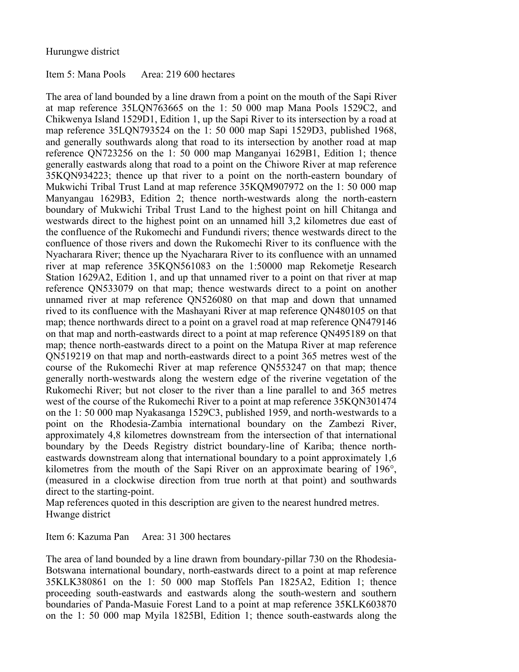### Hurungwe district

Item 5: Mana Pools Area: 219 600 hectares

The area of land bounded by a line drawn from a point on the mouth of the Sapi River at map reference 35LQN763665 on the 1: 50 000 map Mana Pools 1529C2, and Chikwenya Island 1529D1, Edition 1, up the Sapi River to its intersection by a road at map reference 35LQN793524 on the 1: 50 000 map Sapi 1529D3, published 1968, and generally southwards along that road to its intersection by another road at map reference QN723256 on the 1: 50 000 map Manganyai 1629B1, Edition 1; thence generally eastwards along that road to a point on the Chiwore River at map reference 35KQN934223; thence up that river to a point on the north-eastern boundary of Mukwichi Tribal Trust Land at map reference 35KQM907972 on the 1: 50 000 map Manyangau 1629B3, Edition 2; thence north-westwards along the north-eastern boundary of Mukwichi Tribal Trust Land to the highest point on hill Chitanga and westwards direct to the highest point on an unnamed hill 3,2 kilometres due east of the confluence of the Rukomechi and Fundundi rivers; thence westwards direct to the confluence of those rivers and down the Rukomechi River to its confluence with the Nyacharara River; thence up the Nyacharara River to its confluence with an unnamed river at map reference 35KQN561083 on the 1:50000 map Rekometje Research Station 1629A2, Edition 1, and up that unnamed river to a point on that river at map reference QN533079 on that map; thence westwards direct to a point on another unnamed river at map reference QN526080 on that map and down that unnamed rived to its confluence with the Mashayani River at map reference QN480105 on that map; thence northwards direct to a point on a gravel road at map reference QN479146 on that map and north-eastwards direct to a point at map reference QN495189 on that map; thence north-eastwards direct to a point on the Matupa River at map reference QN519219 on that map and north-eastwards direct to a point 365 metres west of the course of the Rukomechi River at map reference QN553247 on that map; thence generally north-westwards along the western edge of the riverine vegetation of the Rukomechi River; but not closer to the river than a line parallel to and 365 metres west of the course of the Rukomechi River to a point at map reference 35KQN301474 on the 1: 50 000 map Nyakasanga 1529C3, published 1959, and north-westwards to a point on the Rhodesia-Zambia international boundary on the Zambezi River, approximately 4,8 kilometres downstream from the intersection of that international boundary by the Deeds Registry district boundary-line of Kariba; thence northeastwards downstream along that international boundary to a point approximately 1,6 kilometres from the mouth of the Sapi River on an approximate bearing of 196°, (measured in a clockwise direction from true north at that point) and southwards direct to the starting-point.

Map references quoted in this description are given to the nearest hundred metres. Hwange district

Item 6: Kazuma Pan Area: 31 300 hectares

The area of land bounded by a line drawn from boundary-pillar 730 on the Rhodesia-Botswana international boundary, north-eastwards direct to a point at map reference 35KLK380861 on the 1: 50 000 map Stoffels Pan 1825A2, Edition 1; thence proceeding south-eastwards and eastwards along the south-western and southern boundaries of Panda-Masuie Forest Land to a point at map reference 35KLK603870 on the 1: 50 000 map Myila 1825Bl, Edition 1; thence south-eastwards along the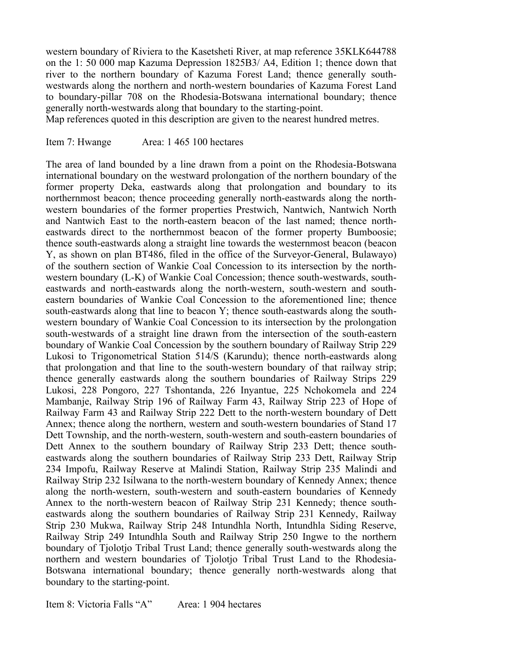western boundary of Riviera to the Kasetsheti River, at map reference 35KLK644788 on the 1: 50 000 map Kazuma Depression 1825B3/ A4, Edition 1; thence down that river to the northern boundary of Kazuma Forest Land; thence generally southwestwards along the northern and north-western boundaries of Kazuma Forest Land to boundary-pillar 708 on the Rhodesia-Botswana international boundary; thence generally north-westwards along that boundary to the starting-point.

Map references quoted in this description are given to the nearest hundred metres.

Item 7: Hwange Area: 1 465 100 hectares

The area of land bounded by a line drawn from a point on the Rhodesia-Botswana international boundary on the westward prolongation of the northern boundary of the former property Deka, eastwards along that prolongation and boundary to its northernmost beacon; thence proceeding generally north-eastwards along the northwestern boundaries of the former properties Prestwich, Nantwich, Nantwich North and Nantwich East to the north-eastern beacon of the last named; thence northeastwards direct to the northernmost beacon of the former property Bumboosie; thence south-eastwards along a straight line towards the westernmost beacon (beacon Y, as shown on plan BT486, filed in the office of the Surveyor-General, Bulawayo) of the southern section of Wankie Coal Concession to its intersection by the northwestern boundary (L-K) of Wankie Coal Concession; thence south-westwards, southeastwards and north-eastwards along the north-western, south-western and southeastern boundaries of Wankie Coal Concession to the aforementioned line; thence south-eastwards along that line to beacon Y; thence south-eastwards along the southwestern boundary of Wankie Coal Concession to its intersection by the prolongation south-westwards of a straight line drawn from the intersection of the south-eastern boundary of Wankie Coal Concession by the southern boundary of Railway Strip 229 Lukosi to Trigonometrical Station 514/S (Karundu); thence north-eastwards along that prolongation and that line to the south-western boundary of that railway strip; thence generally eastwards along the southern boundaries of Railway Strips 229 Lukosi, 228 Pongoro, 227 Tshontanda, 226 Inyantue, 225 Nchokomela and 224 Mambanje, Railway Strip 196 of Railway Farm 43, Railway Strip 223 of Hope of Railway Farm 43 and Railway Strip 222 Dett to the north-western boundary of Dett Annex; thence along the northern, western and south-western boundaries of Stand 17 Dett Township, and the north-western, south-western and south-eastern boundaries of Dett Annex to the southern boundary of Railway Strip 233 Dett; thence southeastwards along the southern boundaries of Railway Strip 233 Dett, Railway Strip 234 Impofu, Railway Reserve at Malindi Station, Railway Strip 235 Malindi and Railway Strip 232 Isilwana to the north-western boundary of Kennedy Annex; thence along the north-western, south-western and south-eastern boundaries of Kennedy Annex to the north-western beacon of Railway Strip 231 Kennedy; thence southeastwards along the southern boundaries of Railway Strip 231 Kennedy, Railway Strip 230 Mukwa, Railway Strip 248 Intundhla North, Intundhla Siding Reserve, Railway Strip 249 Intundhla South and Railway Strip 250 Ingwe to the northern boundary of Tjolotjo Tribal Trust Land; thence generally south-westwards along the northern and western boundaries of Tjolotjo Tribal Trust Land to the Rhodesia-Botswana international boundary; thence generally north-westwards along that boundary to the starting-point.

Item 8: Victoria Falls "A" Area: 1 904 hectares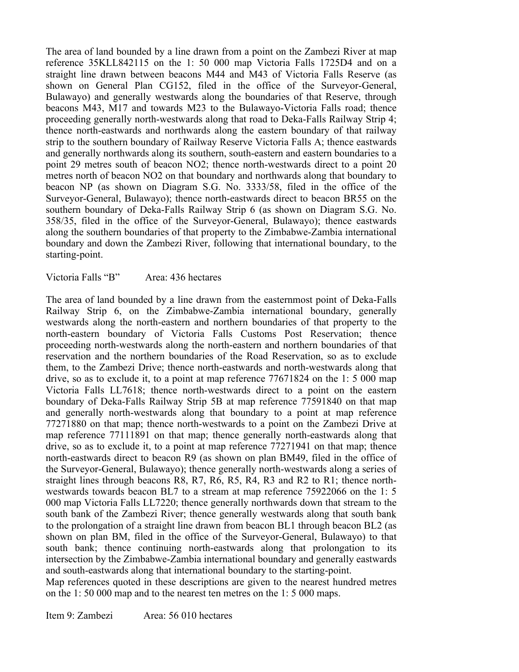The area of land bounded by a line drawn from a point on the Zambezi River at map reference 35KLL842115 on the 1: 50 000 map Victoria Falls 1725D4 and on a straight line drawn between beacons M44 and M43 of Victoria Falls Reserve (as shown on General Plan CG152, filed in the office of the Surveyor-General, Bulawayo) and generally westwards along the boundaries of that Reserve, through beacons M43, M17 and towards M23 to the Bulawayo-Victoria Falls road; thence proceeding generally north-westwards along that road to Deka-Falls Railway Strip 4; thence north-eastwards and northwards along the eastern boundary of that railway strip to the southern boundary of Railway Reserve Victoria Falls A; thence eastwards and generally northwards along its southern, south-eastern and eastern boundaries to a point 29 metres south of beacon NO2; thence north-westwards direct to a point 20 metres north of beacon NO2 on that boundary and northwards along that boundary to beacon NP (as shown on Diagram S.G. No. 3333/58, filed in the office of the Surveyor-General, Bulawayo); thence north-eastwards direct to beacon BR55 on the southern boundary of Deka-Falls Railway Strip 6 (as shown on Diagram S.G. No. 358/35, filed in the office of the Surveyor-General, Bulawayo); thence eastwards along the southern boundaries of that property to the Zimbabwe-Zambia international boundary and down the Zambezi River, following that international boundary, to the starting-point.

#### Victoria Falls "B" Area: 436 hectares

The area of land bounded by a line drawn from the easternmost point of Deka-Falls Railway Strip 6, on the Zimbabwe-Zambia international boundary, generally westwards along the north-eastern and northern boundaries of that property to the north-eastern boundary of Victoria Falls Customs Post Reservation; thence proceeding north-westwards along the north-eastern and northern boundaries of that reservation and the northern boundaries of the Road Reservation, so as to exclude them, to the Zambezi Drive; thence north-eastwards and north-westwards along that drive, so as to exclude it, to a point at map reference 77671824 on the 1: 5 000 map Victoria Falls LL7618; thence north-westwards direct to a point on the eastern boundary of Deka-Falls Railway Strip 5B at map reference 77591840 on that map and generally north-westwards along that boundary to a point at map reference 77271880 on that map; thence north-westwards to a point on the Zambezi Drive at map reference 77111891 on that map; thence generally north-eastwards along that drive, so as to exclude it, to a point at map reference 77271941 on that map; thence north-eastwards direct to beacon R9 (as shown on plan BM49, filed in the office of the Surveyor-General, Bulawayo); thence generally north-westwards along a series of straight lines through beacons R8, R7, R6, R5, R4, R3 and R2 to R1; thence northwestwards towards beacon BL7 to a stream at map reference 75922066 on the 1: 5 000 map Victoria Falls LL7220; thence generally northwards down that stream to the south bank of the Zambezi River; thence generally westwards along that south bank to the prolongation of a straight line drawn from beacon BL1 through beacon BL2 (as shown on plan BM, filed in the office of the Surveyor-General, Bulawayo) to that south bank; thence continuing north-eastwards along that prolongation to its intersection by the Zimbabwe-Zambia international boundary and generally eastwards and south-eastwards along that international boundary to the starting-point.

Map references quoted in these descriptions are given to the nearest hundred metres on the 1: 50 000 map and to the nearest ten metres on the 1: 5 000 maps.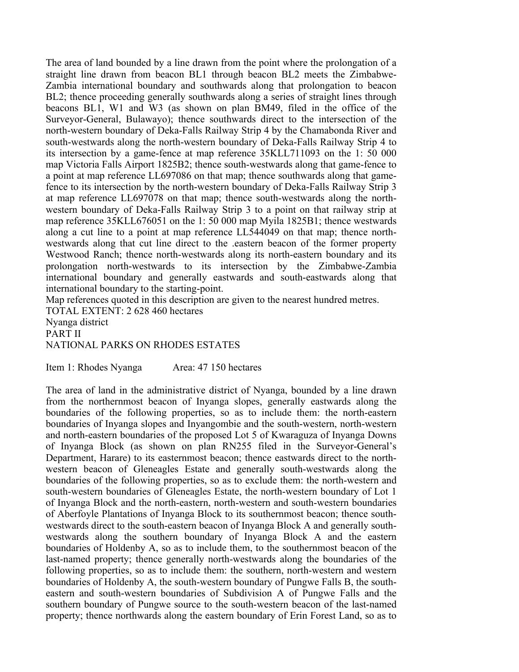The area of land bounded by a line drawn from the point where the prolongation of a straight line drawn from beacon BL1 through beacon BL2 meets the Zimbabwe-Zambia international boundary and southwards along that prolongation to beacon BL2; thence proceeding generally southwards along a series of straight lines through beacons BL1, W1 and W3 (as shown on plan BM49, filed in the office of the Surveyor-General, Bulawayo); thence southwards direct to the intersection of the north-western boundary of Deka-Falls Railway Strip 4 by the Chamabonda River and south-westwards along the north-western boundary of Deka-Falls Railway Strip 4 to its intersection by a game-fence at map reference 35KLL711093 on the 1: 50 000 map Victoria Falls Airport 1825B2; thence south-westwards along that game-fence to a point at map reference LL697086 on that map; thence southwards along that gamefence to its intersection by the north-western boundary of Deka-Falls Railway Strip 3 at map reference LL697078 on that map; thence south-westwards along the northwestern boundary of Deka-Falls Railway Strip 3 to a point on that railway strip at map reference 35KLL676051 on the 1: 50 000 map Myila 1825B1; thence westwards along a cut line to a point at map reference LL544049 on that map; thence northwestwards along that cut line direct to the .eastern beacon of the former property Westwood Ranch; thence north-westwards along its north-eastern boundary and its prolongation north-westwards to its intersection by the Zimbabwe-Zambia international boundary and generally eastwards and south-eastwards along that international boundary to the starting-point.

Map references quoted in this description are given to the nearest hundred metres.

TOTAL EXTENT: 2 628 460 hectares

Nyanga district

PART II

### NATIONAL PARKS ON RHODES ESTATES

Item 1: Rhodes Nyanga Area: 47 150 hectares

The area of land in the administrative district of Nyanga, bounded by a line drawn from the northernmost beacon of Inyanga slopes, generally eastwards along the boundaries of the following properties, so as to include them: the north-eastern boundaries of Inyanga slopes and Inyangombie and the south-western, north-western and north-eastern boundaries of the proposed Lot 5 of Kwaraguza of Inyanga Downs of Inyanga Block (as shown on plan RN255 filed in the Surveyor-General's Department, Harare) to its easternmost beacon; thence eastwards direct to the northwestern beacon of Gleneagles Estate and generally south-westwards along the boundaries of the following properties, so as to exclude them: the north-western and south-western boundaries of Gleneagles Estate, the north-western boundary of Lot 1 of Inyanga Block and the north-eastern, north-western and south-western boundaries of Aberfoyle Plantations of Inyanga Block to its southernmost beacon; thence southwestwards direct to the south-eastern beacon of Inyanga Block A and generally southwestwards along the southern boundary of Inyanga Block A and the eastern boundaries of Holdenby A, so as to include them, to the southernmost beacon of the last-named property; thence generally north-westwards along the boundaries of the following properties, so as to include them: the southern, north-western and western boundaries of Holdenby A, the south-western boundary of Pungwe Falls B, the southeastern and south-western boundaries of Subdivision A of Pungwe Falls and the southern boundary of Pungwe source to the south-western beacon of the last-named property; thence northwards along the eastern boundary of Erin Forest Land, so as to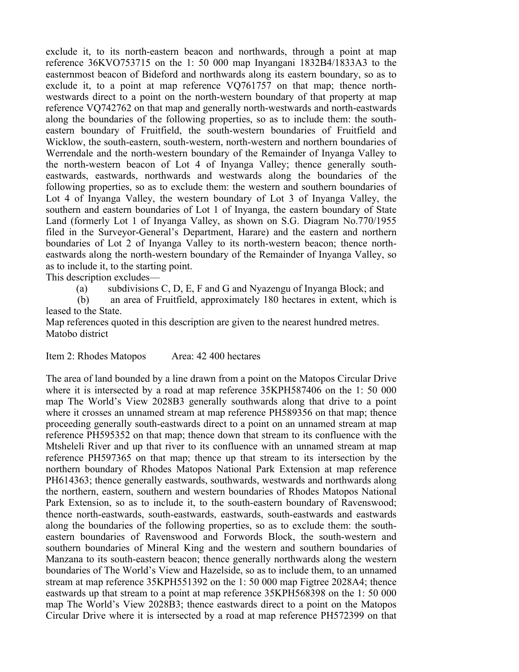exclude it, to its north-eastern beacon and northwards, through a point at map reference 36KVO753715 on the 1: 50 000 map Inyangani 1832B4/1833A3 to the easternmost beacon of Bideford and northwards along its eastern boundary, so as to exclude it, to a point at map reference VQ761757 on that map; thence northwestwards direct to a point on the north-western boundary of that property at map reference VQ742762 on that map and generally north-westwards and north-eastwards along the boundaries of the following properties, so as to include them: the southeastern boundary of Fruitfield, the south-western boundaries of Fruitfield and Wicklow, the south-eastern, south-western, north-western and northern boundaries of Werrendale and the north-western boundary of the Remainder of Inyanga Valley to the north-western beacon of Lot 4 of Inyanga Valley; thence generally southeastwards, eastwards, northwards and westwards along the boundaries of the following properties, so as to exclude them: the western and southern boundaries of Lot 4 of Inyanga Valley, the western boundary of Lot 3 of Inyanga Valley, the southern and eastern boundaries of Lot 1 of Inyanga, the eastern boundary of State Land (formerly Lot 1 of Inyanga Valley, as shown on S.G. Diagram No.770/1955 filed in the Surveyor-General's Department, Harare) and the eastern and northern boundaries of Lot 2 of Inyanga Valley to its north-western beacon; thence northeastwards along the north-western boundary of the Remainder of Inyanga Valley, so as to include it, to the starting point.

This description excludes—

(a) subdivisions C, D, E, F and G and Nyazengu of Inyanga Block; and

 (b) an area of Fruitfield, approximately 180 hectares in extent, which is leased to the State.

Map references quoted in this description are given to the nearest hundred metres. Matobo district

Item 2: Rhodes Matopos Area: 42 400 hectares

The area of land bounded by a line drawn from a point on the Matopos Circular Drive where it is intersected by a road at map reference  $35KPH587406$  on the 1: 50 000 map The World's View 2028B3 generally southwards along that drive to a point where it crosses an unnamed stream at map reference PH589356 on that map; thence proceeding generally south-eastwards direct to a point on an unnamed stream at map reference PH595352 on that map; thence down that stream to its confluence with the Mtsheleli River and up that river to its confluence with an unnamed stream at map reference PH597365 on that map; thence up that stream to its intersection by the northern boundary of Rhodes Matopos National Park Extension at map reference PH614363; thence generally eastwards, southwards, westwards and northwards along the northern, eastern, southern and western boundaries of Rhodes Matopos National Park Extension, so as to include it, to the south-eastern boundary of Ravenswood; thence north-eastwards, south-eastwards, eastwards, south-eastwards and eastwards along the boundaries of the following properties, so as to exclude them: the southeastern boundaries of Ravenswood and Forwords Block, the south-western and southern boundaries of Mineral King and the western and southern boundaries of Manzana to its south-eastern beacon; thence generally northwards along the western boundaries of The World's View and Hazelside, so as to include them, to an unnamed stream at map reference 35KPH551392 on the 1: 50 000 map Figtree 2028A4; thence eastwards up that stream to a point at map reference 35KPH568398 on the 1: 50 000 map The World's View 2028B3; thence eastwards direct to a point on the Matopos Circular Drive where it is intersected by a road at map reference PH572399 on that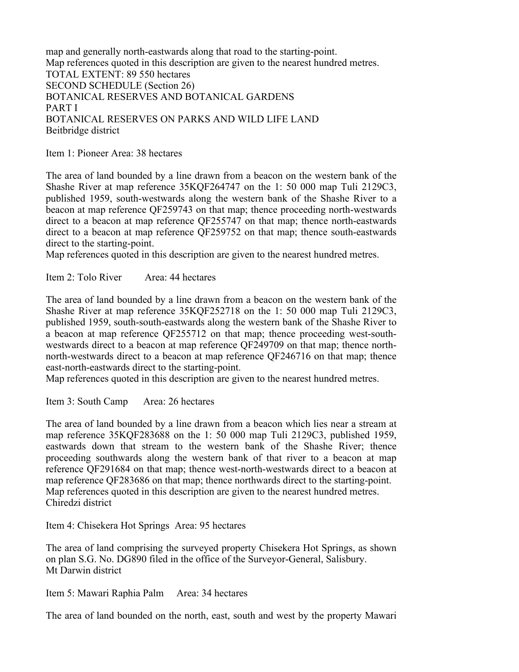map and generally north-eastwards along that road to the starting-point. Map references quoted in this description are given to the nearest hundred metres. TOTAL EXTENT: 89 550 hectares SECOND SCHEDULE (Section 26) BOTANICAL RESERVES AND BOTANICAL GARDENS PART I BOTANICAL RESERVES ON PARKS AND WILD LIFE LAND Beitbridge district

Item 1: Pioneer Area: 38 hectares

The area of land bounded by a line drawn from a beacon on the western bank of the Shashe River at map reference 35KQF264747 on the 1: 50 000 map Tuli 2129C3, published 1959, south-westwards along the western bank of the Shashe River to a beacon at map reference QF259743 on that map; thence proceeding north-westwards direct to a beacon at map reference QF255747 on that map; thence north-eastwards direct to a beacon at map reference QF259752 on that map; thence south-eastwards direct to the starting-point.

Map references quoted in this description are given to the nearest hundred metres.

Item 2: Tolo River Area: 44 hectares

The area of land bounded by a line drawn from a beacon on the western bank of the Shashe River at map reference 35KQF252718 on the 1: 50 000 map Tuli 2129C3, published 1959, south-south-eastwards along the western bank of the Shashe River to a beacon at map reference QF255712 on that map; thence proceeding west-southwestwards direct to a beacon at map reference QF249709 on that map; thence northnorth-westwards direct to a beacon at map reference QF246716 on that map; thence east-north-eastwards direct to the starting-point.

Map references quoted in this description are given to the nearest hundred metres.

Item 3: South Camp Area: 26 hectares

The area of land bounded by a line drawn from a beacon which lies near a stream at map reference 35KQF283688 on the 1: 50 000 map Tuli 2129C3, published 1959, eastwards down that stream to the western bank of the Shashe River; thence proceeding southwards along the western bank of that river to a beacon at map reference QF291684 on that map; thence west-north-westwards direct to a beacon at map reference QF283686 on that map; thence northwards direct to the starting-point. Map references quoted in this description are given to the nearest hundred metres. Chiredzi district

Item 4: Chisekera Hot Springs Area: 95 hectares

The area of land comprising the surveyed property Chisekera Hot Springs, as shown on plan S.G. No. DG890 filed in the office of the Surveyor-General, Salisbury. Mt Darwin district

Item 5: Mawari Raphia Palm Area: 34 hectares

The area of land bounded on the north, east, south and west by the property Mawari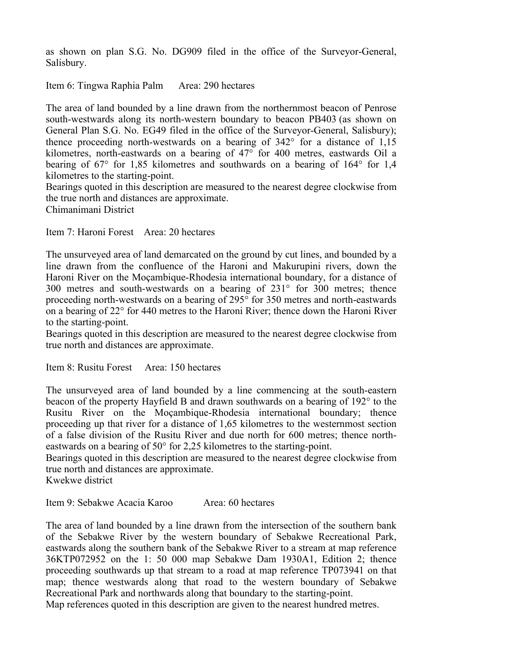as shown on plan S.G. No. DG909 filed in the office of the Surveyor-General, Salisbury.

Item 6: Tingwa Raphia Palm Area: 290 hectares

The area of land bounded by a line drawn from the northernmost beacon of Penrose south-westwards along its north-western boundary to beacon PB403 (as shown on General Plan S.G. No. EG49 filed in the office of the Surveyor-General, Salisbury); thence proceeding north-westwards on a bearing of 342° for a distance of 1,15 kilometres, north-eastwards on a bearing of 47° for 400 metres, eastwards Oil a bearing of 67° for 1,85 kilometres and southwards on a bearing of 164° for 1,4 kilometres to the starting-point.

Bearings quoted in this description are measured to the nearest degree clockwise from the true north and distances are approximate.

Chimanimani District

Item 7: Haroni Forest Area: 20 hectares

The unsurveyed area of land demarcated on the ground by cut lines, and bounded by a line drawn from the confluence of the Haroni and Makurupini rivers, down the Haroni River on the Moçambique-Rhodesia international boundary, for a distance of 300 metres and south-westwards on a bearing of 231° for 300 metres; thence proceeding north-westwards on a bearing of 295° for 350 metres and north-eastwards on a bearing of 22° for 440 metres to the Haroni River; thence down the Haroni River to the starting-point.

Bearings quoted in this description are measured to the nearest degree clockwise from true north and distances are approximate.

Item 8: Rusitu Forest Area: 150 hectares

The unsurveyed area of land bounded by a line commencing at the south-eastern beacon of the property Hayfield B and drawn southwards on a bearing of 192° to the Rusitu River on the Moçambique-Rhodesia international boundary; thence proceeding up that river for a distance of 1,65 kilometres to the westernmost section of a false division of the Rusitu River and due north for 600 metres; thence northeastwards on a bearing of 50° for 2,25 kilometres to the starting-point.

Bearings quoted in this description are measured to the nearest degree clockwise from true north and distances are approximate.

Kwekwe district

Item 9: Sebakwe Acacia Karoo Area: 60 hectares

The area of land bounded by a line drawn from the intersection of the southern bank of the Sebakwe River by the western boundary of Sebakwe Recreational Park, eastwards along the southern bank of the Sebakwe River to a stream at map reference 36KTP072952 on the 1: 50 000 map Sebakwe Dam 1930A1, Edition 2; thence proceeding southwards up that stream to a road at map reference TP073941 on that map; thence westwards along that road to the western boundary of Sebakwe Recreational Park and northwards along that boundary to the starting-point.

Map references quoted in this description are given to the nearest hundred metres.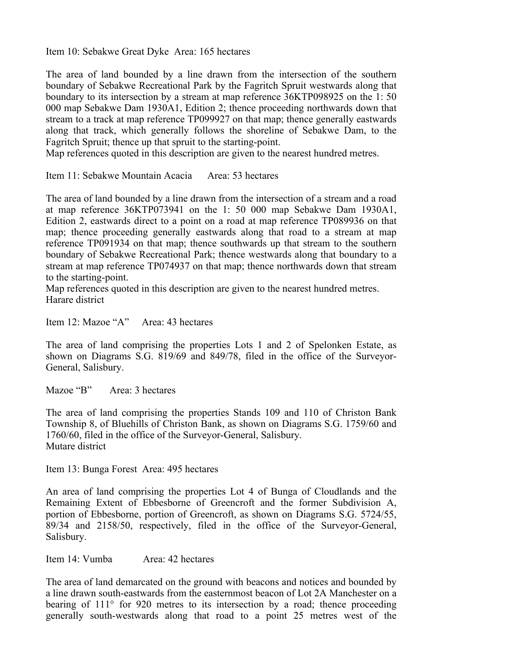Item 10: Sebakwe Great Dyke Area: 165 hectares

The area of land bounded by a line drawn from the intersection of the southern boundary of Sebakwe Recreational Park by the Fagritch Spruit westwards along that boundary to its intersection by a stream at map reference 36KTP098925 on the 1: 50 000 map Sebakwe Dam 1930A1, Edition 2; thence proceeding northwards down that stream to a track at map reference TP099927 on that map; thence generally eastwards along that track, which generally follows the shoreline of Sebakwe Dam, to the Fagritch Spruit; thence up that spruit to the starting-point.

Map references quoted in this description are given to the nearest hundred metres.

Item 11: Sebakwe Mountain Acacia Area: 53 hectares

The area of land bounded by a line drawn from the intersection of a stream and a road at map reference 36KTP073941 on the 1: 50 000 map Sebakwe Dam 1930A1, Edition 2, eastwards direct to a point on a road at map reference TP089936 on that map; thence proceeding generally eastwards along that road to a stream at map reference TP091934 on that map; thence southwards up that stream to the southern boundary of Sebakwe Recreational Park; thence westwards along that boundary to a stream at map reference TP074937 on that map; thence northwards down that stream to the starting-point.

Map references quoted in this description are given to the nearest hundred metres. Harare district

Item 12: Mazoe "A" Area: 43 hectares

The area of land comprising the properties Lots 1 and 2 of Spelonken Estate, as shown on Diagrams S.G. 819/69 and 849/78, filed in the office of the Surveyor-General, Salisbury.

Mazoe "B" Area: 3 hectares

The area of land comprising the properties Stands 109 and 110 of Christon Bank Township 8, of Bluehills of Christon Bank, as shown on Diagrams S.G. 1759/60 and 1760/60, filed in the office of the Surveyor-General, Salisbury. Mutare district

Item 13: Bunga Forest Area: 495 hectares

An area of land comprising the properties Lot 4 of Bunga of Cloudlands and the Remaining Extent of Ebbesborne of Greencroft and the former Subdivision A, portion of Ebbesborne, portion of Greencroft, as shown on Diagrams S.G. 5724/55, 89/34 and 2158/50, respectively, filed in the office of the Surveyor-General, Salisbury.

Item 14: Vumba Area: 42 hectares

The area of land demarcated on the ground with beacons and notices and bounded by a line drawn south-eastwards from the easternmost beacon of Lot 2A Manchester on a bearing of 111° for 920 metres to its intersection by a road; thence proceeding generally south-westwards along that road to a point 25 metres west of the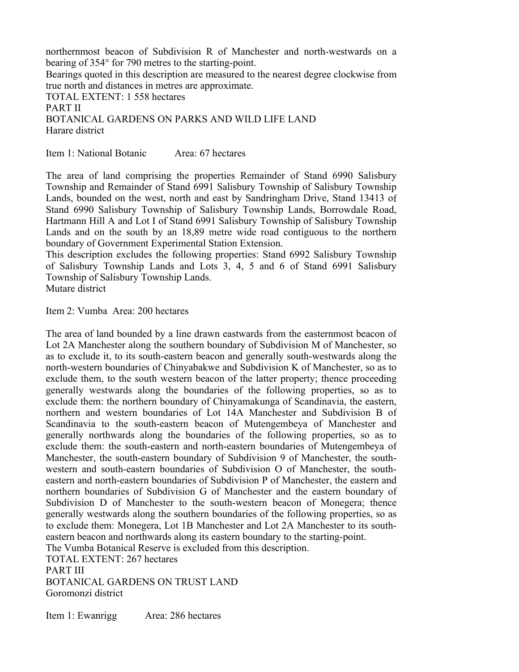northernmost beacon of Subdivision R of Manchester and north-westwards on a bearing of 354° for 790 metres to the starting-point.

Bearings quoted in this description are measured to the nearest degree clockwise from true north and distances in metres are approximate.

TOTAL EXTENT: 1 558 hectares PART II BOTANICAL GARDENS ON PARKS AND WILD LIFE LAND Harare district

Item 1: National Botanic Area: 67 hectares

The area of land comprising the properties Remainder of Stand 6990 Salisbury Township and Remainder of Stand 6991 Salisbury Township of Salisbury Township Lands, bounded on the west, north and east by Sandringham Drive, Stand 13413 of Stand 6990 Salisbury Township of Salisbury Township Lands, Borrowdale Road, Hartmann Hill A and Lot I of Stand 6991 Salisbury Township of Salisbury Township Lands and on the south by an 18,89 metre wide road contiguous to the northern boundary of Government Experimental Station Extension.

This description excludes the following properties: Stand 6992 Salisbury Township of Salisbury Township Lands and Lots 3, 4, 5 and 6 of Stand 6991 Salisbury Township of Salisbury Township Lands.

Mutare district

Item 2: Vumba Area: 200 hectares

The area of land bounded by a line drawn eastwards from the easternmost beacon of Lot 2A Manchester along the southern boundary of Subdivision M of Manchester, so as to exclude it, to its south-eastern beacon and generally south-westwards along the north-western boundaries of Chinyabakwe and Subdivision K of Manchester, so as to exclude them, to the south western beacon of the latter property; thence proceeding generally westwards along the boundaries of the following properties, so as to exclude them: the northern boundary of Chinyamakunga of Scandinavia, the eastern, northern and western boundaries of Lot 14A Manchester and Subdivision B of Scandinavia to the south-eastern beacon of Mutengembeya of Manchester and generally northwards along the boundaries of the following properties, so as to exclude them: the south-eastern and north-eastern boundaries of Mutengembeya of Manchester, the south-eastern boundary of Subdivision 9 of Manchester, the southwestern and south-eastern boundaries of Subdivision O of Manchester, the southeastern and north-eastern boundaries of Subdivision P of Manchester, the eastern and northern boundaries of Subdivision G of Manchester and the eastern boundary of Subdivision D of Manchester to the south-western beacon of Monegera; thence generally westwards along the southern boundaries of the following properties, so as to exclude them: Monegera, Lot 1B Manchester and Lot 2A Manchester to its southeastern beacon and northwards along its eastern boundary to the starting-point. The Vumba Botanical Reserve is excluded from this description.

TOTAL EXTENT: 267 hectares PART III BOTANICAL GARDENS ON TRUST LAND Goromonzi district

Item 1: Ewanrigg Area: 286 hectares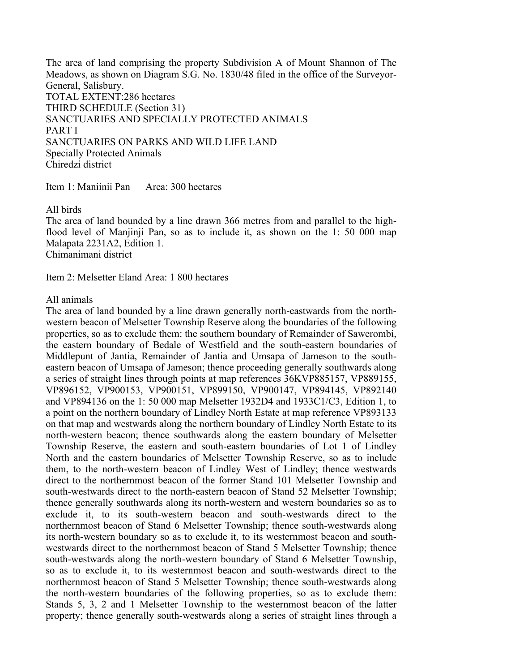The area of land comprising the property Subdivision A of Mount Shannon of The Meadows, as shown on Diagram S.G. No. 1830/48 filed in the office of the Surveyor-General, Salisbury. TOTAL EXTENT:286 hectares THIRD SCHEDULE (Section 31) SANCTUARIES AND SPECIALLY PROTECTED ANIMALS PART I SANCTUARIES ON PARKS AND WILD LIFE LAND Specially Protected Animals Chiredzi district

Item 1: Maniinii Pan Area: 300 hectares

All birds

The area of land bounded by a line drawn 366 metres from and parallel to the highflood level of Manjinji Pan, so as to include it, as shown on the 1: 50 000 map Malapata 2231A2, Edition 1.

Chimanimani district

Item 2: Melsetter Eland Area: 1 800 hectares

All animals

The area of land bounded by a line drawn generally north-eastwards from the northwestern beacon of Melsetter Township Reserve along the boundaries of the following properties, so as to exclude them: the southern boundary of Remainder of Sawerombi, the eastern boundary of Bedale of Westfield and the south-eastern boundaries of Middlepunt of Jantia, Remainder of Jantia and Umsapa of Jameson to the southeastern beacon of Umsapa of Jameson; thence proceeding generally southwards along a series of straight lines through points at map references 36KVP885157, VP889155, VP896152, VP900153, VP900151, VP899150, VP900147, VP894145, VP892140 and VP894136 on the 1: 50 000 map Melsetter 1932D4 and 1933C1/C3, Edition 1, to a point on the northern boundary of Lindley North Estate at map reference VP893133 on that map and westwards along the northern boundary of Lindley North Estate to its north-western beacon; thence southwards along the eastern boundary of Melsetter Township Reserve, the eastern and south-eastern boundaries of Lot 1 of Lindley North and the eastern boundaries of Melsetter Township Reserve, so as to include them, to the north-western beacon of Lindley West of Lindley; thence westwards direct to the northernmost beacon of the former Stand 101 Melsetter Township and south-westwards direct to the north-eastern beacon of Stand 52 Melsetter Township; thence generally southwards along its north-western and western boundaries so as to exclude it, to its south-western beacon and south-westwards direct to the northernmost beacon of Stand 6 Melsetter Township; thence south-westwards along its north-western boundary so as to exclude it, to its westernmost beacon and southwestwards direct to the northernmost beacon of Stand 5 Melsetter Township; thence south-westwards along the north-western boundary of Stand 6 Melsetter Township, so as to exclude it, to its westernmost beacon and south-westwards direct to the northernmost beacon of Stand 5 Melsetter Township; thence south-westwards along the north-western boundaries of the following properties, so as to exclude them: Stands 5, 3, 2 and 1 Melsetter Township to the westernmost beacon of the latter property; thence generally south-westwards along a series of straight lines through a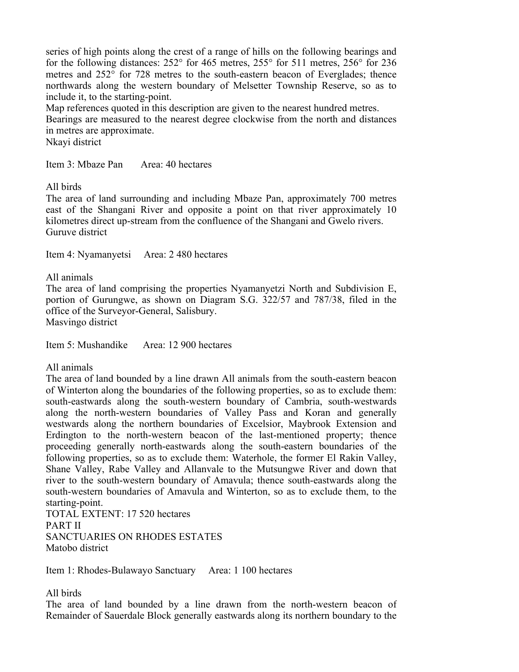series of high points along the crest of a range of hills on the following bearings and for the following distances: 252° for 465 metres, 255° for 511 metres, 256° for 236 metres and 252° for 728 metres to the south-eastern beacon of Everglades; thence northwards along the western boundary of Melsetter Township Reserve, so as to include it, to the starting-point.

Map references quoted in this description are given to the nearest hundred metres.

Bearings are measured to the nearest degree clockwise from the north and distances in metres are approximate.

Nkayi district

Item 3: Mbaze Pan Area: 40 hectares

All birds

The area of land surrounding and including Mbaze Pan, approximately 700 metres east of the Shangani River and opposite a point on that river approximately 10 kilometres direct up-stream from the confluence of the Shangani and Gwelo rivers. Guruve district

Item 4: Nyamanyetsi Area: 2 480 hectares

All animals

The area of land comprising the properties Nyamanyetzi North and Subdivision E, portion of Gurungwe, as shown on Diagram S.G. 322/57 and 787/38, filed in the office of the Surveyor-General, Salisbury.

Masvingo district

Item 5: Mushandike Area: 12 900 hectares

All animals

The area of land bounded by a line drawn All animals from the south-eastern beacon of Winterton along the boundaries of the following properties, so as to exclude them: south-eastwards along the south-western boundary of Cambria, south-westwards along the north-western boundaries of Valley Pass and Koran and generally westwards along the northern boundaries of Excelsior, Maybrook Extension and Erdington to the north-western beacon of the last-mentioned property; thence proceeding generally north-eastwards along the south-eastern boundaries of the following properties, so as to exclude them: Waterhole, the former El Rakin Valley, Shane Valley, Rabe Valley and Allanvale to the Mutsungwe River and down that river to the south-western boundary of Amavula; thence south-eastwards along the south-western boundaries of Amavula and Winterton, so as to exclude them, to the starting-point.

TOTAL EXTENT: 17 520 hectares PART II SANCTUARIES ON RHODES ESTATES Matobo district

Item 1: Rhodes-Bulawayo Sanctuary Area: 1 100 hectares

All birds

The area of land bounded by a line drawn from the north-western beacon of Remainder of Sauerdale Block generally eastwards along its northern boundary to the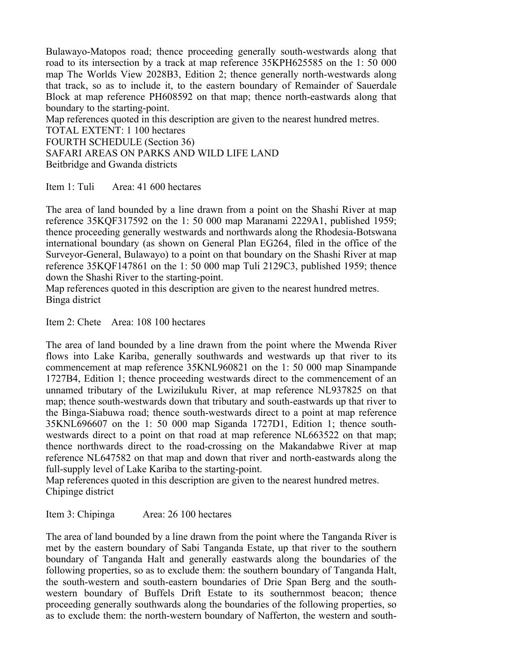Bulawayo-Matopos road; thence proceeding generally south-westwards along that road to its intersection by a track at map reference 35KPH625585 on the 1:50 000 map The Worlds View 2028B3, Edition 2; thence generally north-westwards along that track, so as to include it, to the eastern boundary of Remainder of Sauerdale Block at map reference PH608592 on that map; thence north-eastwards along that boundary to the starting-point.

Map references quoted in this description are given to the nearest hundred metres. TOTAL EXTENT: 1 100 hectares FOURTH SCHEDULE (Section 36) SAFARI AREAS ON PARKS AND WILD LIFE LAND Beitbridge and Gwanda districts

Item 1: Tuli Area: 41 600 hectares

The area of land bounded by a line drawn from a point on the Shashi River at map reference 35KQF317592 on the 1: 50 000 map Maranami 2229A1, published 1959; thence proceeding generally westwards and northwards along the Rhodesia-Botswana international boundary (as shown on General Plan EG264, filed in the office of the Surveyor-General, Bulawayo) to a point on that boundary on the Shashi River at map reference 35KQF147861 on the 1: 50 000 map Tuli 2129C3, published 1959; thence down the Shashi River to the starting-point.

Map references quoted in this description are given to the nearest hundred metres. Binga district

Item 2: Chete Area: 108 100 hectares

The area of land bounded by a line drawn from the point where the Mwenda River flows into Lake Kariba, generally southwards and westwards up that river to its commencement at map reference 35KNL960821 on the 1: 50 000 map Sinampande 1727B4, Edition 1; thence proceeding westwards direct to the commencement of an unnamed tributary of the Lwizilukulu River, at map reference NL937825 on that map; thence south-westwards down that tributary and south-eastwards up that river to the Binga-Siabuwa road; thence south-westwards direct to a point at map reference 35KNL696607 on the 1: 50 000 map Siganda 1727D1, Edition 1; thence southwestwards direct to a point on that road at map reference NL663522 on that map; thence northwards direct to the road-crossing on the Makandabwe River at map reference NL647582 on that map and down that river and north-eastwards along the full-supply level of Lake Kariba to the starting-point.

Map references quoted in this description are given to the nearest hundred metres. Chipinge district

Item 3: Chipinga Area: 26 100 hectares

The area of land bounded by a line drawn from the point where the Tanganda River is met by the eastern boundary of Sabi Tanganda Estate, up that river to the southern boundary of Tanganda Halt and generally eastwards along the boundaries of the following properties, so as to exclude them: the southern boundary of Tanganda Halt, the south-western and south-eastern boundaries of Drie Span Berg and the southwestern boundary of Buffels Drift Estate to its southernmost beacon; thence proceeding generally southwards along the boundaries of the following properties, so as to exclude them: the north-western boundary of Nafferton, the western and south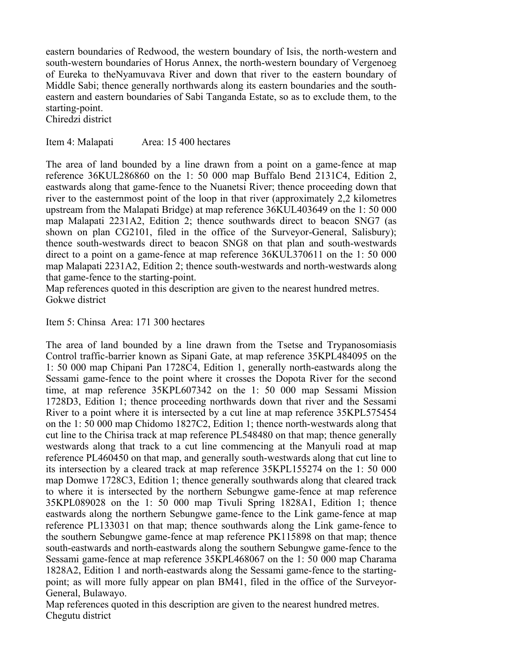eastern boundaries of Redwood, the western boundary of Isis, the north-western and south-western boundaries of Horus Annex, the north-western boundary of Vergenoeg of Eureka to theNyamuvava River and down that river to the eastern boundary of Middle Sabi; thence generally northwards along its eastern boundaries and the southeastern and eastern boundaries of Sabi Tanganda Estate, so as to exclude them, to the starting-point.

Chiredzi district

Item 4: Malapati Area: 15 400 hectares

The area of land bounded by a line drawn from a point on a game-fence at map reference 36KUL286860 on the 1: 50 000 map Buffalo Bend 2131C4, Edition 2, eastwards along that game-fence to the Nuanetsi River; thence proceeding down that river to the easternmost point of the loop in that river (approximately 2,2 kilometres upstream from the Malapati Bridge) at map reference 36KUL403649 on the 1: 50 000 map Malapati 2231A2, Edition 2; thence southwards direct to beacon SNG7 (as shown on plan CG2101, filed in the office of the Surveyor-General, Salisbury); thence south-westwards direct to beacon SNG8 on that plan and south-westwards direct to a point on a game-fence at map reference 36KUL370611 on the 1: 50 000 map Malapati 2231A2, Edition 2; thence south-westwards and north-westwards along that game-fence to the starting-point.

Map references quoted in this description are given to the nearest hundred metres. Gokwe district

Item 5: Chinsa Area: 171 300 hectares

The area of land bounded by a line drawn from the Tsetse and Trypanosomiasis Control traffic-barrier known as Sipani Gate, at map reference 35KPL484095 on the 1: 50 000 map Chipani Pan 1728C4, Edition 1, generally north-eastwards along the Sessami game-fence to the point where it crosses the Dopota River for the second time, at map reference 35KPL607342 on the 1: 50 000 map Sessami Mission 1728D3, Edition 1; thence proceeding northwards down that river and the Sessami River to a point where it is intersected by a cut line at map reference 35KPL575454 on the 1: 50 000 map Chidomo 1827C2, Edition 1; thence north-westwards along that cut line to the Chirisa track at map reference PL548480 on that map; thence generally westwards along that track to a cut line commencing at the Manyuli road at map reference PL460450 on that map, and generally south-westwards along that cut line to its intersection by a cleared track at map reference 35KPL155274 on the 1: 50 000 map Domwe 1728C3, Edition 1; thence generally southwards along that cleared track to where it is intersected by the northern Sebungwe game-fence at map reference 35KPL089028 on the 1: 50 000 map Tivuli Spring 1828A1, Edition 1; thence eastwards along the northern Sebungwe game-fence to the Link game-fence at map reference PL133031 on that map; thence southwards along the Link game-fence to the southern Sebungwe game-fence at map reference PK115898 on that map; thence south-eastwards and north-eastwards along the southern Sebungwe game-fence to the Sessami game-fence at map reference 35KPL468067 on the 1: 50 000 map Charama 1828A2, Edition 1 and north-eastwards along the Sessami game-fence to the startingpoint; as will more fully appear on plan BM41, filed in the office of the Surveyor-General, Bulawayo.

Map references quoted in this description are given to the nearest hundred metres. Chegutu district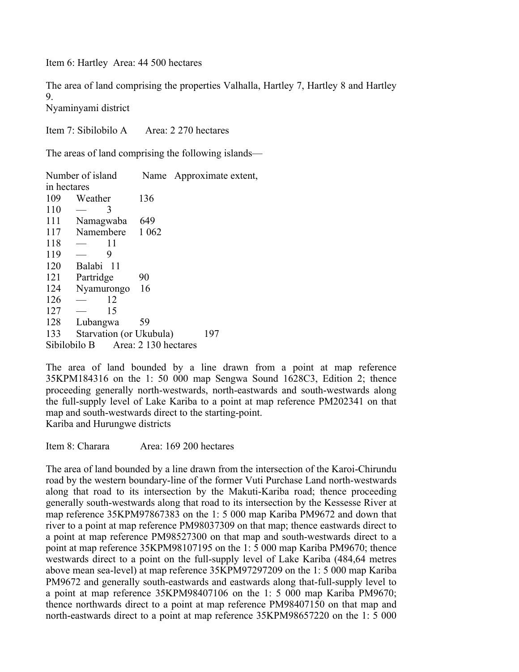Item 6: Hartley Area: 44 500 hectares

The area of land comprising the properties Valhalla, Hartley 7, Hartley 8 and Hartley 9. Nyaminyami district

Item 7: Sibilobilo A Area: 2.270 hectares

The areas of land comprising the following islands—

| Number of island                     |                         |         | Name Approximate extent, |
|--------------------------------------|-------------------------|---------|--------------------------|
| in hectares                          |                         |         |                          |
| 109                                  | Weather                 | 136     |                          |
| 110                                  | 3                       |         |                          |
| 111                                  | Namagwaba               | 649     |                          |
| 117                                  | Namembere               | 1 0 6 2 |                          |
| 118                                  | 11                      |         |                          |
| 119                                  | 9                       |         |                          |
| 120                                  | Balabi 11               |         |                          |
| 121                                  | Partridge               | 90      |                          |
| 124                                  | Nyamurongo              | 16      |                          |
| 126                                  | 12                      |         |                          |
| 127                                  | 15                      |         |                          |
| 128                                  | Lubangwa                | 59      |                          |
| 133                                  | Starvation (or Ukubula) |         | 197                      |
| Area: 2 130 hectares<br>Sibilobilo B |                         |         |                          |

The area of land bounded by a line drawn from a point at map reference 35KPM184316 on the 1: 50 000 map Sengwa Sound 1628C3, Edition 2; thence proceeding generally north-westwards, north-eastwards and south-westwards along the full-supply level of Lake Kariba to a point at map reference PM202341 on that map and south-westwards direct to the starting-point. Kariba and Hurungwe districts

Item 8: Charara Area: 169 200 hectares

The area of land bounded by a line drawn from the intersection of the Karoi-Chirundu road by the western boundary-line of the former Vuti Purchase Land north-westwards along that road to its intersection by the Makuti-Kariba road; thence proceeding generally south-westwards along that road to its intersection by the Kessesse River at map reference 35KPM97867383 on the 1: 5 000 map Kariba PM9672 and down that river to a point at map reference PM98037309 on that map; thence eastwards direct to a point at map reference PM98527300 on that map and south-westwards direct to a point at map reference 35KPM98107195 on the 1: 5 000 map Kariba PM9670; thence westwards direct to a point on the full-supply level of Lake Kariba (484,64 metres above mean sea-level) at map reference 35KPM97297209 on the 1: 5 000 map Kariba PM9672 and generally south-eastwards and eastwards along that-full-supply level to a point at map reference 35KPM98407106 on the 1: 5 000 map Kariba PM9670; thence northwards direct to a point at map reference PM98407150 on that map and north-eastwards direct to a point at map reference 35KPM98657220 on the 1: 5 000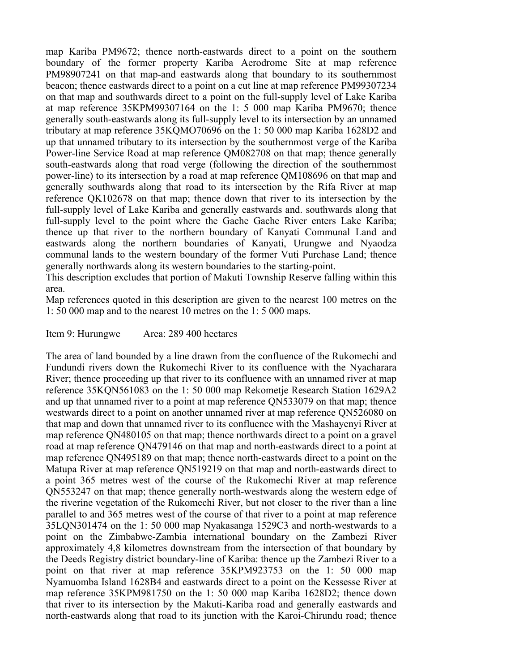map Kariba PM9672; thence north-eastwards direct to a point on the southern boundary of the former property Kariba Aerodrome Site at map reference PM98907241 on that map-and eastwards along that boundary to its southernmost beacon; thence eastwards direct to a point on a cut line at map reference PM99307234 on that map and southwards direct to a point on the full-supply level of Lake Kariba at map reference 35KPM99307164 on the 1: 5 000 map Kariba PM9670; thence generally south-eastwards along its full-supply level to its intersection by an unnamed tributary at map reference 35KQMO70696 on the 1: 50 000 map Kariba 1628D2 and up that unnamed tributary to its intersection by the southernmost verge of the Kariba Power-line Service Road at map reference QM082708 on that map; thence generally south-eastwards along that road verge (following the direction of the southernmost power-line) to its intersection by a road at map reference QM108696 on that map and generally southwards along that road to its intersection by the Rifa River at map reference QK102678 on that map; thence down that river to its intersection by the full-supply level of Lake Kariba and generally eastwards and. southwards along that full-supply level to the point where the Gache Gache River enters Lake Kariba; thence up that river to the northern boundary of Kanyati Communal Land and eastwards along the northern boundaries of Kanyati, Urungwe and Nyaodza communal lands to the western boundary of the former Vuti Purchase Land; thence generally northwards along its western boundaries to the starting-point.

This description excludes that portion of Makuti Township Reserve falling within this area.

Map references quoted in this description are given to the nearest 100 metres on the 1: 50 000 map and to the nearest 10 metres on the 1: 5 000 maps.

Item 9: Hurungwe Area: 289 400 hectares

The area of land bounded by a line drawn from the confluence of the Rukomechi and Fundundi rivers down the Rukomechi River to its confluence with the Nyacharara River; thence proceeding up that river to its confluence with an unnamed river at map reference 35KQN561083 on the 1: 50 000 map Rekometje Research Station 1629A2 and up that unnamed river to a point at map reference QN533079 on that map; thence westwards direct to a point on another unnamed river at map reference QN526080 on that map and down that unnamed river to its confluence with the Mashayenyi River at map reference QN480105 on that map; thence northwards direct to a point on a gravel road at map reference QN479146 on that map and north-eastwards direct to a point at map reference QN495189 on that map; thence north-eastwards direct to a point on the Matupa River at map reference QN519219 on that map and north-eastwards direct to a point 365 metres west of the course of the Rukomechi River at map reference QN553247 on that map; thence generally north-westwards along the western edge of the riverine vegetation of the Rukomechi River, but not closer to the river than a line parallel to and 365 metres west of the course of that river to a point at map reference 35LQN301474 on the 1: 50 000 map Nyakasanga 1529C3 and north-westwards to a point on the Zimbabwe-Zambia international boundary on the Zambezi River approximately 4,8 kilometres downstream from the intersection of that boundary by the Deeds Registry district boundary-line of Kariba: thence up the Zambezi River to a point on that river at map reference 35KPM923753 on the 1: 50 000 map Nyamuomba Island 1628B4 and eastwards direct to a point on the Kessesse River at map reference 35KPM981750 on the 1: 50 000 map Kariba 1628D2; thence down that river to its intersection by the Makuti-Kariba road and generally eastwards and north-eastwards along that road to its junction with the Karoi-Chirundu road; thence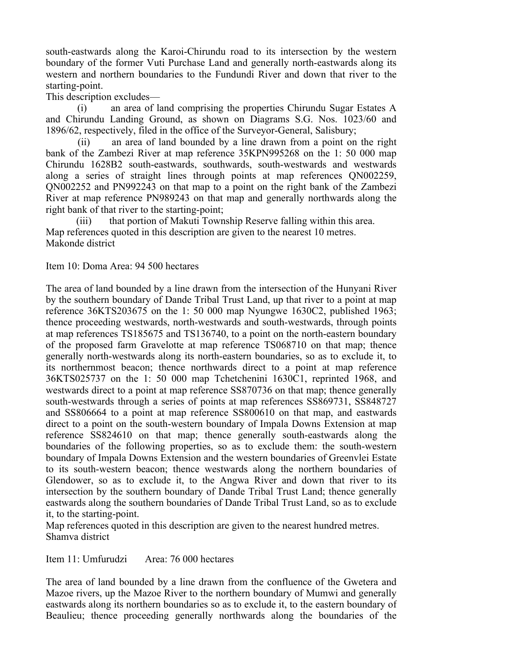south-eastwards along the Karoi-Chirundu road to its intersection by the western boundary of the former Vuti Purchase Land and generally north-eastwards along its western and northern boundaries to the Fundundi River and down that river to the starting-point.

This description excludes—

 (i) an area of land comprising the properties Chirundu Sugar Estates A and Chirundu Landing Ground, as shown on Diagrams S.G. Nos. 1023/60 and 1896/62, respectively, filed in the office of the Surveyor-General, Salisbury;

 (ii) an area of land bounded by a line drawn from a point on the right bank of the Zambezi River at map reference 35KPN995268 on the 1: 50 000 map Chirundu 1628B2 south-eastwards, southwards, south-westwards and westwards along a series of straight lines through points at map references QN002259, QN002252 and PN992243 on that map to a point on the right bank of the Zambezi River at map reference PN989243 on that map and generally northwards along the right bank of that river to the starting-point;

 (iii) that portion of Makuti Township Reserve falling within this area. Map references quoted in this description are given to the nearest 10 metres. Makonde district

Item 10: Doma Area: 94 500 hectares

The area of land bounded by a line drawn from the intersection of the Hunyani River by the southern boundary of Dande Tribal Trust Land, up that river to a point at map reference 36KTS203675 on the 1: 50 000 map Nyungwe 1630C2, published 1963; thence proceeding westwards, north-westwards and south-westwards, through points at map references TS185675 and TS136740, to a point on the north-eastern boundary of the proposed farm Gravelotte at map reference TS068710 on that map; thence generally north-westwards along its north-eastern boundaries, so as to exclude it, to its northernmost beacon; thence northwards direct to a point at map reference 36KTS025737 on the 1: 50 000 map Tchetchenini 1630C1, reprinted 1968, and westwards direct to a point at map reference SS870736 on that map; thence generally south-westwards through a series of points at map references SS869731, SS848727 and SS806664 to a point at map reference SS800610 on that map, and eastwards direct to a point on the south-western boundary of Impala Downs Extension at map reference SS824610 on that map; thence generally south-eastwards along the boundaries of the following properties, so as to exclude them: the south-western boundary of Impala Downs Extension and the western boundaries of Greenvlei Estate to its south-western beacon; thence westwards along the northern boundaries of Glendower, so as to exclude it, to the Angwa River and down that river to its intersection by the southern boundary of Dande Tribal Trust Land; thence generally eastwards along the southern boundaries of Dande Tribal Trust Land, so as to exclude it, to the starting-point.

Map references quoted in this description are given to the nearest hundred metres. Shamva district

Item 11: Umfurudzi Area: 76 000 hectares

The area of land bounded by a line drawn from the confluence of the Gwetera and Mazoe rivers, up the Mazoe River to the northern boundary of Mumwi and generally eastwards along its northern boundaries so as to exclude it, to the eastern boundary of Beaulieu; thence proceeding generally northwards along the boundaries of the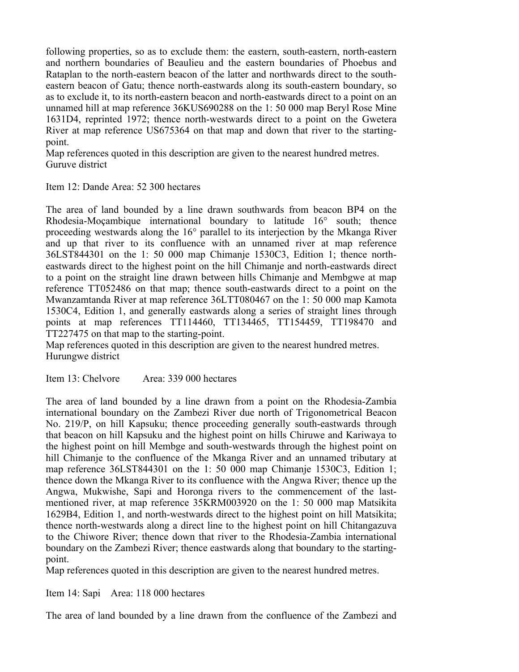following properties, so as to exclude them: the eastern, south-eastern, north-eastern and northern boundaries of Beaulieu and the eastern boundaries of Phoebus and Rataplan to the north-eastern beacon of the latter and northwards direct to the southeastern beacon of Gatu; thence north-eastwards along its south-eastern boundary, so as to exclude it, to its north-eastern beacon and north-eastwards direct to a point on an unnamed hill at map reference 36KUS690288 on the 1: 50 000 map Beryl Rose Mine 1631D4, reprinted 1972; thence north-westwards direct to a point on the Gwetera River at map reference US675364 on that map and down that river to the startingpoint.

Map references quoted in this description are given to the nearest hundred metres. Guruve district

Item 12: Dande Area: 52 300 hectares

The area of land bounded by a line drawn southwards from beacon BP4 on the Rhodesia-Moçambique international boundary to latitude 16° south; thence proceeding westwards along the 16° parallel to its interjection by the Mkanga River and up that river to its confluence with an unnamed river at map reference 36LST844301 on the 1: 50 000 map Chimanje 1530C3, Edition 1; thence northeastwards direct to the highest point on the hill Chimanje and north-eastwards direct to a point on the straight line drawn between hills Chimanje and Membgwe at map reference TT052486 on that map; thence south-eastwards direct to a point on the Mwanzamtanda River at map reference 36LTT080467 on the 1: 50 000 map Kamota 1530C4, Edition 1, and generally eastwards along a series of straight lines through points at map references TT114460, TT134465, TT154459, TT198470 and TT227475 on that map to the starting-point.

Map references quoted in this description are given to the nearest hundred metres. Hurungwe district

Item 13: Chelvore Area: 339 000 hectares

The area of land bounded by a line drawn from a point on the Rhodesia-Zambia international boundary on the Zambezi River due north of Trigonometrical Beacon No. 219/P, on hill Kapsuku; thence proceeding generally south-eastwards through that beacon on hill Kapsuku and the highest point on hills Chiruwe and Kariwaya to the highest point on hill Membge and south-westwards through the highest point on hill Chimanje to the confluence of the Mkanga River and an unnamed tributary at map reference 36LST844301 on the 1: 50 000 map Chimanje 1530C3, Edition 1; thence down the Mkanga River to its confluence with the Angwa River; thence up the Angwa, Mukwishe, Sapi and Horonga rivers to the commencement of the lastmentioned river, at map reference 35KRM003920 on the 1: 50 000 map Matsikita 1629B4, Edition 1, and north-westwards direct to the highest point on hill Matsikita; thence north-westwards along a direct line to the highest point on hill Chitangazuva to the Chiwore River; thence down that river to the Rhodesia-Zambia international boundary on the Zambezi River; thence eastwards along that boundary to the startingpoint.

Map references quoted in this description are given to the nearest hundred metres.

Item 14: Sapi Area: 118 000 hectares

The area of land bounded by a line drawn from the confluence of the Zambezi and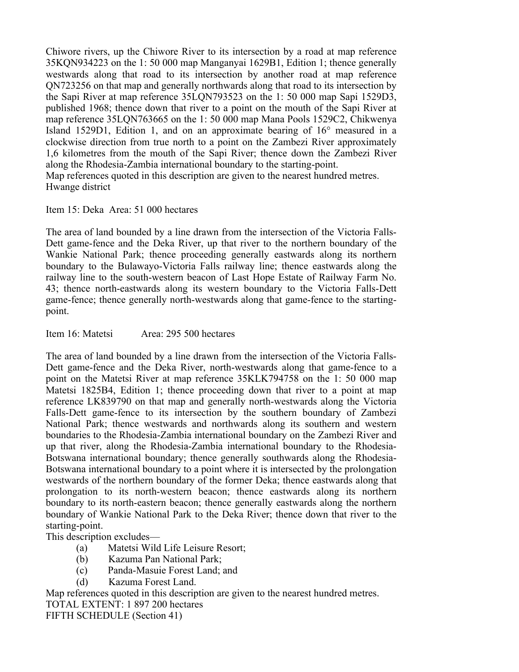Chiwore rivers, up the Chiwore River to its intersection by a road at map reference 35KQN934223 on the 1: 50 000 map Manganyai 1629B1, Edition 1; thence generally westwards along that road to its intersection by another road at map reference QN723256 on that map and generally northwards along that road to its intersection by the Sapi River at map reference 35LQN793523 on the 1: 50 000 map Sapi 1529D3, published 1968; thence down that river to a point on the mouth of the Sapi River at map reference 35LQN763665 on the 1: 50 000 map Mana Pools 1529C2, Chikwenya Island 1529D1, Edition 1, and on an approximate bearing of 16° measured in a clockwise direction from true north to a point on the Zambezi River approximately 1,6 kilometres from the mouth of the Sapi River; thence down the Zambezi River along the Rhodesia-Zambia international boundary to the starting-point. Map references quoted in this description are given to the nearest hundred metres.

Hwange district

Item 15: Deka Area: 51 000 hectares

The area of land bounded by a line drawn from the intersection of the Victoria Falls-Dett game-fence and the Deka River, up that river to the northern boundary of the Wankie National Park; thence proceeding generally eastwards along its northern boundary to the Bulawayo-Victoria Falls railway line; thence eastwards along the railway line to the south-western beacon of Last Hope Estate of Railway Farm No. 43; thence north-eastwards along its western boundary to the Victoria Falls-Dett game-fence; thence generally north-westwards along that game-fence to the startingpoint.

Item 16: Matetsi Area: 295 500 hectares

The area of land bounded by a line drawn from the intersection of the Victoria Falls-Dett game-fence and the Deka River, north-westwards along that game-fence to a point on the Matetsi River at map reference 35KLK794758 on the 1: 50 000 map Matetsi 1825B4, Edition 1; thence proceeding down that river to a point at map reference LK839790 on that map and generally north-westwards along the Victoria Falls-Dett game-fence to its intersection by the southern boundary of Zambezi National Park; thence westwards and northwards along its southern and western boundaries to the Rhodesia-Zambia international boundary on the Zambezi River and up that river, along the Rhodesia-Zambia international boundary to the Rhodesia-Botswana international boundary; thence generally southwards along the Rhodesia-Botswana international boundary to a point where it is intersected by the prolongation westwards of the northern boundary of the former Deka; thence eastwards along that prolongation to its north-western beacon; thence eastwards along its northern boundary to its north-eastern beacon; thence generally eastwards along the northern boundary of Wankie National Park to the Deka River; thence down that river to the starting-point.

This description excludes—

- (a) Matetsi Wild Life Leisure Resort;
- (b) Kazuma Pan National Park;
- (c) Panda-Masuie Forest Land; and
- (d) Kazuma Forest Land.

Map references quoted in this description are given to the nearest hundred metres.

TOTAL EXTENT: 1 897 200 hectares

FIFTH SCHEDULE (Section 41)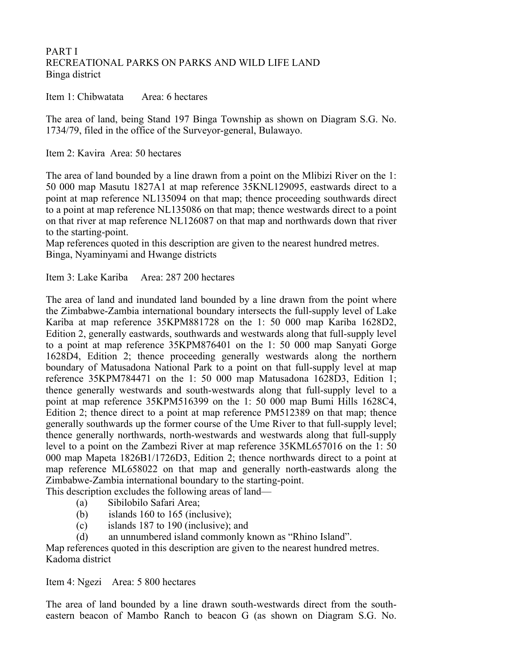# PART I RECREATIONAL PARKS ON PARKS AND WILD LIFE LAND Binga district

## Item 1: Chibwatata Area: 6 hectares

The area of land, being Stand 197 Binga Township as shown on Diagram S.G. No. 1734/79, filed in the office of the Surveyor-general, Bulawayo.

### Item 2: Kavira Area: 50 hectares

The area of land bounded by a line drawn from a point on the Mlibizi River on the 1: 50 000 map Masutu 1827A1 at map reference 35KNL129095, eastwards direct to a point at map reference NL135094 on that map; thence proceeding southwards direct to a point at map reference NL135086 on that map; thence westwards direct to a point on that river at map reference NL126087 on that map and northwards down that river to the starting-point.

Map references quoted in this description are given to the nearest hundred metres. Binga, Nyaminyami and Hwange districts

Item 3: Lake Kariba Area: 287 200 hectares

The area of land and inundated land bounded by a line drawn from the point where the Zimbabwe-Zambia international boundary intersects the full-supply level of Lake Kariba at map reference 35KPM881728 on the 1: 50 000 map Kariba 1628D2, Edition 2, generally eastwards, southwards and westwards along that full-supply level to a point at map reference 35KPM876401 on the 1: 50 000 map Sanyati Gorge 1628D4, Edition 2; thence proceeding generally westwards along the northern boundary of Matusadona National Park to a point on that full-supply level at map reference 35KPM784471 on the 1: 50 000 map Matusadona 1628D3, Edition 1; thence generally westwards and south-westwards along that full-supply level to a point at map reference 35KPM516399 on the 1: 50 000 map Bumi Hills 1628C4, Edition 2; thence direct to a point at map reference PM512389 on that map; thence generally southwards up the former course of the Ume River to that full-supply level; thence generally northwards, north-westwards and westwards along that full-supply level to a point on the Zambezi River at map reference 35KML657016 on the 1: 50 000 map Mapeta 1826B1/1726D3, Edition 2; thence northwards direct to a point at map reference ML658022 on that map and generally north-eastwards along the Zimbabwe-Zambia international boundary to the starting-point. This description excludes the following areas of land—

(a) Sibilobilo Safari Area;

- (b) islands  $160$  to  $165$  (inclusive);
- (c) islands 187 to 190 (inclusive); and
- (d) an unnumbered island commonly known as "Rhino Island".

Map references quoted in this description are given to the nearest hundred metres. Kadoma district

Item 4: Ngezi Area: 5 800 hectares

The area of land bounded by a line drawn south-westwards direct from the southeastern beacon of Mambo Ranch to beacon G (as shown on Diagram S.G. No.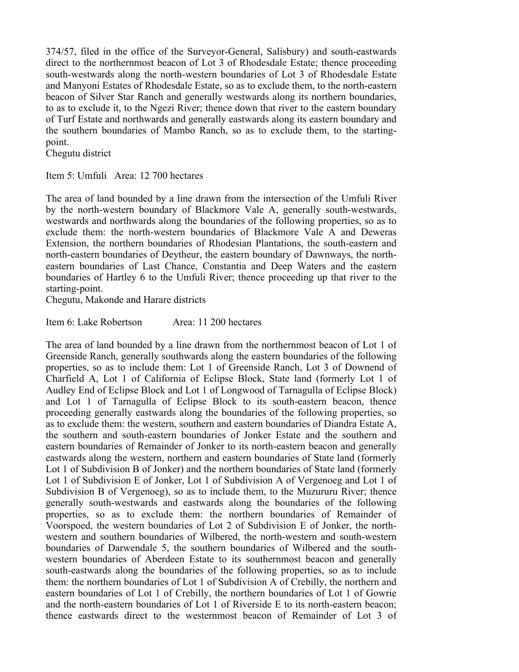374/57, filed in the office of the Surveyor-General, Salisbury) and south-eastwards direct to the northernmost beacon of Lot 3 of Rhodesdale Estate; thence proceeding south-westwards along the north-western boundaries of Lot 3 of Rhodesdale Estate and Manyoni Estates of Rhodesdale Estate, so as to exclude them, to the north-eastern beacon of Silver Star Ranch and generally westwards along its northern boundaries, to as to exclude it, to the Ngezi River; thence down that river to the eastern boundary of Turf Estate and northwards and generally eastwards along its eastern boundary and the southern boundaries of Mambo Ranch, so as to exclude them, to the startingpoint.

Chegutu district

Item 5: Umfuli Area: 12 700 hectares

The area of land bounded by a line drawn from the intersection of the Umfuli River by the north-western boundary of Blackmore Vale A, generally south-westwards, westwards and northwards along the boundaries of the following properties, so as to exclude them: the north-western boundaries of Blackmore Vale A and Deweras Extension, the northern boundaries of Rhodesian Plantations, the south-eastern and north-eastern boundaries of Deytheur, the eastern boundary of Dawnways, the northeastern boundaries of Last Chance, Constantia and Deep Waters and the eastern boundaries of Hartley 6 to the Umfuli River; thence proceeding up that river to the starting-point.

Chegutu, Makonde and Harare districts

Item 6: Lake Robertson Area: 11 200 hectares

The area of land bounded by a line drawn from the northernmost beacon of Lot 1 of Greenside Ranch, generally southwards along the eastern boundaries of the following properties, so as to include them: Lot 1 of Greenside Ranch, Lot 3 of Downend of Charfield A, Lot 1 of California of Eclipse Block, State land (formerly Lot 1 of Audley End of Eclipse Block and Lot 1 of Longwood of Tarnagulla of Eclipse Block) and Lot 1 of Tarnagulla of Eclipse Block to its south-eastern beacon, thence proceeding generally eastwards along the boundaries of the following properties, so as to exclude them: the western, southern and eastern boundaries of Diandra Estate A, the southern and south-eastern boundaries of Jonker Estate and the southern and eastern boundaries of Remainder of Jonker to its north-eastern beacon and generally eastwards along the western, northern and eastern boundaries of State land (formerly Lot 1 of Subdivision B of Jonker) and the northern boundaries of State land (formerly Lot 1 of Subdivision E of Jonker, Lot 1 of Subdivision A of Vergenoeg and Lot 1 of Subdivision B of Vergenoeg), so as to include them, to the Muzururu River; thence generally south-westwards and eastwards along the boundaries of the following properties, so as to exclude them: the northern boundaries of Remainder of Voorspoed, the western boundaries of Lot 2 of Subdivision E of Jonker, the northwestern and southern boundaries of Wilbered, the north-western and south-western boundaries of Darwendale 5, the southern boundaries of Wilbered and the southwestern boundaries of Aberdeen Estate to its southernmost beacon and generally south-eastwards along the boundaries of the following properties, so as to include them: the northern boundaries of Lot 1 of Subdivision A of Crebilly, the northern and eastern boundaries of Lot 1 of Crebilly, the northern boundaries of Lot 1 of Gowrie and the north-eastern boundaries of Lot 1 of Riverside E to its north-eastern beacon; thence eastwards direct to the westernmost beacon of Remainder of Lot 3 of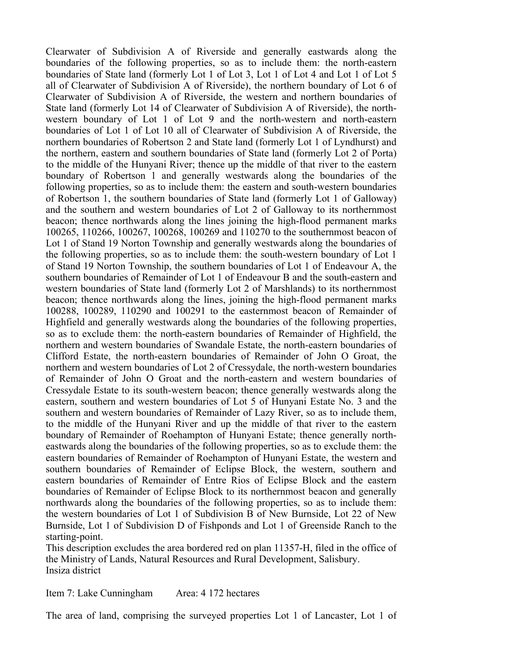Clearwater of Subdivision A of Riverside and generally eastwards along the boundaries of the following properties, so as to include them: the north-eastern boundaries of State land (formerly Lot 1 of Lot 3, Lot 1 of Lot 4 and Lot 1 of Lot 5 all of Clearwater of Subdivision A of Riverside), the northern boundary of Lot 6 of Clearwater of Subdivision A of Riverside, the western and northern boundaries of State land (formerly Lot 14 of Clearwater of Subdivision A of Riverside), the northwestern boundary of Lot 1 of Lot 9 and the north-western and north-eastern boundaries of Lot 1 of Lot 10 all of Clearwater of Subdivision A of Riverside, the northern boundaries of Robertson 2 and State land (formerly Lot 1 of Lyndhurst) and the northern, eastern and southern boundaries of State land (formerly Lot 2 of Porta) to the middle of the Hunyani River; thence up the middle of that river to the eastern boundary of Robertson 1 and generally westwards along the boundaries of the following properties, so as to include them: the eastern and south-western boundaries of Robertson 1, the southern boundaries of State land (formerly Lot 1 of Galloway) and the southern and western boundaries of Lot 2 of Galloway to its northernmost beacon; thence northwards along the lines joining the high-flood permanent marks 100265, 110266, 100267, 100268, 100269 and 110270 to the southernmost beacon of Lot 1 of Stand 19 Norton Township and generally westwards along the boundaries of the following properties, so as to include them: the south-western boundary of Lot 1 of Stand 19 Norton Township, the southern boundaries of Lot 1 of Endeavour A, the southern boundaries of Remainder of Lot 1 of Endeavour B and the south-eastern and western boundaries of State land (formerly Lot 2 of Marshlands) to its northernmost beacon; thence northwards along the lines, joining the high-flood permanent marks 100288, 100289, 110290 and 100291 to the easternmost beacon of Remainder of Highfield and generally westwards along the boundaries of the following properties, so as to exclude them: the north-eastern boundaries of Remainder of Highfield, the northern and western boundaries of Swandale Estate, the north-eastern boundaries of Clifford Estate, the north-eastern boundaries of Remainder of John O Groat, the northern and western boundaries of Lot 2 of Cressydale, the north-western boundaries of Remainder of John O Groat and the north-eastern and western boundaries of Cressydale Estate to its south-western beacon; thence generally westwards along the eastern, southern and western boundaries of Lot 5 of Hunyani Estate No. 3 and the southern and western boundaries of Remainder of Lazy River, so as to include them, to the middle of the Hunyani River and up the middle of that river to the eastern boundary of Remainder of Roehampton of Hunyani Estate; thence generally northeastwards along the boundaries of the following properties, so as to exclude them: the eastern boundaries of Remainder of Roehampton of Hunyani Estate, the western and southern boundaries of Remainder of Eclipse Block, the western, southern and eastern boundaries of Remainder of Entre Rios of Eclipse Block and the eastern boundaries of Remainder of Eclipse Block to its northernmost beacon and generally northwards along the boundaries of the following properties, so as to include them: the western boundaries of Lot 1 of Subdivision B of New Burnside, Lot 22 of New Burnside, Lot 1 of Subdivision D of Fishponds and Lot 1 of Greenside Ranch to the starting-point.

This description excludes the area bordered red on plan 11357-H, filed in the office of the Ministry of Lands, Natural Resources and Rural Development, Salisbury. Insiza district

Item 7: Lake Cunningham Area: 4 172 hectares

The area of land, comprising the surveyed properties Lot 1 of Lancaster, Lot 1 of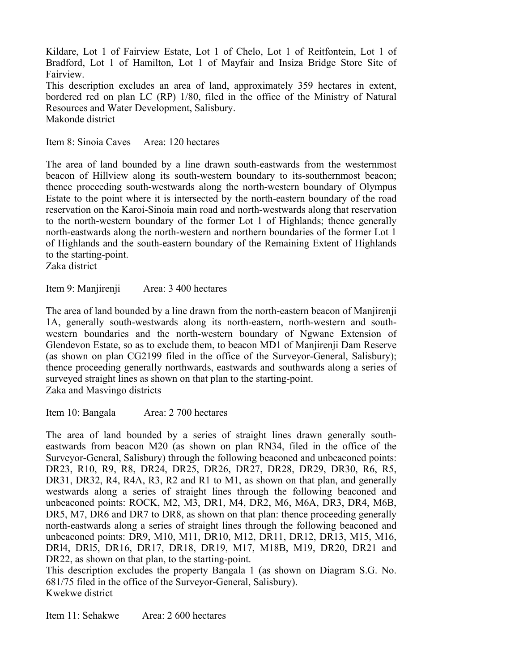Kildare, Lot 1 of Fairview Estate, Lot 1 of Chelo, Lot 1 of Reitfontein, Lot 1 of Bradford, Lot 1 of Hamilton, Lot 1 of Mayfair and Insiza Bridge Store Site of Fairview.

This description excludes an area of land, approximately 359 hectares in extent, bordered red on plan LC (RP) 1/80, filed in the office of the Ministry of Natural Resources and Water Development, Salisbury. Makonde district

Item 8: Sinoia Caves Area: 120 hectares

The area of land bounded by a line drawn south-eastwards from the westernmost beacon of Hillview along its south-western boundary to its-southernmost beacon; thence proceeding south-westwards along the north-western boundary of Olympus Estate to the point where it is intersected by the north-eastern boundary of the road reservation on the Karoi-Sinoia main road and north-westwards along that reservation to the north-western boundary of the former Lot 1 of Highlands; thence generally north-eastwards along the north-western and northern boundaries of the former Lot 1 of Highlands and the south-eastern boundary of the Remaining Extent of Highlands to the starting-point.

Zaka district

Item 9: Manjirenji Area: 3 400 hectares

The area of land bounded by a line drawn from the north-eastern beacon of Manjirenji 1A, generally south-westwards along its north-eastern, north-western and southwestern boundaries and the north-western boundary of Ngwane Extension of Glendevon Estate, so as to exclude them, to beacon MD1 of Manjirenji Dam Reserve (as shown on plan CG2199 filed in the office of the Surveyor-General, Salisbury); thence proceeding generally northwards, eastwards and southwards along a series of surveyed straight lines as shown on that plan to the starting-point. Zaka and Masvingo districts

Item 10: Bangala Area: 2 700 hectares

The area of land bounded by a series of straight lines drawn generally southeastwards from beacon M20 (as shown on plan RN34, filed in the office of the Surveyor-General, Salisbury) through the following beaconed and unbeaconed points: DR23, R10, R9, R8, DR24, DR25, DR26, DR27, DR28, DR29, DR30, R6, R5, DR31, DR32, R4, R4A, R3, R2 and R1 to M1, as shown on that plan, and generally westwards along a series of straight lines through the following beaconed and unbeaconed points: ROCK, M2, M3, DR1, M4, DR2, M6, M6A, DR3, DR4, M6B, DR5, M7, DR6 and DR7 to DR8, as shown on that plan: thence proceeding generally north-eastwards along a series of straight lines through the following beaconed and unbeaconed points: DR9, M10, M11, DR10, M12, DR11, DR12, DR13, M15, M16, DRl4, DRl5, DR16, DR17, DR18, DR19, M17, M18B, M19, DR20, DR21 and DR22, as shown on that plan, to the starting-point.

This description excludes the property Bangala 1 (as shown on Diagram S.G. No. 681/75 filed in the office of the Surveyor-General, Salisbury). Kwekwe district

Item 11: Sehakwe Area: 2 600 hectares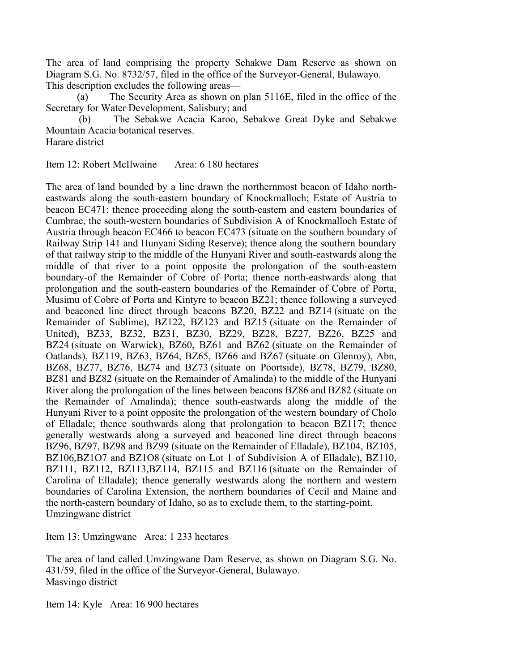The area of land comprising the property Sehakwe Dam Reserve as shown on Diagram S.G. No. 8732/57, filed in the office of the Surveyor-General, Bulawayo. This description excludes the following areas—

 (a) The Security Area as shown on plan 5116E, filed in the office of the Secretary for Water Development, Salisbury; and

 (b) The Sebakwe Acacia Karoo, Sebakwe Great Dyke and Sebakwe Mountain Acacia botanical reserves.

Harare district

Item 12: Robert McIlwaine Area: 6 180 hectares

The area of land bounded by a line drawn the northernmost beacon of Idaho northeastwards along the south-eastern boundary of Knockmalloch; Estate of Austria to beacon EC471; thence proceeding along the south-eastern and eastern boundaries of Cumbrae, the south-western boundaries of Subdivision A of Knockmalloch Estate of Austria through beacon EC466 to beacon EC473 (situate on the southern boundary of Railway Strip 141 and Hunyani Siding Reserve); thence along the southern boundary of that railway strip to the middle of the Hunyani River and south-eastwards along the middle of that river to a point opposite the prolongation of the south-eastern boundary-of the Remainder of Cobre of Porta; thence north-eastwards along that prolongation and the south-eastern boundaries of the Remainder of Cobre of Porta, Musimu of Cobre of Porta and Kintyre to beacon BZ21; thence following a surveyed and beaconed line direct through beacons BZ20, BZ22 and BZ14 (situate on the Remainder of Sublime), BZ122, BZ123 and BZ15 (situate on the Remainder of United), BZ33, BZ32, BZ31, BZ30, BZ29, BZ28, BZ27, BZ26, BZ25 and BZ24 (situate on Warwick), BZ60, BZ61 and BZ62 (situate on the Remainder of Oatlands), BZ119, BZ63, BZ64, BZ65, BZ66 and BZ67 (situate on Glenroy), Abn, BZ68, BZ77, BZ76, BZ74 and BZ73 (situate on Poortside), BZ78, BZ79, BZ80, BZ81 and BZ82 (situate on the Remainder of Amalinda) to the middle of the Hunyani River along the prolongation of the lines between beacons BZ86 and BZ82 (situate on the Remainder of Amalinda); thence south-eastwards along the middle of the Hunyani River to a point opposite the prolongation of the western boundary of Cholo of Elladale; thence southwards along that prolongation to beacon BZ117; thence generally westwards along a surveyed and beaconed line direct through beacons BZ96, BZ97, BZ98 and BZ99 (situate on the Remainder of Elladale), BZ104, BZ105, BZ106,BZ1O7 and BZ1O8 (situate on Lot 1 of Subdivision A of Elladale), BZ110, BZ111, BZ112, BZ113,BZ114, BZ115 and BZ116 (situate on the Remainder of Carolina of Elladale); thence generally westwards along the northern and western boundaries of Carolina Extension, the northern boundaries of Cecil and Maine and the north-eastern boundary of Idaho, so as to exclude them, to the starting-point. Umzingwane district

Item 13: Umzingwane Area: 1 233 hectares

The area of land called Umzingwane Dam Reserve, as shown on Diagram S.G. No. 431/59, filed in the office of the Surveyor-General, Bulawayo. Masvingo district

Item 14: Kyle Area: 16 900 hectares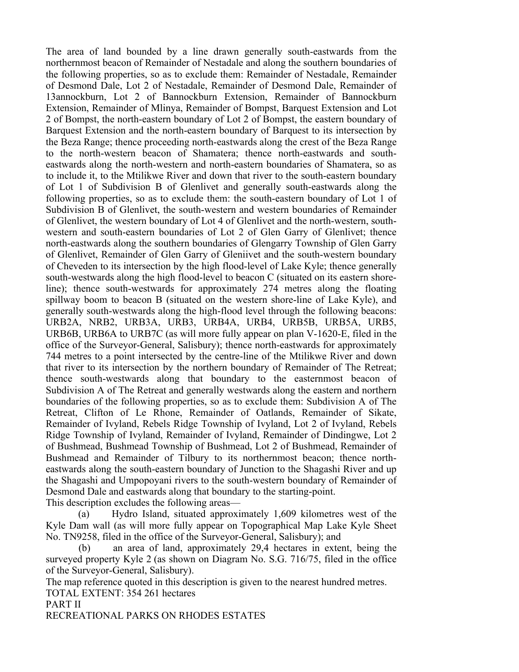The area of land bounded by a line drawn generally south-eastwards from the northernmost beacon of Remainder of Nestadale and along the southern boundaries of the following properties, so as to exclude them: Remainder of Nestadale, Remainder of Desmond Dale, Lot 2 of Nestadale, Remainder of Desmond Dale, Remainder of 13annockburn, Lot 2 of Bannockburn Extension, Remainder of Bannockburn Extension, Remainder of Mlinya, Remainder of Bompst, Barquest Extension and Lot 2 of Bompst, the north-eastern boundary of Lot 2 of Bompst, the eastern boundary of Barquest Extension and the north-eastern boundary of Barquest to its intersection by the Beza Range; thence proceeding north-eastwards along the crest of the Beza Range to the north-western beacon of Shamatera; thence north-eastwards and southeastwards along the north-western and north-eastern boundaries of Shamatera, so as to include it, to the Mtilikwe River and down that river to the south-eastern boundary of Lot 1 of Subdivision B of Glenlivet and generally south-eastwards along the following properties, so as to exclude them: the south-eastern boundary of Lot 1 of Subdivision B of Glenlivet, the south-western and western boundaries of Remainder of Glenlivet, the western boundary of Lot 4 of Glenlivet and the north-western, southwestern and south-eastern boundaries of Lot 2 of Glen Garry of Glenlivet; thence north-eastwards along the southern boundaries of Glengarry Township of Glen Garry of Glenlivet, Remainder of Glen Garry of Gleniivet and the south-western boundary of Cheveden to its intersection by the high flood-level of Lake Kyle; thence generally south-westwards along the high flood-level to beacon C (situated on its eastern shoreline); thence south-westwards for approximately 274 metres along the floating spillway boom to beacon B (situated on the western shore-line of Lake Kyle), and generally south-westwards along the high-flood level through the following beacons: URB2A, NRB2, URB3A, URB3, URB4A, URB4, URB5B, URB5A, URB5, URB6B, URB6A to URB7C (as will more fully appear on plan V-1620-E, filed in the office of the Surveyor-General, Salisbury); thence north-eastwards for approximately 744 metres to a point intersected by the centre-line of the Mtilikwe River and down that river to its intersection by the northern boundary of Remainder of The Retreat; thence south-westwards along that boundary to the easternmost beacon of Subdivision A of The Retreat and generally westwards along the eastern and northern boundaries of the following properties, so as to exclude them: Subdivision A of The Retreat, Clifton of Le Rhone, Remainder of Oatlands, Remainder of Sikate, Remainder of Ivyland, Rebels Ridge Township of Ivyland, Lot 2 of Ivyland, Rebels Ridge Township of Ivyland, Remainder of Ivyland, Remainder of Dindingwe, Lot 2 of Bushmead, Bushmead Township of Bushmead, Lot 2 of Bushmead, Remainder of Bushmead and Remainder of Tilbury to its northernmost beacon; thence northeastwards along the south-eastern boundary of Junction to the Shagashi River and up the Shagashi and Umpopoyani rivers to the south-western boundary of Remainder of Desmond Dale and eastwards along that boundary to the starting-point. This description excludes the following areas—

 (a) Hydro Island, situated approximately 1,609 kilometres west of the Kyle Dam wall (as will more fully appear on Topographical Map Lake Kyle Sheet No. TN9258, filed in the office of the Surveyor-General, Salisbury); and

 (b) an area of land, approximately 29,4 hectares in extent, being the surveyed property Kyle 2 (as shown on Diagram No. S.G. 716/75, filed in the office of the Surveyor-General, Salisbury).

The map reference quoted in this description is given to the nearest hundred metres. TOTAL EXTENT: 354 261 hectares PART II

RECREATIONAL PARKS ON RHODES ESTATES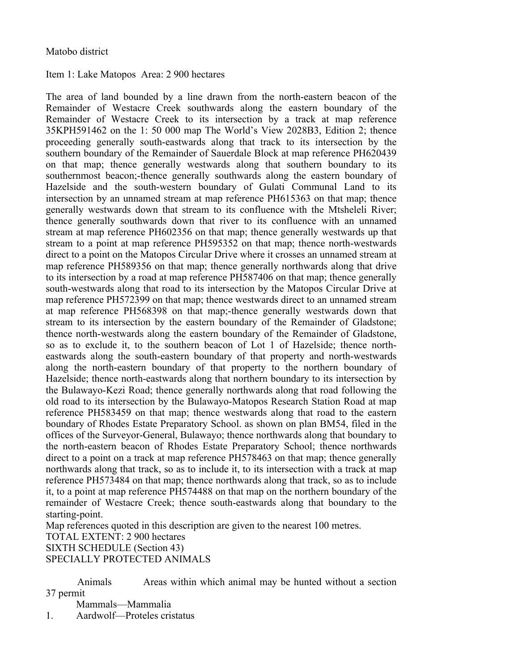## Matobo district

### Item 1: Lake Matopos Area: 2 900 hectares

The area of land bounded by a line drawn from the north-eastern beacon of the Remainder of Westacre Creek southwards along the eastern boundary of the Remainder of Westacre Creek to its intersection by a track at map reference 35KPH591462 on the 1: 50 000 map The World's View 2028B3, Edition 2; thence proceeding generally south-eastwards along that track to its intersection by the southern boundary of the Remainder of Sauerdale Block at map reference PH620439 on that map; thence generally westwards along that southern boundary to its southernmost beacon;-thence generally southwards along the eastern boundary of Hazelside and the south-western boundary of Gulati Communal Land to its intersection by an unnamed stream at map reference PH615363 on that map; thence generally westwards down that stream to its confluence with the Mtsheleli River; thence generally southwards down that river to its confluence with an unnamed stream at map reference PH602356 on that map; thence generally westwards up that stream to a point at map reference PH595352 on that map; thence north-westwards direct to a point on the Matopos Circular Drive where it crosses an unnamed stream at map reference PH589356 on that map; thence generally northwards along that drive to its intersection by a road at map reference PH587406 on that map; thence generally south-westwards along that road to its intersection by the Matopos Circular Drive at map reference PH572399 on that map; thence westwards direct to an unnamed stream at map reference PH568398 on that map;-thence generally westwards down that stream to its intersection by the eastern boundary of the Remainder of Gladstone; thence north-westwards along the eastern boundary of the Remainder of Gladstone, so as to exclude it, to the southern beacon of Lot 1 of Hazelside; thence northeastwards along the south-eastern boundary of that property and north-westwards along the north-eastern boundary of that property to the northern boundary of Hazelside; thence north-eastwards along that northern boundary to its intersection by the Bulawayo-Kezi Road; thence generally northwards along that road following the old road to its intersection by the Bulawayo-Matopos Research Station Road at map reference PH583459 on that map; thence westwards along that road to the eastern boundary of Rhodes Estate Preparatory School. as shown on plan BM54, filed in the offices of the Surveyor-General, Bulawayo; thence northwards along that boundary to the north-eastern beacon of Rhodes Estate Preparatory School; thence northwards direct to a point on a track at map reference PH578463 on that map; thence generally northwards along that track, so as to include it, to its intersection with a track at map reference PH573484 on that map; thence northwards along that track, so as to include it, to a point at map reference PH574488 on that map on the northern boundary of the remainder of Westacre Creek; thence south-eastwards along that boundary to the starting-point.

Map references quoted in this description are given to the nearest 100 metres. TOTAL EXTENT: 2 900 hectares SIXTH SCHEDULE (Section 43) SPECIALLY PROTECTED ANIMALS

 Animals Areas within which animal may be hunted without a section 37 permit

 Mammals—Mammalia 1. Aardwolf—Proteles cristatus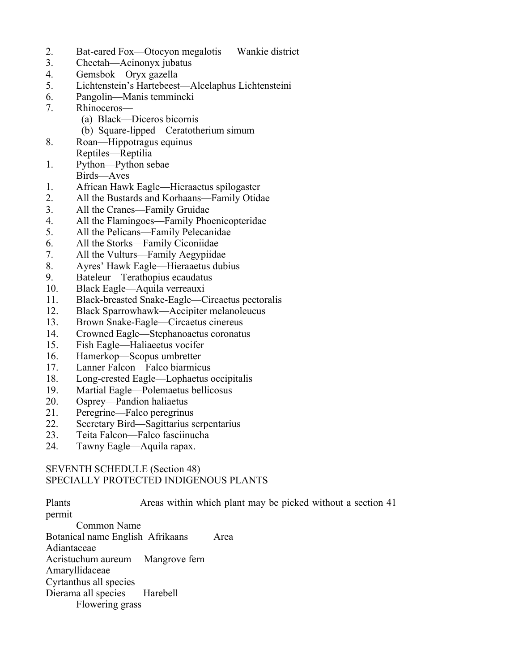- 2. Bat-eared Fox—Otocyon megalotis Wankie district
- 3. Cheetah—Acinonyx jubatus
- 4. Gemsbok—Oryx gazella
- 5. Lichtenstein's Hartebeest—Alcelaphus Lichtensteini
- 6. Pangolin—Manis temmincki
- 7. Rhinoceros—
	- (a) Black—Diceros bicornis
	- (b) Square-lipped—Ceratotherium simum
- 8. Roan—Hippotragus equinus
	- Reptiles—Reptilia
- 1. Python—Python sebae Birds—Aves
- 1. African Hawk Eagle—Hieraaetus spilogaster
- 2. All the Bustards and Korhaans—Family Otidae
- 3. All the Cranes—Family Gruidae
- 4. All the Flamingoes—Family Phoenicopteridae
- 5. All the Pelicans—Family Pelecanidae
- 6. All the Storks—Family Ciconiidae
- 7. All the Vulturs—Family Aegypiidae
- 8. Ayres' Hawk Eagle—Hieraaetus dubius
- 9. Bateleur—Terathopius ecaudatus
- 10. Black Eagle—Aquila verreauxi
- 11. Black-breasted Snake-Eagle—Circaetus pectoralis
- 12. Black Sparrowhawk—Accipiter melanoleucus
- 13. Brown Snake-Eagle—Circaetus cinereus
- 14. Crowned Eagle—Stephanoaetus coronatus
- 15. Fish Eagle—Haliaeetus vocifer
- 16. Hamerkop—Scopus umbretter
- 17. Lanner Falcon—Falco biarmicus
- 18. Long-crested Eagle—Lophaetus occipitalis
- 19. Martial Eagle—Polemaetus bellicosus
- 20. Osprey—Pandion haliaetus
- 21. Peregrine—Falco peregrinus
- 22. Secretary Bird—Sagittarius serpentarius
- 23. Teita Falcon—Falco fasciinucha
- 24. Tawny Eagle—Aquila rapax.

# SEVENTH SCHEDULE (Section 48) SPECIALLY PROTECTED INDIGENOUS PLANTS

Plants Areas within which plant may be picked without a section 41 permit Common Name Botanical name English Afrikaans Area Adiantaceae Acristuchum aureum Mangrove fern Amaryllidaceae Cyrtanthus all species Dierama all species Harebell Flowering grass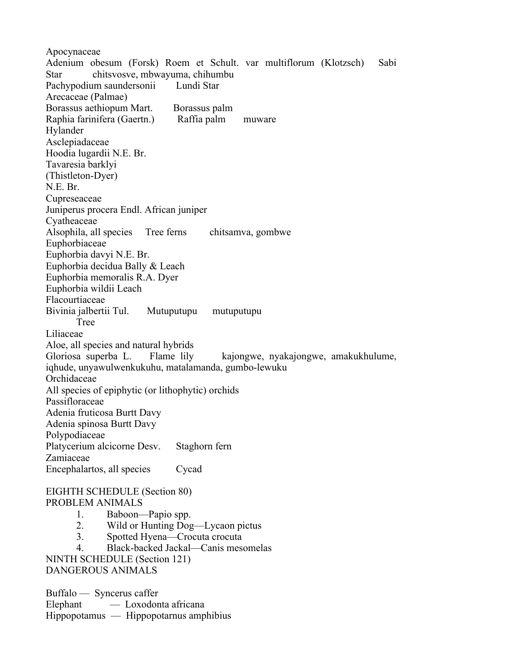Apocynaceae Adenium obesum (Forsk) Roem et Schult. var multiflorum (Klotzsch) Sabi Star chitsvosve, mbwayuma, chihumbu Pachypodium saundersonii Lundi Star Arecaceae (Palmae) Borassus aethiopum Mart. Borassus palm Raphia farinifera (Gaertn.) Raffia palm muware Hylander Asclepiadaceae Hoodia lugardii N.E. Br. Tavaresia barklyi (Thistleton-Dyer) N.E. Br. Cupreseaceae Juniperus procera Endl. African juniper Cyatheaceae Alsophila, all species Tree ferns chitsamva, gombwe Euphorbiaceae Euphorbia davyi N.E. Br. Euphorbia decidua Bally & Leach Euphorbia memoralis R.A. Dyer Euphorbia wildii Leach Flacourtiaceae Bivinia jalbertii Tul. Mutuputupu mutuputupu Tree Liliaceae Aloe, all species and natural hybrids Gloriosa superba L. Flame lily kajongwe, nyakajongwe, amakukhulume, iqhude, unyawulwenkukuhu, matalamanda, gumbo-lewuku Orchidaceae All species of epiphytic (or lithophytic) orchids Passifloraceae Adenia fruticosa Burtt Davy Adenia spinosa Burtt Davy Polypodiaceae Platycerium alcicorne Desv. Staghorn fern Zamiaceae Encephalartos, all species Cycad EIGHTH SCHEDULE (Section 80) PROBLEM ANIMALS 1. Baboon—Papio spp. 2. Wild or Hunting Dog—Lycaon pictus 3. Spotted Hyena—Crocuta crocuta 4. Black-backed Jackal—Canis mesomelas NINTH SCHEDULE (Section 121) DANGEROUS ANIMALS

Buffalo — Syncerus caffer Elephant — Loxodonta africana Hippopotamus — Hippopotarnus amphibius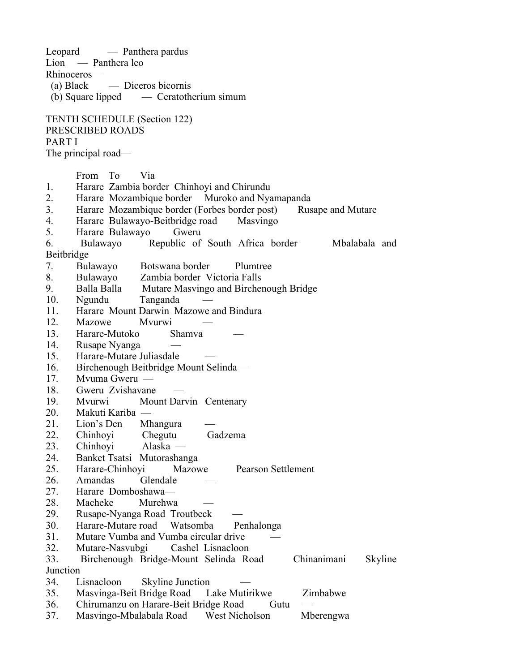Leopard — Panthera pardus Lion — Panthera leo Rhinoceros— (a) Black — Diceros bicornis (b) Square lipped — Ceratotherium simum TENTH SCHEDULE (Section 122) PRESCRIBED ROADS PART I The principal road— From To Via 1. Harare Zambia border Chinhoyi and Chirundu 2. Harare Mozambique border Muroko and Nyamapanda 3. Harare Mozambique border (Forbes border post) Rusape and Mutare 4. Harare Bulawayo-Beitbridge road Masvingo 5. Harare Bulawayo Gweru 6. Bulawayo Republic of South Africa border Mbalabala and Beitbridge 7. Bulawayo Botswana border Plumtree 8. Bulawayo Zambia border Victoria Falls 9. Balla Balla Mutare Masvingo and Birchenough Bridge 10. Ngundu Tanganda 11. Harare Mount Darwin Mazowe and Bindura 12. Mazowe Mvurwi 13. Harare-Mutoko Shamva — 14. Rusape Nyanga — 15. Harare-Mutare Juliasdale — 16. Birchenough Beitbridge Mount Selinda— 17. Mvuma Gweru — 18. Gweru Zvishavane 19. Mvurwi Mount Darvin Centenary 20. Makuti Kariba — 21. Lion's Den Mhangura 22. Chinhoyi Chegutu Gadzema 23. Chinhoyi Alaska — 24. Banket Tsatsi Mutorashanga 25. Harare-Chinhoyi Mazowe Pearson Settlement 26. Amandas Glendale 27. Harare Domboshawa— 28. Macheke Murehwa 29. Rusape-Nyanga Road Troutbeck — 30. Harare-Mutare road Watsomba Penhalonga 31. Mutare Vumba and Vumba circular drive — 32. Mutare-Nasvubgi Cashel Lisnacloon 33. Birchenough Bridge-Mount Selinda Road Chinanimani Skyline **Junction** 34. Lisnacloon Skyline Junction 35. Masvinga-Beit Bridge Road Lake Mutirikwe Zimbabwe 36. Chirumanzu on Harare-Beit Bridge Road Gutu — 37. Masvingo-Mbalabala Road West Nicholson Mberengwa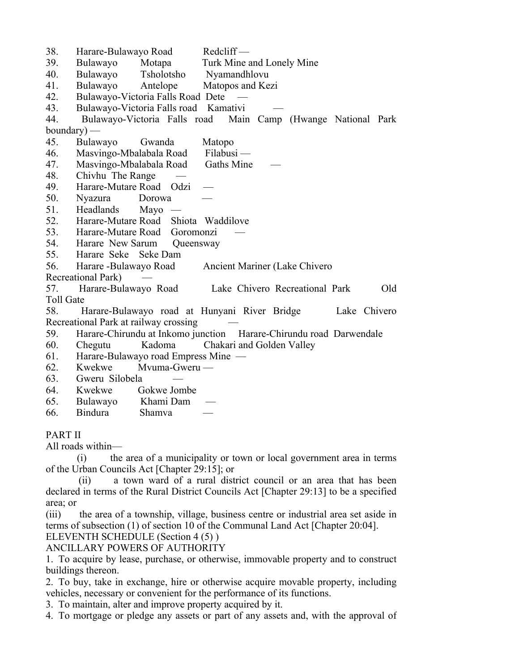- 38. Harare-Bulawayo Road Redcliff —
- 39. Bulawayo Motapa Turk Mine and Lonely Mine
- 40. Bulawayo Tsholotsho Nyamandhlovu
- 41. Bulawayo Antelope Matopos and Kezi
- 42. Bulawayo-Victoria Falls Road Dete —
- 43. Bulawayo-Victoria Falls road Kamativi —
- 44. Bulawayo-Victoria Falls road Main Camp (Hwange National Park boundary) —
- 45. Bulawayo Gwanda Matopo
- 46. Masvingo-Mbalabala Road Filabusi —
- 47. Masvingo-Mbalabala Road Gaths Mine —
- 48. Chivhu The Range
- 49. Harare-Mutare Road Odzi —
- 50. Nyazura Dorowa —
- 51. Headlands Mayo —
- 52. Harare-Mutare Road Shiota Waddilove
- 53. Harare-Mutare Road Goromonzi —
- 54. Harare New Sarum Queensway
- 55. Harare Seke Seke Dam
- 56. Harare -Bulawayo Road Ancient Mariner (Lake Chivero
- Recreational Park) —
- 57. Harare-Bulawayo Road Lake Chivero Recreational Park Old Toll Gate
- 58. Harare-Bulawayo road at Hunyani River Bridge Lake Chivero Recreational Park at railway crossing —
- 59. Harare-Chirundu at Inkomo junction Harare-Chirundu road Darwendale
- 60. Chegutu Kadoma Chakari and Golden Valley
- 61. Harare-Bulawayo road Empress Mine —
- 62. Kwekwe Mvuma-Gweru —
- 63. Gweru Silobela —
- 64. Kwekwe Gokwe Jombe
- 65. Bulawayo Khami Dam —
- 66. Bindura Shamva —

# PART II

All roads within—

 (i) the area of a municipality or town or local government area in terms of the Urban Councils Act [Chapter 29:15]; or

 (ii) a town ward of a rural district council or an area that has been declared in terms of the Rural District Councils Act [Chapter 29:13] to be a specified area; or

(iii) the area of a township, village, business centre or industrial area set aside in terms of subsection (1) of section 10 of the Communal Land Act [Chapter 20:04].

ELEVENTH SCHEDULE (Section 4 (5) )

ANCILLARY POWERS OF AUTHORITY

1. To acquire by lease, purchase, or otherwise, immovable property and to construct buildings thereon.

2. To buy, take in exchange, hire or otherwise acquire movable property, including vehicles, necessary or convenient for the performance of its functions.

3. To maintain, alter and improve property acquired by it.

4. To mortgage or pledge any assets or part of any assets and, with the approval of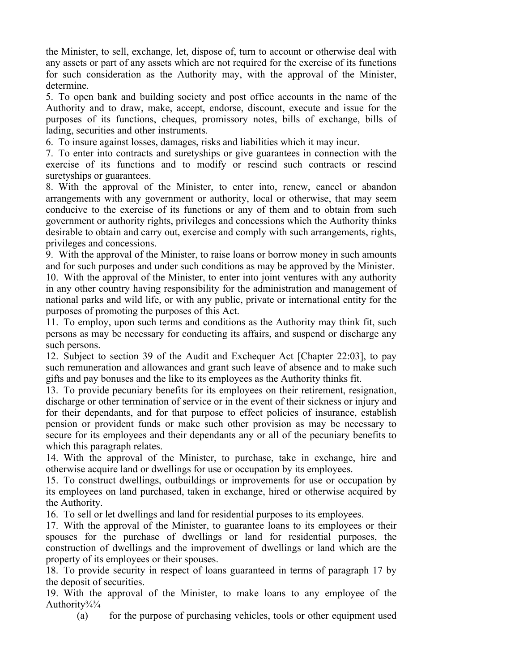the Minister, to sell, exchange, let, dispose of, turn to account or otherwise deal with any assets or part of any assets which are not required for the exercise of its functions for such consideration as the Authority may, with the approval of the Minister, determine.

5. To open bank and building society and post office accounts in the name of the Authority and to draw, make, accept, endorse, discount, execute and issue for the purposes of its functions, cheques, promissory notes, bills of exchange, bills of lading, securities and other instruments.

6. To insure against losses, damages, risks and liabilities which it may incur.

7. To enter into contracts and suretyships or give guarantees in connection with the exercise of its functions and to modify or rescind such contracts or rescind suretyships or guarantees.

8. With the approval of the Minister, to enter into, renew, cancel or abandon arrangements with any government or authority, local or otherwise, that may seem conducive to the exercise of its functions or any of them and to obtain from such government or authority rights, privileges and concessions which the Authority thinks desirable to obtain and carry out, exercise and comply with such arrangements, rights, privileges and concessions.

9. With the approval of the Minister, to raise loans or borrow money in such amounts and for such purposes and under such conditions as may be approved by the Minister.

10. With the approval of the Minister, to enter into joint ventures with any authority in any other country having responsibility for the administration and management of national parks and wild life, or with any public, private or international entity for the purposes of promoting the purposes of this Act.

11. To employ, upon such terms and conditions as the Authority may think fit, such persons as may be necessary for conducting its affairs, and suspend or discharge any such persons.

12. Subject to section 39 of the Audit and Exchequer Act [Chapter 22:03], to pay such remuneration and allowances and grant such leave of absence and to make such gifts and pay bonuses and the like to its employees as the Authority thinks fit.

13. To provide pecuniary benefits for its employees on their retirement, resignation, discharge or other termination of service or in the event of their sickness or injury and for their dependants, and for that purpose to effect policies of insurance, establish pension or provident funds or make such other provision as may be necessary to secure for its employees and their dependants any or all of the pecuniary benefits to which this paragraph relates.

14. With the approval of the Minister, to purchase, take in exchange, hire and otherwise acquire land or dwellings for use or occupation by its employees.

15. To construct dwellings, outbuildings or improvements for use or occupation by its employees on land purchased, taken in exchange, hired or otherwise acquired by the Authority.

16. To sell or let dwellings and land for residential purposes to its employees.

17. With the approval of the Minister, to guarantee loans to its employees or their spouses for the purchase of dwellings or land for residential purposes, the construction of dwellings and the improvement of dwellings or land which are the property of its employees or their spouses.

18. To provide security in respect of loans guaranteed in terms of paragraph 17 by the deposit of securities.

19. With the approval of the Minister, to make loans to any employee of the Authority<sup>3</sup>/<sub>4</sub><sup>3</sup>/<sub>4</sub>

(a) for the purpose of purchasing vehicles, tools or other equipment used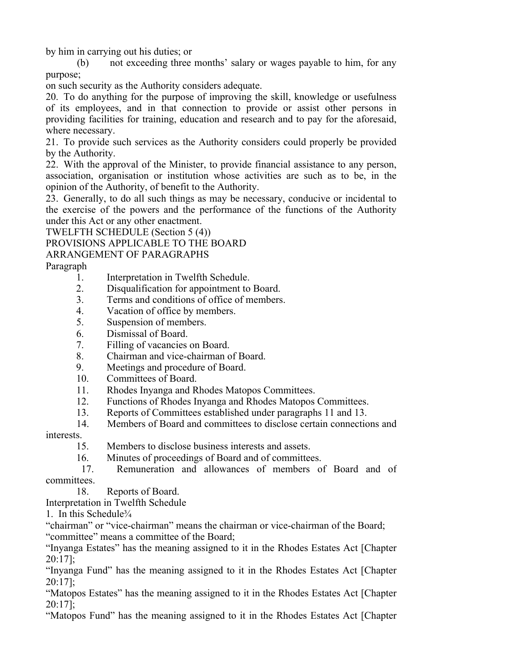by him in carrying out his duties; or

 (b) not exceeding three months' salary or wages payable to him, for any purpose;

on such security as the Authority considers adequate.

20. To do anything for the purpose of improving the skill, knowledge or usefulness of its employees, and in that connection to provide or assist other persons in providing facilities for training, education and research and to pay for the aforesaid, where necessary.

21. To provide such services as the Authority considers could properly be provided by the Authority.

22. With the approval of the Minister, to provide financial assistance to any person, association, organisation or institution whose activities are such as to be, in the opinion of the Authority, of benefit to the Authority.

23. Generally, to do all such things as may be necessary, conducive or incidental to the exercise of the powers and the performance of the functions of the Authority under this Act or any other enactment.

TWELFTH SCHEDULE (Section 5 (4))

PROVISIONS APPLICABLE TO THE BOARD

## ARRANGEMENT OF PARAGRAPHS

Paragraph

- 1. Interpretation in Twelfth Schedule.
- 2. Disqualification for appointment to Board.
- 3. Terms and conditions of office of members.
- 4. Vacation of office by members.
- 5. Suspension of members.
- 6. Dismissal of Board.
- 7. Filling of vacancies on Board.
- 8. Chairman and vice-chairman of Board.
- 9. Meetings and procedure of Board.
- 10. Committees of Board.
- 11. Rhodes Inyanga and Rhodes Matopos Committees.
- 12. Functions of Rhodes Inyanga and Rhodes Matopos Committees.
- 13. Reports of Committees established under paragraphs 11 and 13.
- 14. Members of Board and committees to disclose certain connections and

interests.

- 15. Members to disclose business interests and assets.
- 16. Minutes of proceedings of Board and of committees.

 17. Remuneration and allowances of members of Board and of committees.

- 18. Reports of Board.
- Interpretation in Twelfth Schedule
- 1. In this Schedule $\frac{3}{4}$

"chairman" or "vice-chairman" means the chairman or vice-chairman of the Board;

"committee" means a committee of the Board;

"Inyanga Estates" has the meaning assigned to it in the Rhodes Estates Act [Chapter 20:17];

"Inyanga Fund" has the meaning assigned to it in the Rhodes Estates Act [Chapter 20:17];

"Matopos Estates" has the meaning assigned to it in the Rhodes Estates Act [Chapter 20:17];

"Matopos Fund" has the meaning assigned to it in the Rhodes Estates Act [Chapter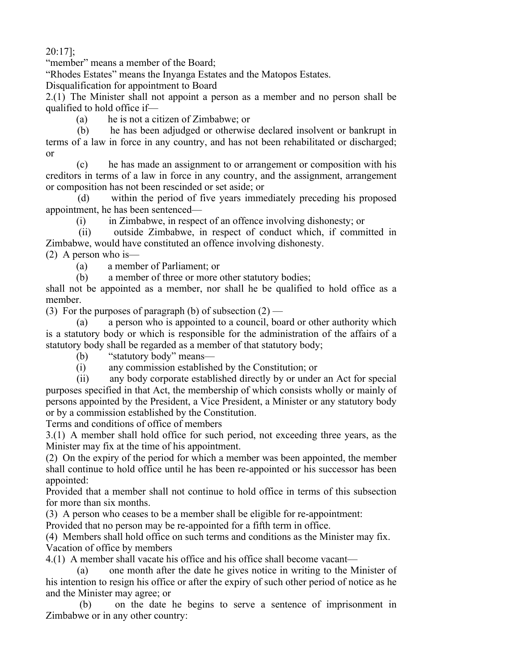20:17];

"member" means a member of the Board;

"Rhodes Estates" means the Inyanga Estates and the Matopos Estates.

Disqualification for appointment to Board

2.(1) The Minister shall not appoint a person as a member and no person shall be qualified to hold office if—

(a) he is not a citizen of Zimbabwe; or

 (b) he has been adjudged or otherwise declared insolvent or bankrupt in terms of a law in force in any country, and has not been rehabilitated or discharged; or

 (c) he has made an assignment to or arrangement or composition with his creditors in terms of a law in force in any country, and the assignment, arrangement or composition has not been rescinded or set aside; or

 (d) within the period of five years immediately preceding his proposed appointment, he has been sentenced—

(i) in Zimbabwe, in respect of an offence involving dishonesty; or

 (ii) outside Zimbabwe, in respect of conduct which, if committed in Zimbabwe, would have constituted an offence involving dishonesty.

(2) A person who is—

(a) a member of Parliament; or

(b) a member of three or more other statutory bodies;

shall not be appointed as a member, nor shall he be qualified to hold office as a member.

(3) For the purposes of paragraph (b) of subsection  $(2)$  —

 (a) a person who is appointed to a council, board or other authority which is a statutory body or which is responsible for the administration of the affairs of a statutory body shall be regarded as a member of that statutory body;

(b) "statutory body" means—

(i) any commission established by the Constitution; or

 (ii) any body corporate established directly by or under an Act for special purposes specified in that Act, the membership of which consists wholly or mainly of persons appointed by the President, a Vice President, a Minister or any statutory body or by a commission established by the Constitution.

Terms and conditions of office of members

3.(1) A member shall hold office for such period, not exceeding three years, as the Minister may fix at the time of his appointment.

(2) On the expiry of the period for which a member was been appointed, the member shall continue to hold office until he has been re-appointed or his successor has been appointed:

Provided that a member shall not continue to hold office in terms of this subsection for more than six months.

(3) A person who ceases to be a member shall be eligible for re-appointment:

Provided that no person may be re-appointed for a fifth term in office.

(4) Members shall hold office on such terms and conditions as the Minister may fix. Vacation of office by members

4.(1) A member shall vacate his office and his office shall become vacant—

 (a) one month after the date he gives notice in writing to the Minister of his intention to resign his office or after the expiry of such other period of notice as he and the Minister may agree; or

 (b) on the date he begins to serve a sentence of imprisonment in Zimbabwe or in any other country: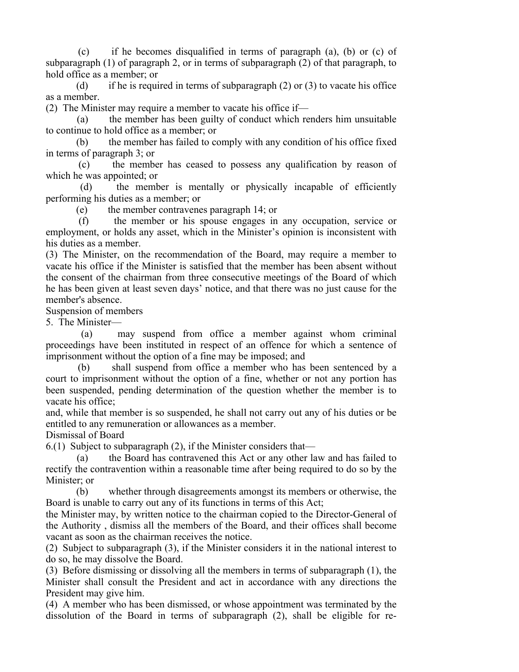(c) if he becomes disqualified in terms of paragraph (a), (b) or (c) of subparagraph (1) of paragraph 2, or in terms of subparagraph (2) of that paragraph, to hold office as a member; or

(d) if he is required in terms of subparagraph  $(2)$  or  $(3)$  to vacate his office as a member.

(2) The Minister may require a member to vacate his office if—

 (a) the member has been guilty of conduct which renders him unsuitable to continue to hold office as a member; or

 (b) the member has failed to comply with any condition of his office fixed in terms of paragraph 3; or

 (c) the member has ceased to possess any qualification by reason of which he was appointed; or

 (d) the member is mentally or physically incapable of efficiently performing his duties as a member; or

(e) the member contravenes paragraph 14; or

 (f) the member or his spouse engages in any occupation, service or employment, or holds any asset, which in the Minister's opinion is inconsistent with his duties as a member.

(3) The Minister, on the recommendation of the Board, may require a member to vacate his office if the Minister is satisfied that the member has been absent without the consent of the chairman from three consecutive meetings of the Board of which he has been given at least seven days' notice, and that there was no just cause for the member's absence.

Suspension of members

5. The Minister—

 (a) may suspend from office a member against whom criminal proceedings have been instituted in respect of an offence for which a sentence of imprisonment without the option of a fine may be imposed; and

 (b) shall suspend from office a member who has been sentenced by a court to imprisonment without the option of a fine, whether or not any portion has been suspended, pending determination of the question whether the member is to vacate his office;

and, while that member is so suspended, he shall not carry out any of his duties or be entitled to any remuneration or allowances as a member.

Dismissal of Board

6.(1) Subject to subparagraph (2), if the Minister considers that—

 (a) the Board has contravened this Act or any other law and has failed to rectify the contravention within a reasonable time after being required to do so by the Minister; or

 (b) whether through disagreements amongst its members or otherwise, the Board is unable to carry out any of its functions in terms of this Act;

the Minister may, by written notice to the chairman copied to the Director-General of the Authority , dismiss all the members of the Board, and their offices shall become vacant as soon as the chairman receives the notice.

(2) Subject to subparagraph (3), if the Minister considers it in the national interest to do so, he may dissolve the Board.

(3) Before dismissing or dissolving all the members in terms of subparagraph (1), the Minister shall consult the President and act in accordance with any directions the President may give him.

(4) A member who has been dismissed, or whose appointment was terminated by the dissolution of the Board in terms of subparagraph (2), shall be eligible for re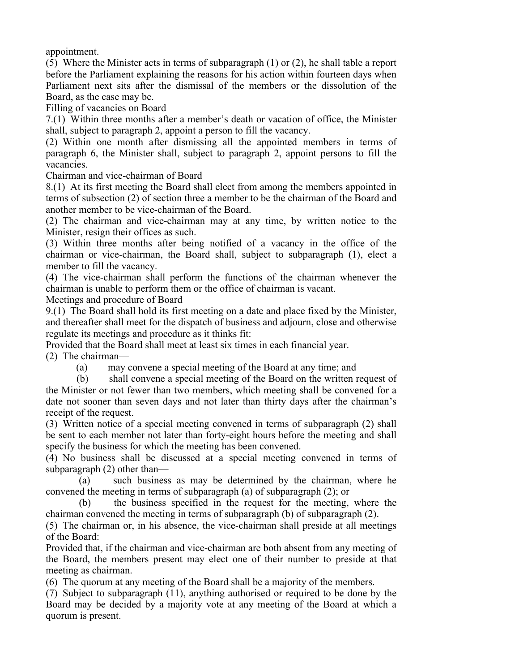appointment.

(5) Where the Minister acts in terms of subparagraph (1) or (2), he shall table a report before the Parliament explaining the reasons for his action within fourteen days when Parliament next sits after the dismissal of the members or the dissolution of the Board, as the case may be.

Filling of vacancies on Board

7.(1) Within three months after a member's death or vacation of office, the Minister shall, subject to paragraph 2, appoint a person to fill the vacancy.

(2) Within one month after dismissing all the appointed members in terms of paragraph 6, the Minister shall, subject to paragraph 2, appoint persons to fill the vacancies.

Chairman and vice-chairman of Board

8.(1) At its first meeting the Board shall elect from among the members appointed in terms of subsection (2) of section three a member to be the chairman of the Board and another member to be vice-chairman of the Board.

(2) The chairman and vice-chairman may at any time, by written notice to the Minister, resign their offices as such.

(3) Within three months after being notified of a vacancy in the office of the chairman or vice-chairman, the Board shall, subject to subparagraph (1), elect a member to fill the vacancy.

(4) The vice-chairman shall perform the functions of the chairman whenever the chairman is unable to perform them or the office of chairman is vacant.

Meetings and procedure of Board

9.(1) The Board shall hold its first meeting on a date and place fixed by the Minister, and thereafter shall meet for the dispatch of business and adjourn, close and otherwise regulate its meetings and procedure as it thinks fit:

Provided that the Board shall meet at least six times in each financial year.

(2) The chairman—

(a) may convene a special meeting of the Board at any time; and

 (b) shall convene a special meeting of the Board on the written request of the Minister or not fewer than two members, which meeting shall be convened for a date not sooner than seven days and not later than thirty days after the chairman's receipt of the request.

(3) Written notice of a special meeting convened in terms of subparagraph (2) shall be sent to each member not later than forty-eight hours before the meeting and shall specify the business for which the meeting has been convened.

(4) No business shall be discussed at a special meeting convened in terms of subparagraph (2) other than—

 (a) such business as may be determined by the chairman, where he convened the meeting in terms of subparagraph (a) of subparagraph (2); or

 (b) the business specified in the request for the meeting, where the chairman convened the meeting in terms of subparagraph (b) of subparagraph (2).

(5) The chairman or, in his absence, the vice-chairman shall preside at all meetings of the Board:

Provided that, if the chairman and vice-chairman are both absent from any meeting of the Board, the members present may elect one of their number to preside at that meeting as chairman.

(6) The quorum at any meeting of the Board shall be a majority of the members.

(7) Subject to subparagraph (11), anything authorised or required to be done by the Board may be decided by a majority vote at any meeting of the Board at which a quorum is present.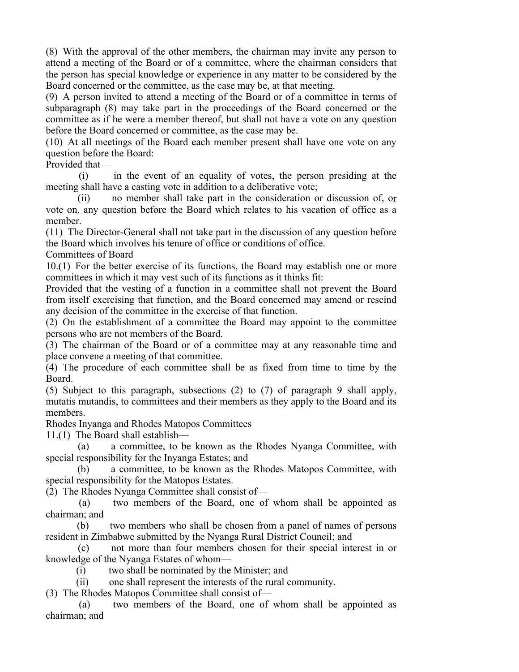(8) With the approval of the other members, the chairman may invite any person to attend a meeting of the Board or of a committee, where the chairman considers that the person has special knowledge or experience in any matter to be considered by the Board concerned or the committee, as the case may be, at that meeting.

(9) A person invited to attend a meeting of the Board or of a committee in terms of subparagraph (8) may take part in the proceedings of the Board concerned or the committee as if he were a member thereof, but shall not have a vote on any question before the Board concerned or committee, as the case may be.

(10) At all meetings of the Board each member present shall have one vote on any question before the Board:

Provided that—

 (i) in the event of an equality of votes, the person presiding at the meeting shall have a casting vote in addition to a deliberative vote;

 (ii) no member shall take part in the consideration or discussion of, or vote on, any question before the Board which relates to his vacation of office as a member.

(11) The Director-General shall not take part in the discussion of any question before the Board which involves his tenure of office or conditions of office.

Committees of Board

10.(1) For the better exercise of its functions, the Board may establish one or more committees in which it may vest such of its functions as it thinks fit:

Provided that the vesting of a function in a committee shall not prevent the Board from itself exercising that function, and the Board concerned may amend or rescind any decision of the committee in the exercise of that function.

(2) On the establishment of a committee the Board may appoint to the committee persons who are not members of the Board.

(3) The chairman of the Board or of a committee may at any reasonable time and place convene a meeting of that committee.

(4) The procedure of each committee shall be as fixed from time to time by the Board.

(5) Subject to this paragraph, subsections (2) to (7) of paragraph 9 shall apply, mutatis mutandis, to committees and their members as they apply to the Board and its members.

Rhodes Inyanga and Rhodes Matopos Committees

11.(1) The Board shall establish—

 (a) a committee, to be known as the Rhodes Nyanga Committee, with special responsibility for the Inyanga Estates; and

 (b) a committee, to be known as the Rhodes Matopos Committee, with special responsibility for the Matopos Estates.

(2) The Rhodes Nyanga Committee shall consist of—

 (a) two members of the Board, one of whom shall be appointed as chairman; and

 (b) two members who shall be chosen from a panel of names of persons resident in Zimbabwe submitted by the Nyanga Rural District Council; and

 (c) not more than four members chosen for their special interest in or knowledge of the Nyanga Estates of whom—

(i) two shall be nominated by the Minister; and

(ii) one shall represent the interests of the rural community.

(3) The Rhodes Matopos Committee shall consist of—

 (a) two members of the Board, one of whom shall be appointed as chairman; and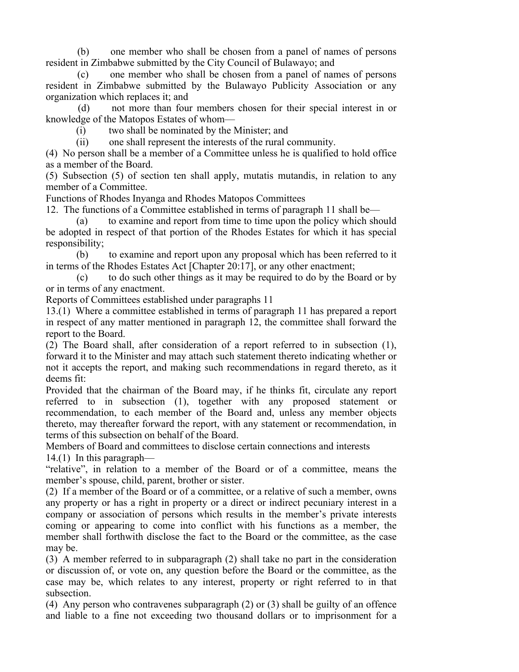(b) one member who shall be chosen from a panel of names of persons resident in Zimbabwe submitted by the City Council of Bulawayo; and

 (c) one member who shall be chosen from a panel of names of persons resident in Zimbabwe submitted by the Bulawayo Publicity Association or any organization which replaces it; and

 (d) not more than four members chosen for their special interest in or knowledge of the Matopos Estates of whom—

(i) two shall be nominated by the Minister; and

(ii) one shall represent the interests of the rural community.

(4) No person shall be a member of a Committee unless he is qualified to hold office as a member of the Board.

(5) Subsection (5) of section ten shall apply, mutatis mutandis, in relation to any member of a Committee.

Functions of Rhodes Inyanga and Rhodes Matopos Committees

12. The functions of a Committee established in terms of paragraph 11 shall be—

 (a) to examine and report from time to time upon the policy which should be adopted in respect of that portion of the Rhodes Estates for which it has special responsibility;

 (b) to examine and report upon any proposal which has been referred to it in terms of the Rhodes Estates Act [Chapter 20:17], or any other enactment;

 (c) to do such other things as it may be required to do by the Board or by or in terms of any enactment.

Reports of Committees established under paragraphs 11

13.(1) Where a committee established in terms of paragraph 11 has prepared a report in respect of any matter mentioned in paragraph 12, the committee shall forward the report to the Board.

(2) The Board shall, after consideration of a report referred to in subsection (1), forward it to the Minister and may attach such statement thereto indicating whether or not it accepts the report, and making such recommendations in regard thereto, as it deems fit:

Provided that the chairman of the Board may, if he thinks fit, circulate any report referred to in subsection (1), together with any proposed statement or recommendation, to each member of the Board and, unless any member objects thereto, may thereafter forward the report, with any statement or recommendation, in terms of this subsection on behalf of the Board.

Members of Board and committees to disclose certain connections and interests 14.(1) In this paragraph—

"relative", in relation to a member of the Board or of a committee, means the member's spouse, child, parent, brother or sister.

(2) If a member of the Board or of a committee, or a relative of such a member, owns any property or has a right in property or a direct or indirect pecuniary interest in a company or association of persons which results in the member's private interests coming or appearing to come into conflict with his functions as a member, the member shall forthwith disclose the fact to the Board or the committee, as the case may be.

(3) A member referred to in subparagraph (2) shall take no part in the consideration or discussion of, or vote on, any question before the Board or the committee, as the case may be, which relates to any interest, property or right referred to in that subsection.

(4) Any person who contravenes subparagraph (2) or (3) shall be guilty of an offence and liable to a fine not exceeding two thousand dollars or to imprisonment for a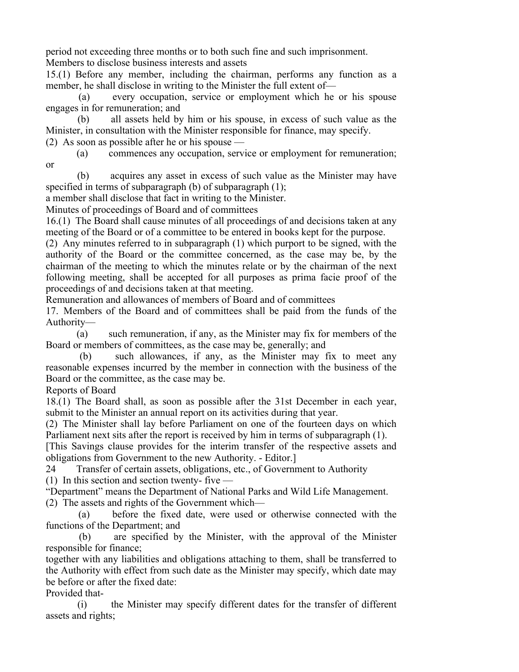period not exceeding three months or to both such fine and such imprisonment. Members to disclose business interests and assets

15.(1) Before any member, including the chairman, performs any function as a member, he shall disclose in writing to the Minister the full extent of—

 (a) every occupation, service or employment which he or his spouse engages in for remuneration; and

 (b) all assets held by him or his spouse, in excess of such value as the Minister, in consultation with the Minister responsible for finance, may specify.

(2) As soon as possible after he or his spouse  $-$ 

 (a) commences any occupation, service or employment for remuneration; or

 (b) acquires any asset in excess of such value as the Minister may have specified in terms of subparagraph (b) of subparagraph (1);

a member shall disclose that fact in writing to the Minister.

Minutes of proceedings of Board and of committees

16.(1) The Board shall cause minutes of all proceedings of and decisions taken at any meeting of the Board or of a committee to be entered in books kept for the purpose.

(2) Any minutes referred to in subparagraph (1) which purport to be signed, with the authority of the Board or the committee concerned, as the case may be, by the chairman of the meeting to which the minutes relate or by the chairman of the next following meeting, shall be accepted for all purposes as prima facie proof of the proceedings of and decisions taken at that meeting.

Remuneration and allowances of members of Board and of committees

17. Members of the Board and of committees shall be paid from the funds of the Authority—

 (a) such remuneration, if any, as the Minister may fix for members of the Board or members of committees, as the case may be, generally; and

 (b) such allowances, if any, as the Minister may fix to meet any reasonable expenses incurred by the member in connection with the business of the Board or the committee, as the case may be.

Reports of Board

18.(1) The Board shall, as soon as possible after the 31st December in each year, submit to the Minister an annual report on its activities during that year.

(2) The Minister shall lay before Parliament on one of the fourteen days on which Parliament next sits after the report is received by him in terms of subparagraph (1).

[This Savings clause provides for the interim transfer of the respective assets and obligations from Government to the new Authority. - Editor.]

24 Transfer of certain assets, obligations, etc., of Government to Authority

(1) In this section and section twenty- five —

"Department" means the Department of National Parks and Wild Life Management. (2) The assets and rights of the Government which—

 (a) before the fixed date, were used or otherwise connected with the functions of the Department; and

 (b) are specified by the Minister, with the approval of the Minister responsible for finance;

together with any liabilities and obligations attaching to them, shall be transferred to the Authority with effect from such date as the Minister may specify, which date may be before or after the fixed date:

Provided that-

 (i) the Minister may specify different dates for the transfer of different assets and rights;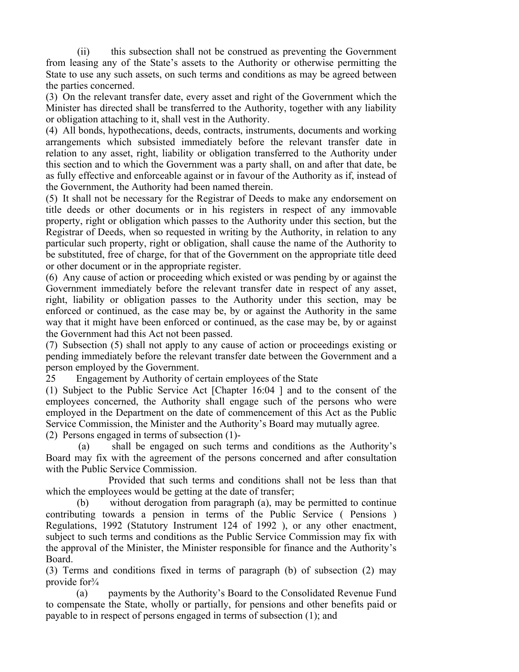(ii) this subsection shall not be construed as preventing the Government from leasing any of the State's assets to the Authority or otherwise permitting the State to use any such assets, on such terms and conditions as may be agreed between the parties concerned.

(3) On the relevant transfer date, every asset and right of the Government which the Minister has directed shall be transferred to the Authority, together with any liability or obligation attaching to it, shall vest in the Authority.

(4) All bonds, hypothecations, deeds, contracts, instruments, documents and working arrangements which subsisted immediately before the relevant transfer date in relation to any asset, right, liability or obligation transferred to the Authority under this section and to which the Government was a party shall, on and after that date, be as fully effective and enforceable against or in favour of the Authority as if, instead of the Government, the Authority had been named therein.

(5) It shall not be necessary for the Registrar of Deeds to make any endorsement on title deeds or other documents or in his registers in respect of any immovable property, right or obligation which passes to the Authority under this section, but the Registrar of Deeds, when so requested in writing by the Authority, in relation to any particular such property, right or obligation, shall cause the name of the Authority to be substituted, free of charge, for that of the Government on the appropriate title deed or other document or in the appropriate register.

(6) Any cause of action or proceeding which existed or was pending by or against the Government immediately before the relevant transfer date in respect of any asset, right, liability or obligation passes to the Authority under this section, may be enforced or continued, as the case may be, by or against the Authority in the same way that it might have been enforced or continued, as the case may be, by or against the Government had this Act not been passed.

(7) Subsection (5) shall not apply to any cause of action or proceedings existing or pending immediately before the relevant transfer date between the Government and a person employed by the Government.

25 Engagement by Authority of certain employees of the State

(1) Subject to the Public Service Act [Chapter 16:04 ] and to the consent of the employees concerned, the Authority shall engage such of the persons who were employed in the Department on the date of commencement of this Act as the Public Service Commission, the Minister and the Authority's Board may mutually agree.

(2) Persons engaged in terms of subsection (1)-

 (a) shall be engaged on such terms and conditions as the Authority's Board may fix with the agreement of the persons concerned and after consultation with the Public Service Commission.

 Provided that such terms and conditions shall not be less than that which the employees would be getting at the date of transfer;

 (b) without derogation from paragraph (a), may be permitted to continue contributing towards a pension in terms of the Public Service ( Pensions ) Regulations, 1992 (Statutory Instrument 124 of 1992 ), or any other enactment, subject to such terms and conditions as the Public Service Commission may fix with the approval of the Minister, the Minister responsible for finance and the Authority's Board.

(3) Terms and conditions fixed in terms of paragraph (b) of subsection (2) may provide for  $\frac{3}{4}$ 

 (a) payments by the Authority's Board to the Consolidated Revenue Fund to compensate the State, wholly or partially, for pensions and other benefits paid or payable to in respect of persons engaged in terms of subsection (1); and